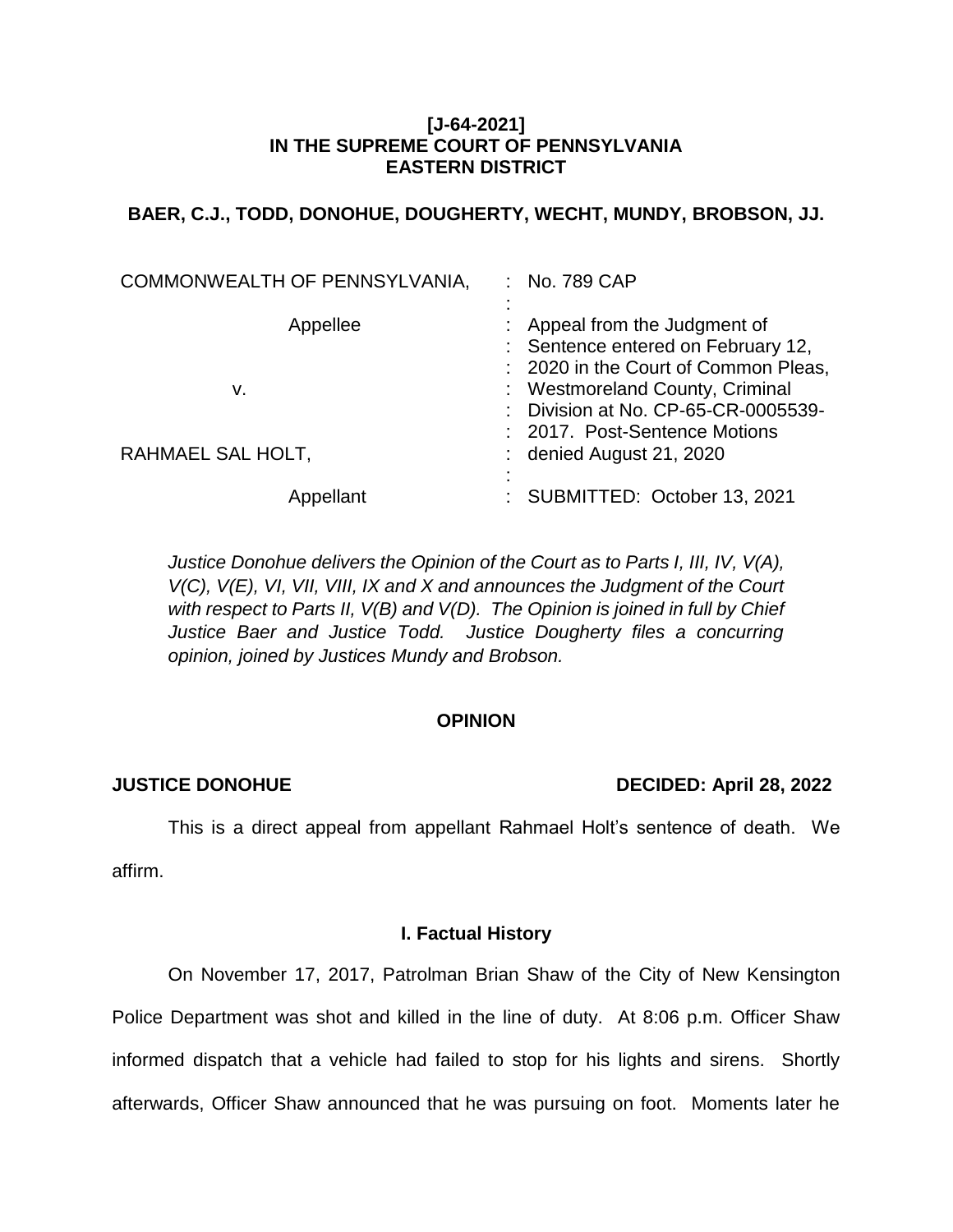## **[J-64-2021] IN THE SUPREME COURT OF PENNSYLVANIA EASTERN DISTRICT**

# **BAER, C.J., TODD, DONOHUE, DOUGHERTY, WECHT, MUNDY, BROBSON, JJ.**

| COMMONWEALTH OF PENNSYLVANIA, | : No. 789 CAP                                                                                                                                                                                                      |
|-------------------------------|--------------------------------------------------------------------------------------------------------------------------------------------------------------------------------------------------------------------|
| Appellee<br>v.                | Appeal from the Judgment of<br>: Sentence entered on February 12,<br>: 2020 in the Court of Common Pleas,<br>: Westmoreland County, Criminal<br>Division at No. CP-65-CR-0005539-<br>: 2017. Post-Sentence Motions |
| RAHMAEL SAL HOLT,             | denied August 21, 2020                                                                                                                                                                                             |
| Appellant                     | SUBMITTED: October 13, 2021                                                                                                                                                                                        |

*Justice Donohue delivers the Opinion of the Court as to Parts I, III, IV, V(A), V(C), V(E), VI, VII, VIII, IX and X and announces the Judgment of the Court with respect to Parts II, V(B) and V(D). The Opinion is joined in full by Chief Justice Baer and Justice Todd. Justice Dougherty files a concurring opinion, joined by Justices Mundy and Brobson.* 

# **OPINION**

# **JUSTICE DONOHUE DECIDED: April 28, 2022**

This is a direct appeal from appellant Rahmael Holt's sentence of death. We affirm.

## **I. Factual History**

On November 17, 2017, Patrolman Brian Shaw of the City of New Kensington Police Department was shot and killed in the line of duty. At 8:06 p.m. Officer Shaw informed dispatch that a vehicle had failed to stop for his lights and sirens. Shortly afterwards, Officer Shaw announced that he was pursuing on foot. Moments later he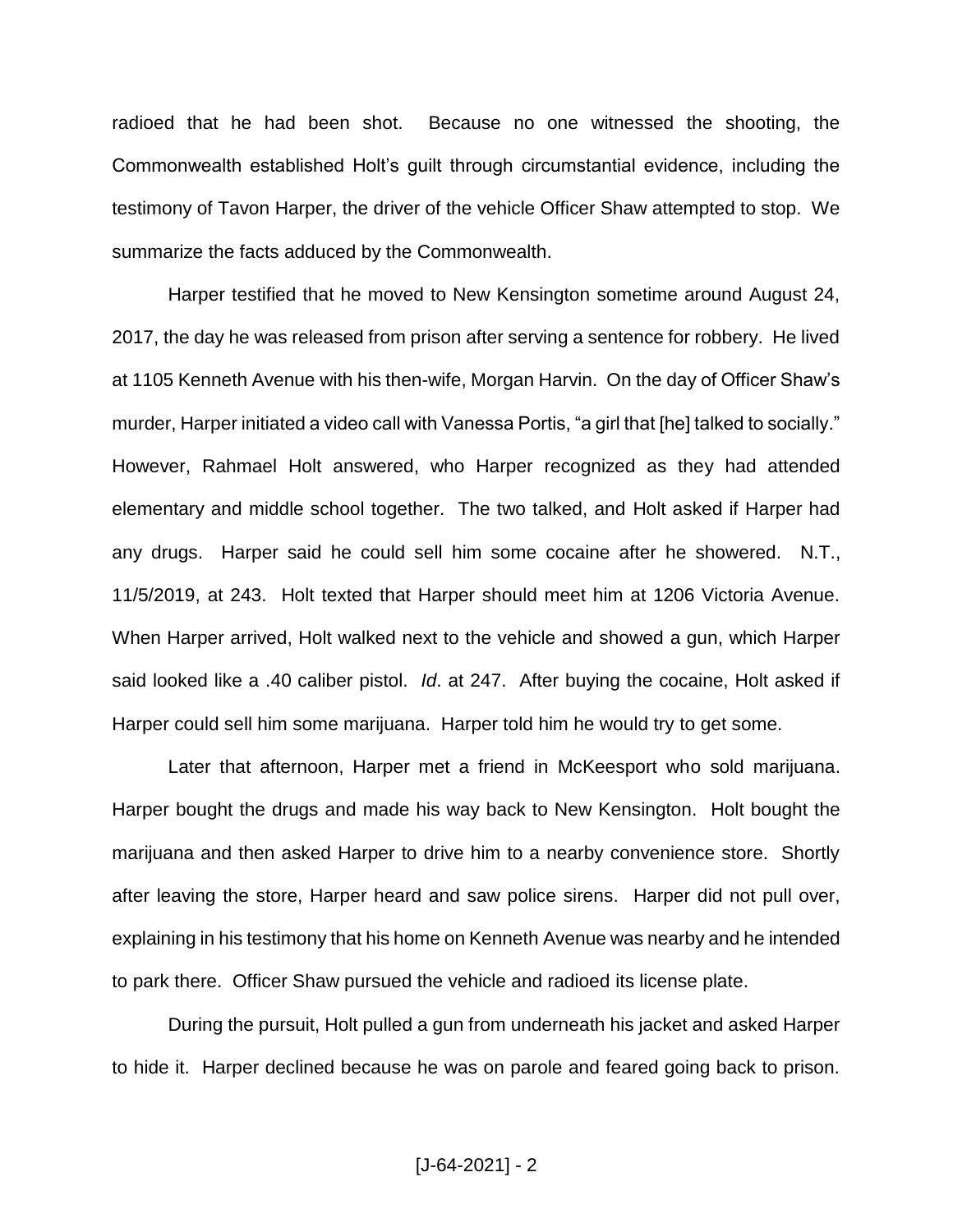radioed that he had been shot. Because no one witnessed the shooting, the Commonwealth established Holt's guilt through circumstantial evidence, including the testimony of Tavon Harper, the driver of the vehicle Officer Shaw attempted to stop. We summarize the facts adduced by the Commonwealth.

Harper testified that he moved to New Kensington sometime around August 24, 2017, the day he was released from prison after serving a sentence for robbery. He lived at 1105 Kenneth Avenue with his then-wife, Morgan Harvin. On the day of Officer Shaw's murder, Harper initiated a video call with Vanessa Portis, "a girl that [he] talked to socially." However, Rahmael Holt answered, who Harper recognized as they had attended elementary and middle school together. The two talked, and Holt asked if Harper had any drugs. Harper said he could sell him some cocaine after he showered. N.T., 11/5/2019, at 243. Holt texted that Harper should meet him at 1206 Victoria Avenue. When Harper arrived, Holt walked next to the vehicle and showed a gun, which Harper said looked like a .40 caliber pistol. *Id*. at 247. After buying the cocaine, Holt asked if Harper could sell him some marijuana. Harper told him he would try to get some.

Later that afternoon, Harper met a friend in McKeesport who sold marijuana. Harper bought the drugs and made his way back to New Kensington. Holt bought the marijuana and then asked Harper to drive him to a nearby convenience store. Shortly after leaving the store, Harper heard and saw police sirens. Harper did not pull over, explaining in his testimony that his home on Kenneth Avenue was nearby and he intended to park there. Officer Shaw pursued the vehicle and radioed its license plate.

During the pursuit, Holt pulled a gun from underneath his jacket and asked Harper to hide it. Harper declined because he was on parole and feared going back to prison.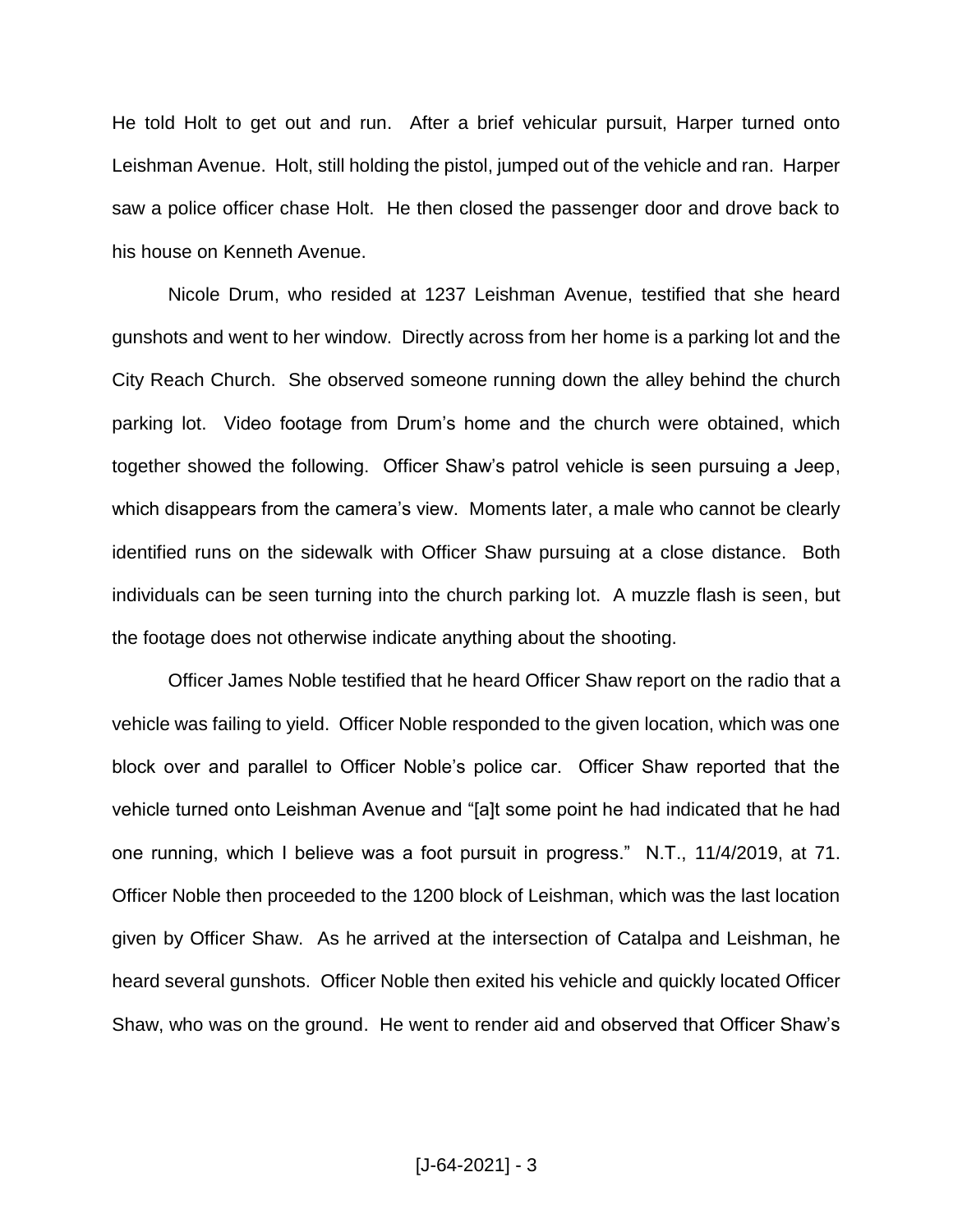He told Holt to get out and run. After a brief vehicular pursuit, Harper turned onto Leishman Avenue. Holt, still holding the pistol, jumped out of the vehicle and ran. Harper saw a police officer chase Holt. He then closed the passenger door and drove back to his house on Kenneth Avenue.

Nicole Drum, who resided at 1237 Leishman Avenue, testified that she heard gunshots and went to her window. Directly across from her home is a parking lot and the City Reach Church. She observed someone running down the alley behind the church parking lot. Video footage from Drum's home and the church were obtained, which together showed the following. Officer Shaw's patrol vehicle is seen pursuing a Jeep, which disappears from the camera's view. Moments later, a male who cannot be clearly identified runs on the sidewalk with Officer Shaw pursuing at a close distance. Both individuals can be seen turning into the church parking lot. A muzzle flash is seen, but the footage does not otherwise indicate anything about the shooting.

Officer James Noble testified that he heard Officer Shaw report on the radio that a vehicle was failing to yield. Officer Noble responded to the given location, which was one block over and parallel to Officer Noble's police car. Officer Shaw reported that the vehicle turned onto Leishman Avenue and "[a]t some point he had indicated that he had one running, which I believe was a foot pursuit in progress." N.T., 11/4/2019, at 71. Officer Noble then proceeded to the 1200 block of Leishman, which was the last location given by Officer Shaw. As he arrived at the intersection of Catalpa and Leishman, he heard several gunshots. Officer Noble then exited his vehicle and quickly located Officer Shaw, who was on the ground. He went to render aid and observed that Officer Shaw's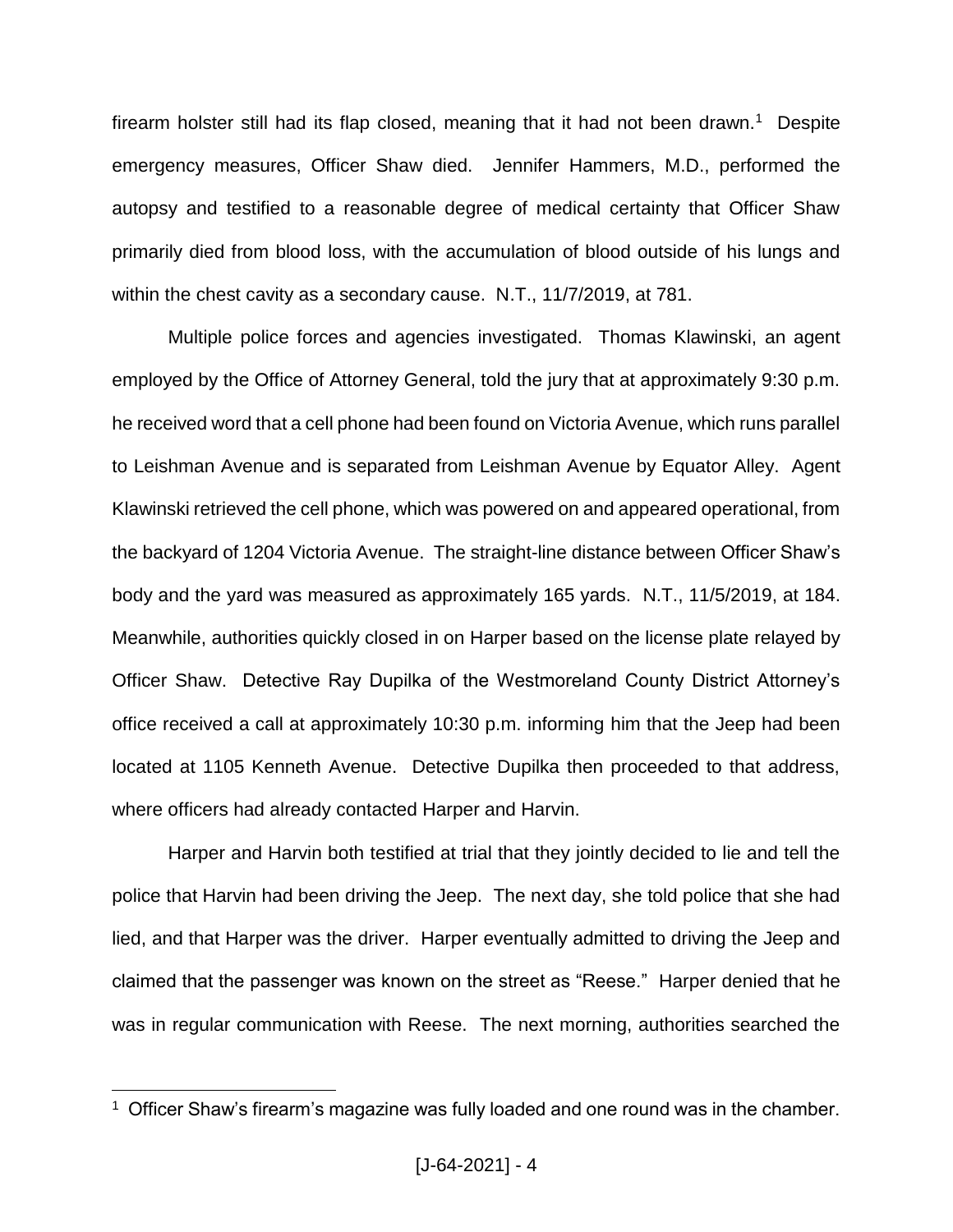firearm holster still had its flap closed, meaning that it had not been drawn.<sup>1</sup> Despite emergency measures, Officer Shaw died. Jennifer Hammers, M.D., performed the autopsy and testified to a reasonable degree of medical certainty that Officer Shaw primarily died from blood loss, with the accumulation of blood outside of his lungs and within the chest cavity as a secondary cause. N.T., 11/7/2019, at 781.

Multiple police forces and agencies investigated. Thomas Klawinski, an agent employed by the Office of Attorney General, told the jury that at approximately 9:30 p.m. he received word that a cell phone had been found on Victoria Avenue, which runs parallel to Leishman Avenue and is separated from Leishman Avenue by Equator Alley. Agent Klawinski retrieved the cell phone, which was powered on and appeared operational, from the backyard of 1204 Victoria Avenue.The straight-line distance between Officer Shaw's body and the yard was measured as approximately 165 yards. N.T., 11/5/2019, at 184. Meanwhile, authorities quickly closed in on Harper based on the license plate relayed by Officer Shaw. Detective Ray Dupilka of the Westmoreland County District Attorney's office received a call at approximately 10:30 p.m. informing him that the Jeep had been located at 1105 Kenneth Avenue. Detective Dupilka then proceeded to that address, where officers had already contacted Harper and Harvin.

Harper and Harvin both testified at trial that they jointly decided to lie and tell the police that Harvin had been driving the Jeep. The next day, she told police that she had lied, and that Harper was the driver. Harper eventually admitted to driving the Jeep and claimed that the passenger was known on the street as "Reese." Harper denied that he was in regular communication with Reese. The next morning, authorities searched the

 $1$  Officer Shaw's firearm's magazine was fully loaded and one round was in the chamber.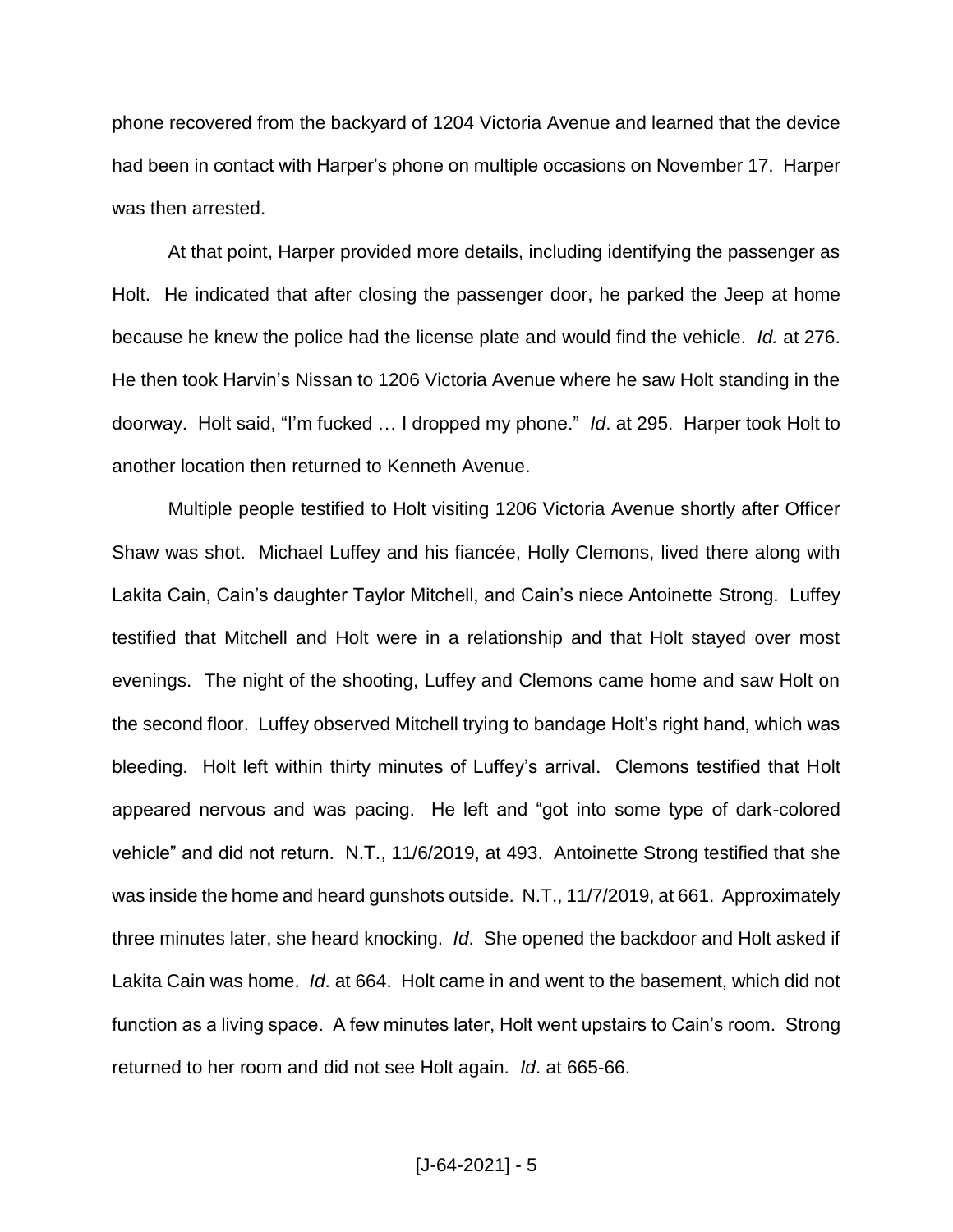phone recovered from the backyard of 1204 Victoria Avenue and learned that the device had been in contact with Harper's phone on multiple occasions on November 17. Harper was then arrested.

At that point, Harper provided more details, including identifying the passenger as Holt. He indicated that after closing the passenger door, he parked the Jeep at home because he knew the police had the license plate and would find the vehicle. *Id.* at 276. He then took Harvin's Nissan to 1206 Victoria Avenue where he saw Holt standing in the doorway. Holt said, "I'm fucked … I dropped my phone." *Id*. at 295. Harper took Holt to another location then returned to Kenneth Avenue.

Multiple people testified to Holt visiting 1206 Victoria Avenue shortly after Officer Shaw was shot. Michael Luffey and his fiancée, Holly Clemons, lived there along with Lakita Cain, Cain's daughter Taylor Mitchell, and Cain's niece Antoinette Strong. Luffey testified that Mitchell and Holt were in a relationship and that Holt stayed over most evenings. The night of the shooting, Luffey and Clemons came home and saw Holt on the second floor. Luffey observed Mitchell trying to bandage Holt's right hand, which was bleeding. Holt left within thirty minutes of Luffey's arrival. Clemons testified that Holt appeared nervous and was pacing. He left and "got into some type of dark-colored vehicle" and did not return. N.T., 11/6/2019, at 493. Antoinette Strong testified that she was inside the home and heard gunshots outside. N.T., 11/7/2019, at 661. Approximately three minutes later, she heard knocking. *Id*. She opened the backdoor and Holt asked if Lakita Cain was home. *Id*. at 664. Holt came in and went to the basement, which did not function as a living space. A few minutes later, Holt went upstairs to Cain's room. Strong returned to her room and did not see Holt again. *Id*. at 665-66.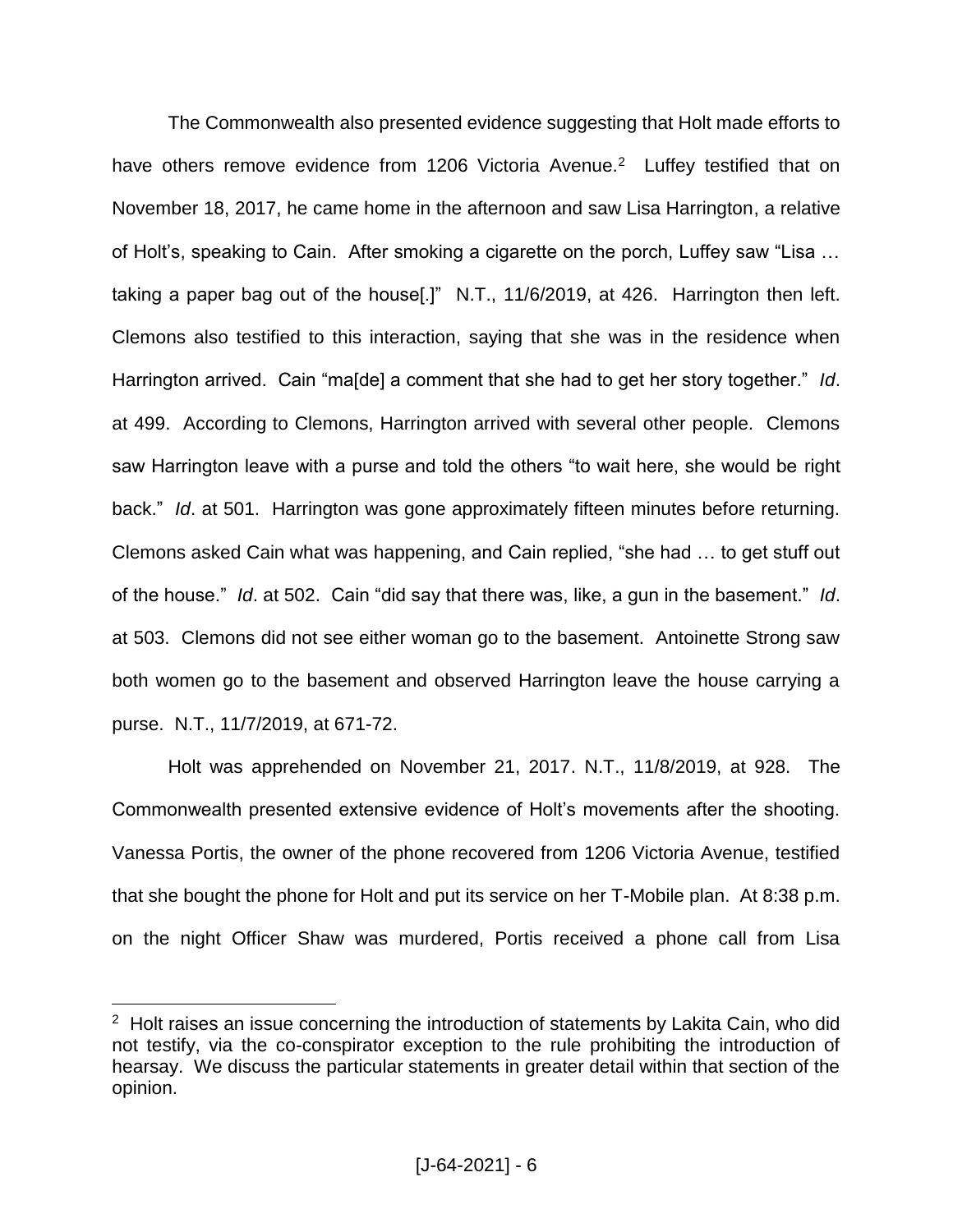The Commonwealth also presented evidence suggesting that Holt made efforts to have others remove evidence from 1206 Victoria Avenue.<sup>2</sup> Luffey testified that on November 18, 2017, he came home in the afternoon and saw Lisa Harrington, a relative of Holt's, speaking to Cain. After smoking a cigarette on the porch, Luffey saw "Lisa … taking a paper bag out of the house[.]" N.T., 11/6/2019, at 426. Harrington then left. Clemons also testified to this interaction, saying that she was in the residence when Harrington arrived. Cain "ma[de] a comment that she had to get her story together." *Id*. at 499.According to Clemons, Harrington arrived with several other people. Clemons saw Harrington leave with a purse and told the others "to wait here, she would be right back." *Id*. at 501. Harrington was gone approximately fifteen minutes before returning. Clemons asked Cain what was happening, and Cain replied, "she had … to get stuff out of the house." *Id*. at 502.Cain "did say that there was, like, a gun in the basement." *Id*. at 503. Clemons did not see either woman go to the basement. Antoinette Strong saw both women go to the basement and observed Harrington leave the house carrying a purse. N.T., 11/7/2019, at 671-72.

Holt was apprehended on November 21, 2017. N.T., 11/8/2019, at 928. The Commonwealth presented extensive evidence of Holt's movements after the shooting. Vanessa Portis, the owner of the phone recovered from 1206 Victoria Avenue, testified that she bought the phone for Holt and put its service on her T-Mobile plan. At 8:38 p.m. on the night Officer Shaw was murdered, Portis received a phone call from Lisa

 $2$  Holt raises an issue concerning the introduction of statements by Lakita Cain, who did not testify, via the co-conspirator exception to the rule prohibiting the introduction of hearsay. We discuss the particular statements in greater detail within that section of the opinion.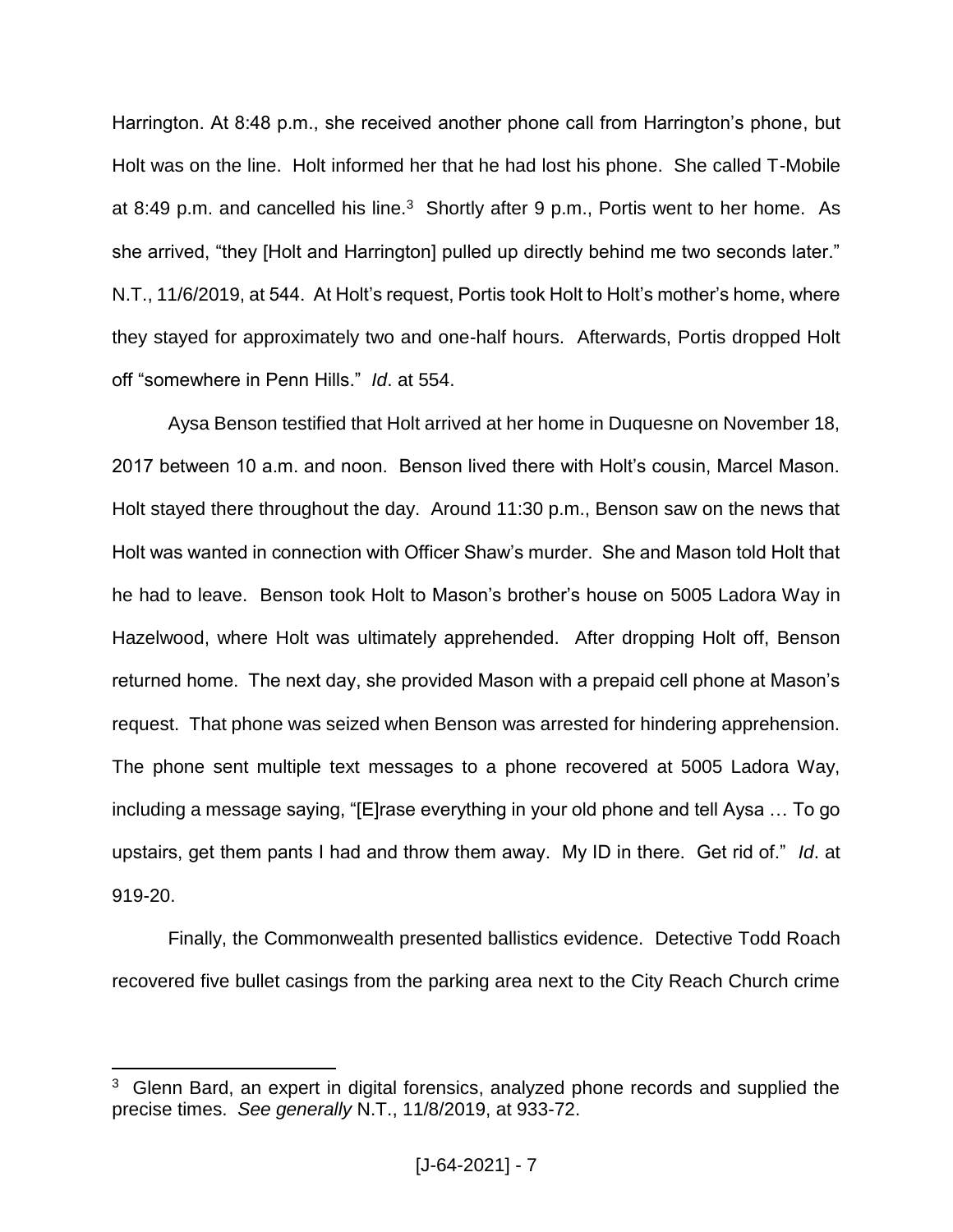Harrington. At 8:48 p.m., she received another phone call from Harrington's phone, but Holt was on the line. Holt informed her that he had lost his phone. She called T-Mobile at 8:49 p.m. and cancelled his line.<sup>3</sup> Shortly after 9 p.m., Portis went to her home.As she arrived, "they [Holt and Harrington] pulled up directly behind me two seconds later." N.T., 11/6/2019, at 544. At Holt's request, Portis took Holt to Holt's mother's home, where they stayed for approximately two and one-half hours. Afterwards, Portis dropped Holt off "somewhere in Penn Hills." *Id*. at 554.

Aysa Benson testified that Holt arrived at her home in Duquesne on November 18, 2017 between 10 a.m. and noon. Benson lived there with Holt's cousin, Marcel Mason. Holt stayed there throughout the day. Around 11:30 p.m., Benson saw on the news that Holt was wanted in connection with Officer Shaw's murder. She and Mason told Holt that he had to leave. Benson took Holt to Mason's brother's house on 5005 Ladora Way in Hazelwood, where Holt was ultimately apprehended. After dropping Holt off, Benson returned home. The next day, she provided Mason with a prepaid cell phone at Mason's request. That phone was seized when Benson was arrested for hindering apprehension. The phone sent multiple text messages to a phone recovered at 5005 Ladora Way, including a message saying, "[E]rase everything in your old phone and tell Aysa … To go upstairs, get them pants I had and throw them away. My ID in there. Get rid of." *Id*. at 919-20.

Finally, the Commonwealth presented ballistics evidence. Detective Todd Roach recovered five bullet casings from the parking area next to the City Reach Church crime

<sup>&</sup>lt;sup>3</sup> Glenn Bard, an expert in digital forensics, analyzed phone records and supplied the precise times. *See generally* N.T., 11/8/2019, at 933-72.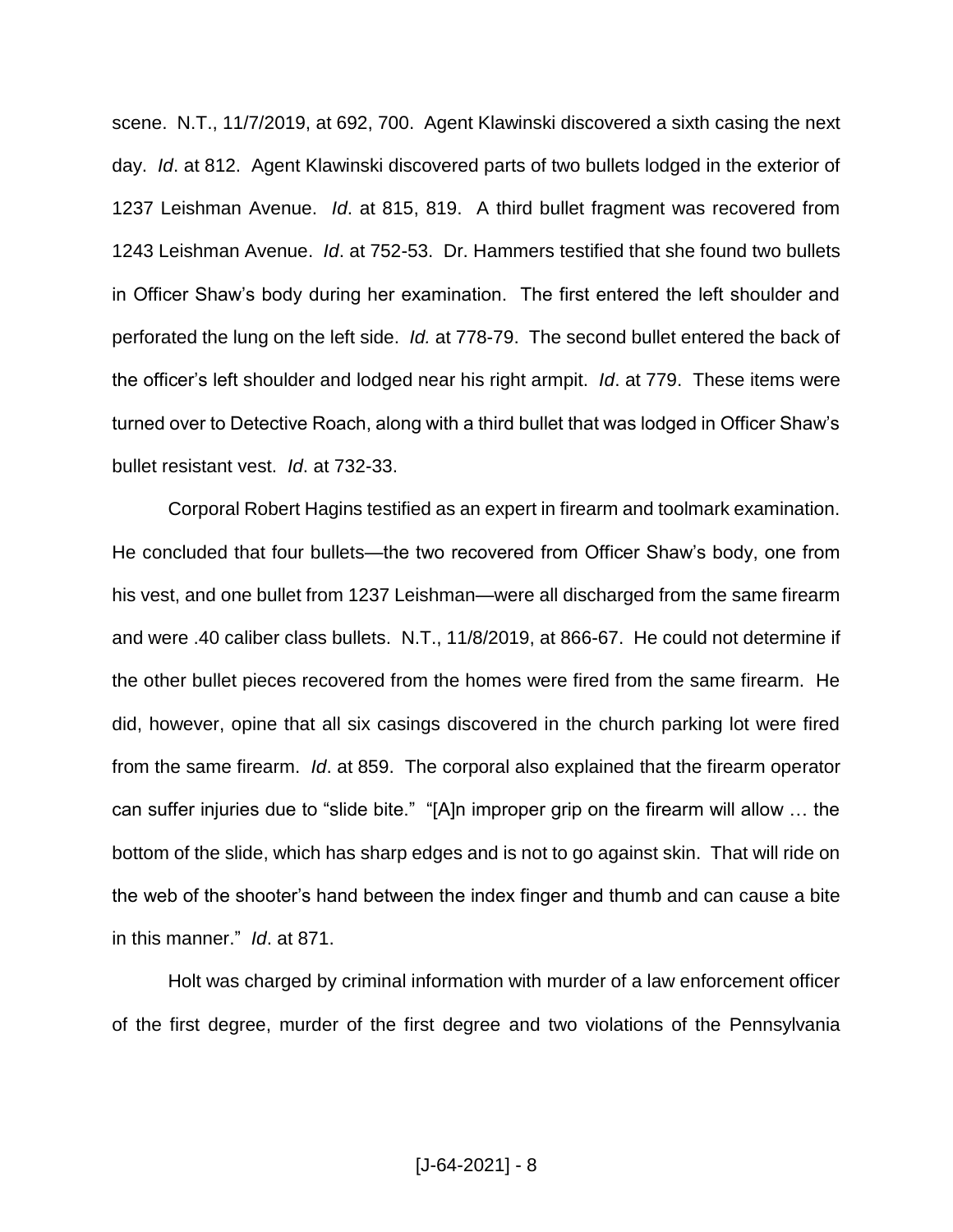scene. N.T., 11/7/2019, at 692, 700. Agent Klawinski discovered a sixth casing the next day. *Id*. at 812. Agent Klawinski discovered parts of two bullets lodged in the exterior of 1237 Leishman Avenue. *Id*. at 815, 819. A third bullet fragment was recovered from 1243 Leishman Avenue. *Id*. at 752-53. Dr. Hammers testified that she found two bullets in Officer Shaw's body during her examination. The first entered the left shoulder and perforated the lung on the left side. *Id.* at 778-79. The second bullet entered the back of the officer's left shoulder and lodged near his right armpit. *Id*. at 779. These items were turned over to Detective Roach, along with a third bullet that was lodged in Officer Shaw's bullet resistant vest. *Id*. at 732-33.

Corporal Robert Hagins testified as an expert in firearm and toolmark examination. He concluded that four bullets—the two recovered from Officer Shaw's body, one from his vest, and one bullet from 1237 Leishman—were all discharged from the same firearm and were .40 caliber class bullets. N.T., 11/8/2019, at 866-67.He could not determine if the other bullet pieces recovered from the homes were fired from the same firearm. He did, however, opine that all six casings discovered in the church parking lot were fired from the same firearm. *Id*. at 859. The corporal also explained that the firearm operator can suffer injuries due to "slide bite." "[A]n improper grip on the firearm will allow … the bottom of the slide, which has sharp edges and is not to go against skin. That will ride on the web of the shooter's hand between the index finger and thumb and can cause a bite in this manner." *Id*. at 871.

Holt was charged by criminal information with murder of a law enforcement officer of the first degree, murder of the first degree and two violations of the Pennsylvania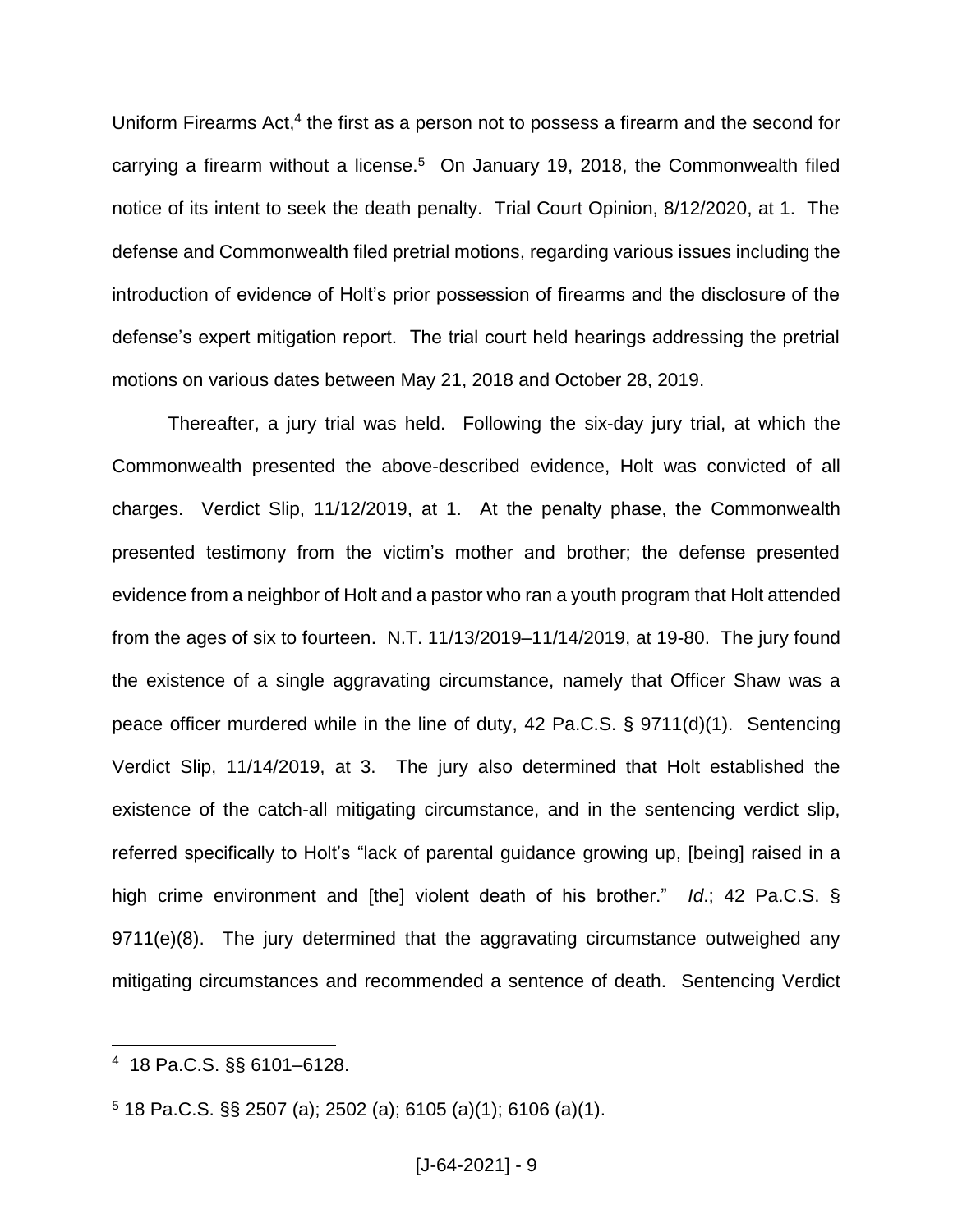Uniform Firearms Act,<sup>4</sup> the first as a person not to possess a firearm and the second for carrying a firearm without a license.<sup>5</sup> On January 19, 2018, the Commonwealth filed notice of its intent to seek the death penalty. Trial Court Opinion, 8/12/2020, at 1. The defense and Commonwealth filed pretrial motions, regarding various issues including the introduction of evidence of Holt's prior possession of firearms and the disclosure of the defense's expert mitigation report. The trial court held hearings addressing the pretrial motions on various dates between May 21, 2018 and October 28, 2019.

Thereafter, a jury trial was held. Following the six-day jury trial, at which the Commonwealth presented the above-described evidence, Holt was convicted of all charges. Verdict Slip, 11/12/2019, at 1. At the penalty phase, the Commonwealth presented testimony from the victim's mother and brother; the defense presented evidence from a neighbor of Holt and a pastor who ran a youth program that Holt attended from the ages of six to fourteen. N.T. 11/13/2019–11/14/2019, at 19-80. The jury found the existence of a single aggravating circumstance, namely that Officer Shaw was a peace officer murdered while in the line of duty, 42 Pa.C.S. § 9711(d)(1). Sentencing Verdict Slip, 11/14/2019, at 3. The jury also determined that Holt established the existence of the catch-all mitigating circumstance, and in the sentencing verdict slip, referred specifically to Holt's "lack of parental guidance growing up, [being] raised in a high crime environment and [the] violent death of his brother." *Id*.; 42 Pa.C.S. § 9711(e)(8). The jury determined that the aggravating circumstance outweighed any mitigating circumstances and recommended a sentence of death. Sentencing Verdict

<sup>4</sup> 18 Pa.C.S. §§ 6101–6128.

 $5$  18 Pa.C.S. §§ 2507 (a); 2502 (a); 6105 (a)(1); 6106 (a)(1).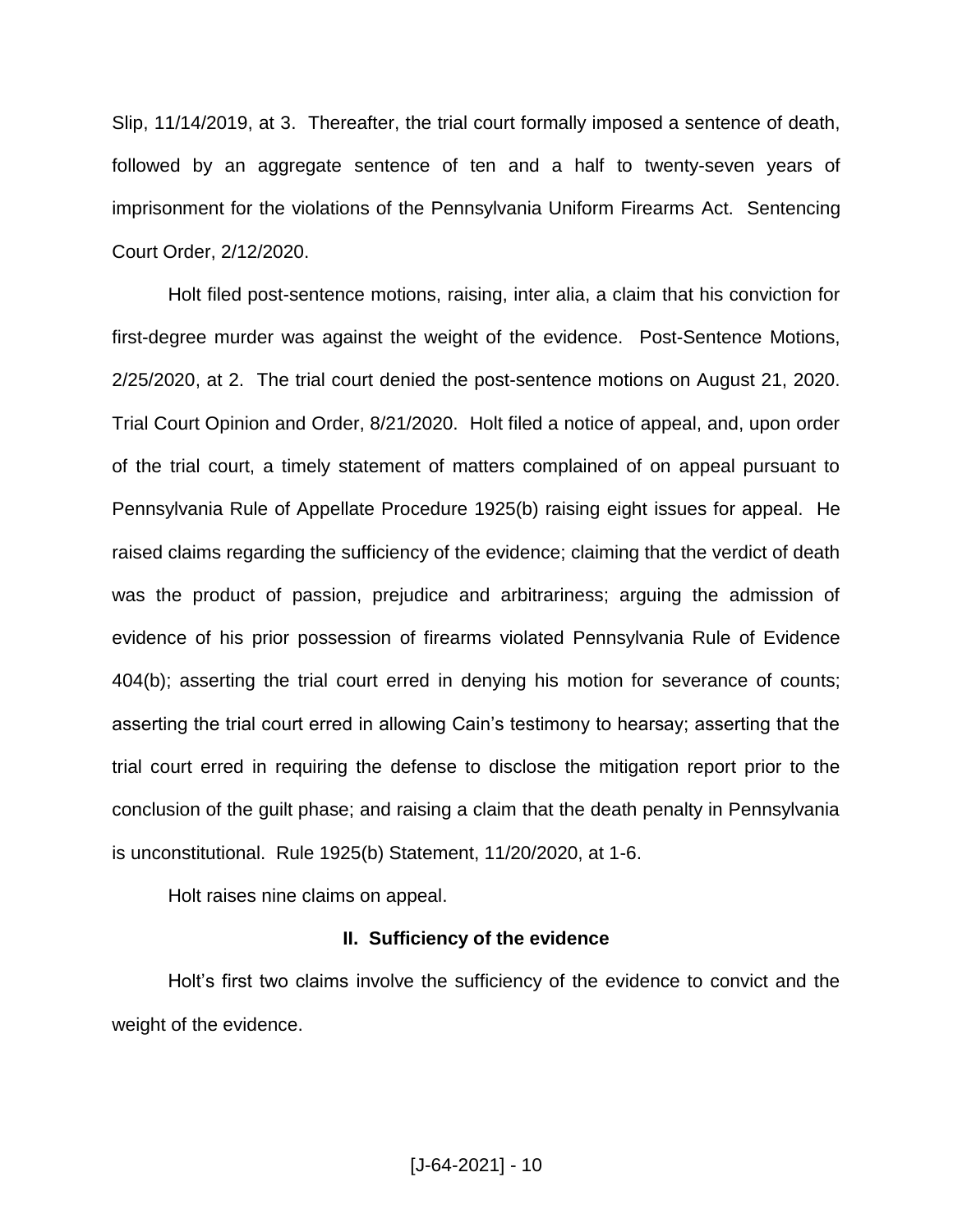Slip, 11/14/2019, at 3. Thereafter, the trial court formally imposed a sentence of death, followed by an aggregate sentence of ten and a half to twenty-seven years of imprisonment for the violations of the Pennsylvania Uniform Firearms Act. Sentencing Court Order, 2/12/2020.

Holt filed post-sentence motions, raising, inter alia, a claim that his conviction for first-degree murder was against the weight of the evidence. Post-Sentence Motions, 2/25/2020, at 2. The trial court denied the post-sentence motions on August 21, 2020. Trial Court Opinion and Order, 8/21/2020. Holt filed a notice of appeal, and, upon order of the trial court, a timely statement of matters complained of on appeal pursuant to Pennsylvania Rule of Appellate Procedure 1925(b) raising eight issues for appeal. He raised claims regarding the sufficiency of the evidence; claiming that the verdict of death was the product of passion, prejudice and arbitrariness; arguing the admission of evidence of his prior possession of firearms violated Pennsylvania Rule of Evidence 404(b); asserting the trial court erred in denying his motion for severance of counts; asserting the trial court erred in allowing Cain's testimony to hearsay; asserting that the trial court erred in requiring the defense to disclose the mitigation report prior to the conclusion of the guilt phase; and raising a claim that the death penalty in Pennsylvania is unconstitutional. Rule 1925(b) Statement, 11/20/2020, at 1-6.

Holt raises nine claims on appeal.

#### **II. Sufficiency of the evidence**

Holt's first two claims involve the sufficiency of the evidence to convict and the weight of the evidence.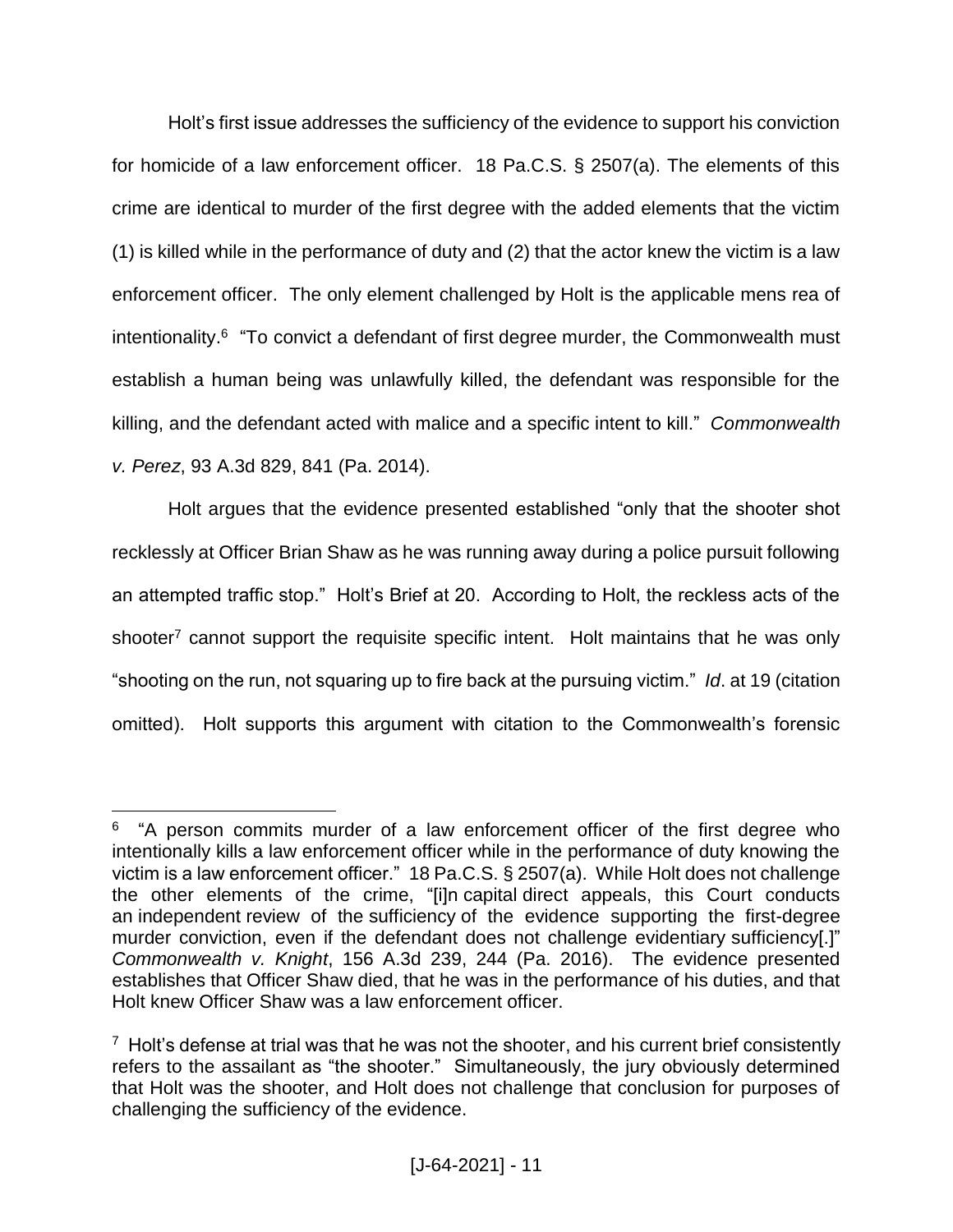Holt's first issue addresses the sufficiency of the evidence to support his conviction for homicide of a law enforcement officer. 18 Pa.C.S. § 2507(a). The elements of this crime are identical to murder of the first degree with the added elements that the victim (1) is killed while in the performance of duty and (2) that the actor knew the victim is a law enforcement officer. The only element challenged by Holt is the applicable mens rea of intentionality.<sup>6</sup> "To convict a defendant of first degree murder, the Commonwealth must establish a human being was unlawfully killed, the defendant was responsible for the killing, and the defendant acted with malice and a specific intent to kill." *Commonwealth v. Perez*, 93 A.3d 829, 841 (Pa. 2014).

Holt argues that the evidence presented established "only that the shooter shot recklessly at Officer Brian Shaw as he was running away during a police pursuit following an attempted traffic stop." Holt's Brief at 20. According to Holt, the reckless acts of the shooter<sup>7</sup> cannot support the requisite specific intent. Holt maintains that he was only "shooting on the run, not squaring up to fire back at the pursuing victim." *Id*. at 19 (citation omitted). Holt supports this argument with citation to the Commonwealth's forensic

 $\overline{a}$ <sup>6</sup> "A person commits murder of a law enforcement officer of the first degree who intentionally kills a law enforcement officer while in the performance of duty knowing the victim is a law enforcement officer." 18 Pa.C.S. § 2507(a). While Holt does not challenge the other elements of the crime, "[i]n capital direct appeals, this Court conducts an independent review of the sufficiency of the evidence supporting the first-degree murder conviction, even if the defendant does not challenge evidentiary sufficiency[.]" *Commonwealth v. Knight*, 156 A.3d 239, 244 (Pa. 2016). The evidence presented establishes that Officer Shaw died, that he was in the performance of his duties, and that Holt knew Officer Shaw was a law enforcement officer.

 $7$  Holt's defense at trial was that he was not the shooter, and his current brief consistently refers to the assailant as "the shooter." Simultaneously, the jury obviously determined that Holt was the shooter, and Holt does not challenge that conclusion for purposes of challenging the sufficiency of the evidence.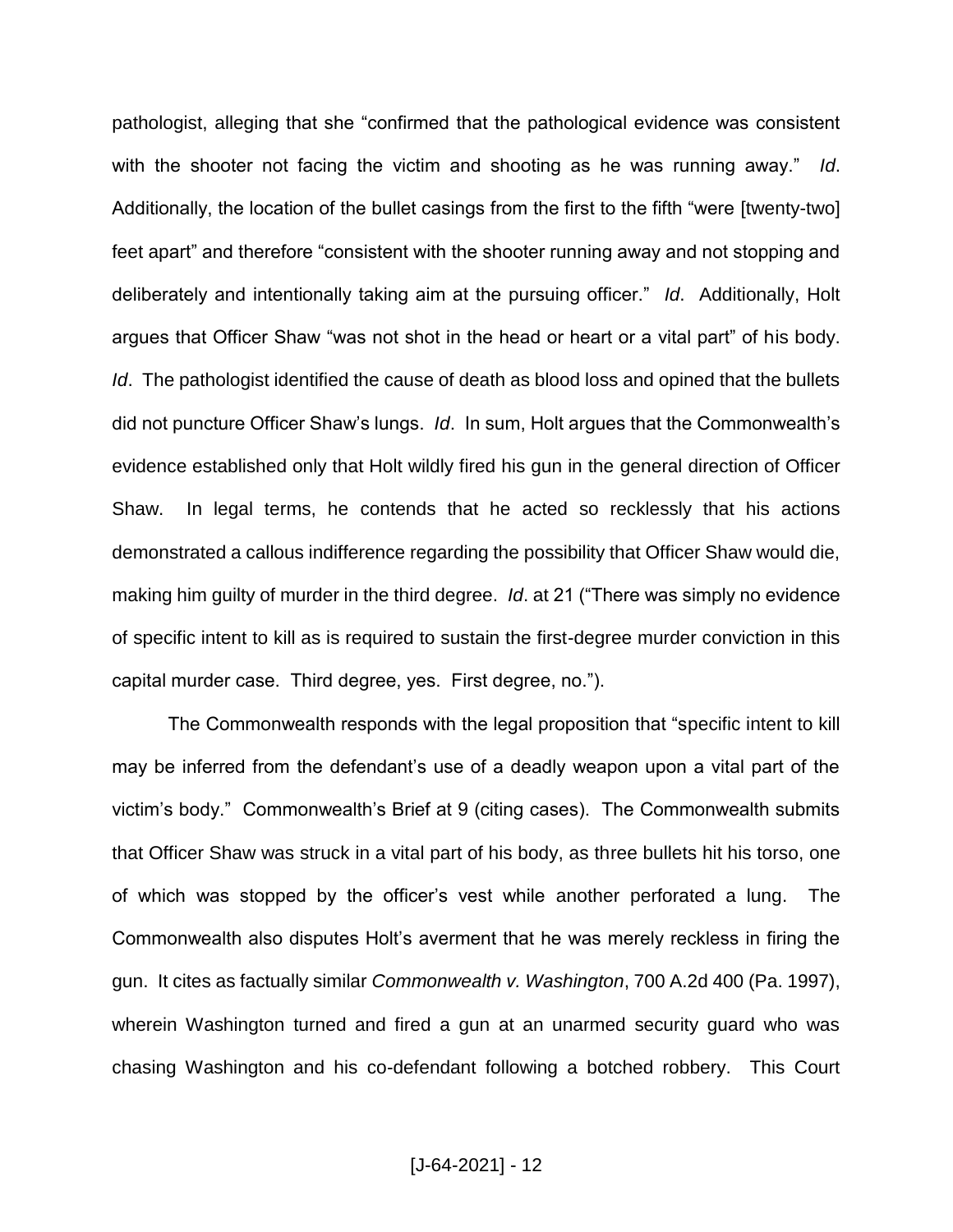pathologist, alleging that she "confirmed that the pathological evidence was consistent with the shooter not facing the victim and shooting as he was running away." *Id*. Additionally, the location of the bullet casings from the first to the fifth "were [twenty-two] feet apart" and therefore "consistent with the shooter running away and not stopping and deliberately and intentionally taking aim at the pursuing officer." *Id*. Additionally, Holt argues that Officer Shaw "was not shot in the head or heart or a vital part" of his body. *Id.* The pathologist identified the cause of death as blood loss and opined that the bullets did not puncture Officer Shaw's lungs. *Id*. In sum, Holt argues that the Commonwealth's evidence established only that Holt wildly fired his gun in the general direction of Officer Shaw. In legal terms, he contends that he acted so recklessly that his actions demonstrated a callous indifference regarding the possibility that Officer Shaw would die, making him guilty of murder in the third degree. *Id*. at 21 ("There was simply no evidence of specific intent to kill as is required to sustain the first-degree murder conviction in this capital murder case. Third degree, yes. First degree, no.").

The Commonwealth responds with the legal proposition that "specific intent to kill may be inferred from the defendant's use of a deadly weapon upon a vital part of the victim's body." Commonwealth's Brief at 9 (citing cases). The Commonwealth submits that Officer Shaw was struck in a vital part of his body, as three bullets hit his torso, one of which was stopped by the officer's vest while another perforated a lung. The Commonwealth also disputes Holt's averment that he was merely reckless in firing the gun. It cites as factually similar *Commonwealth v. Washington*, 700 A.2d 400 (Pa. 1997), wherein Washington turned and fired a gun at an unarmed security guard who was chasing Washington and his co-defendant following a botched robbery. This Court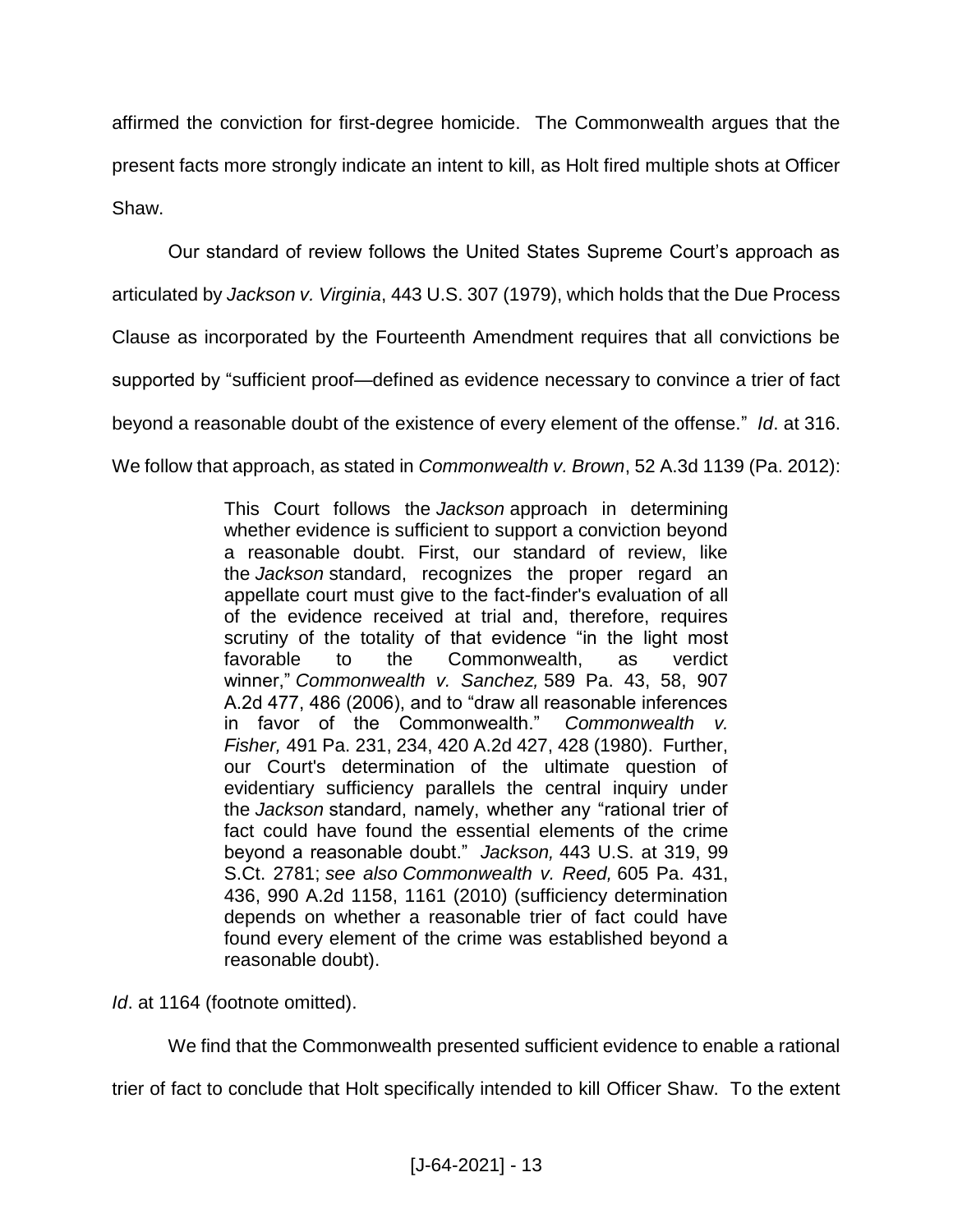affirmed the conviction for first-degree homicide. The Commonwealth argues that the present facts more strongly indicate an intent to kill, as Holt fired multiple shots at Officer Shaw.

Our standard of review follows the United States Supreme Court's approach as articulated by *Jackson v. Virginia*, 443 U.S. 307 (1979), which holds that the Due Process Clause as incorporated by the Fourteenth Amendment requires that all convictions be supported by "sufficient proof—defined as evidence necessary to convince a trier of fact beyond a reasonable doubt of the existence of every element of the offense." *Id*. at 316. We follow that approach, as stated in *Commonwealth v. Brown*, 52 A.3d 1139 (Pa. 2012):

> This Court follows the *Jackson* approach in determining whether evidence is sufficient to support a conviction beyond a reasonable doubt. First, our standard of review, like the *Jackson* standard, recognizes the proper regard an appellate court must give to the fact-finder's evaluation of all of the evidence received at trial and, therefore, requires scrutiny of the totality of that evidence "in the light most favorable to the Commonwealth, as verdict winner," *Commonwealth v. Sanchez,* 589 Pa. 43, 58, 907 A.2d 477, 486 (2006), and to "draw all reasonable inferences in favor of the Commonwealth." *Commonwealth v. Fisher,* 491 Pa. 231, 234, 420 A.2d 427, 428 (1980). Further, our Court's determination of the ultimate question of evidentiary sufficiency parallels the central inquiry under the *Jackson* standard, namely, whether any "rational trier of fact could have found the essential elements of the crime beyond a reasonable doubt." *Jackson,* 443 U.S. at 319, 99 S.Ct. 2781; *see also Commonwealth v. Reed,* 605 Pa. 431, 436, 990 A.2d 1158, 1161 (2010) (sufficiency determination depends on whether a reasonable trier of fact could have found every element of the crime was established beyond a reasonable doubt).

*Id*. at 1164 (footnote omitted).

We find that the Commonwealth presented sufficient evidence to enable a rational

trier of fact to conclude that Holt specifically intended to kill Officer Shaw. To the extent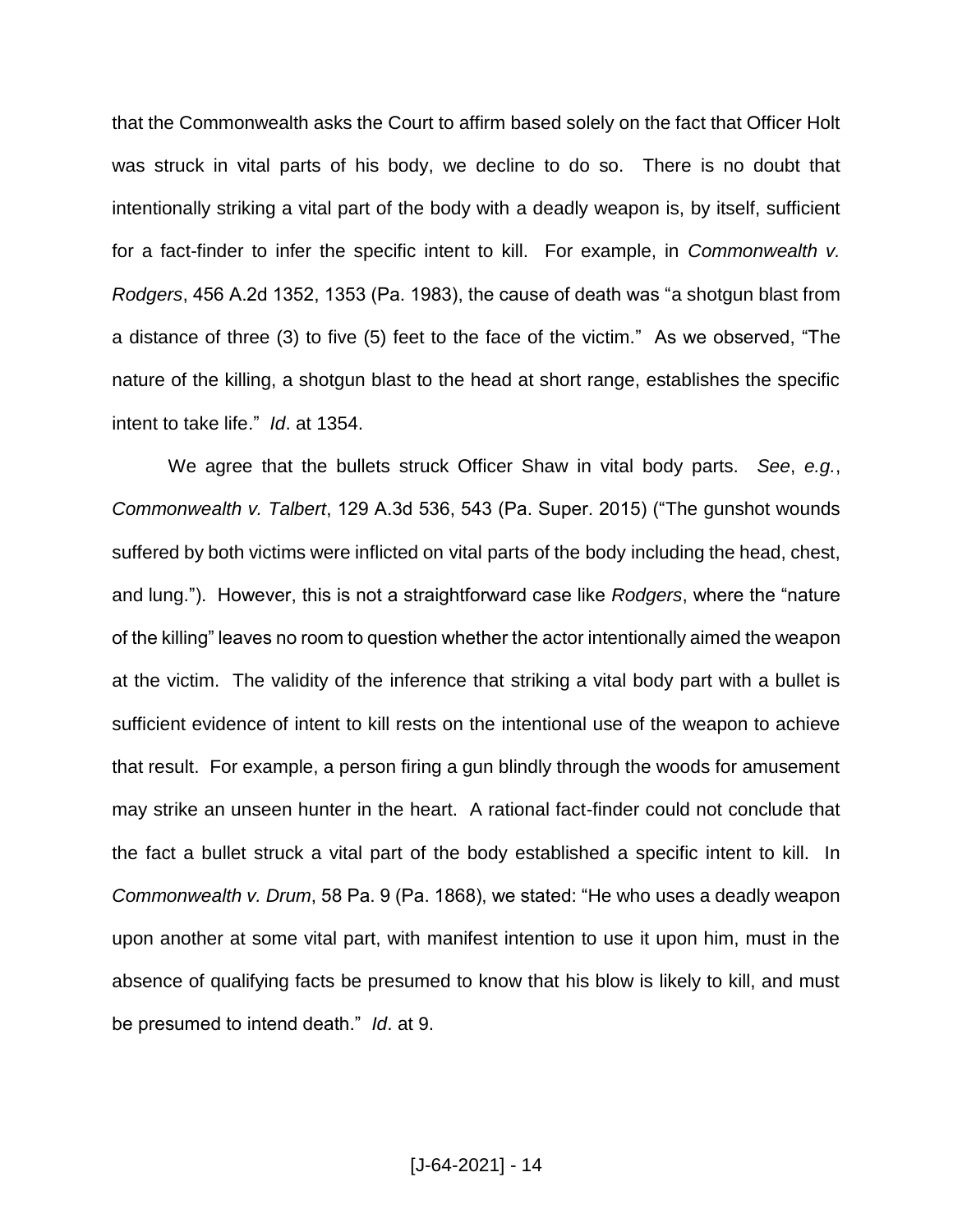that the Commonwealth asks the Court to affirm based solely on the fact that Officer Holt was struck in vital parts of his body, we decline to do so. There is no doubt that intentionally striking a vital part of the body with a deadly weapon is, by itself, sufficient for a fact-finder to infer the specific intent to kill. For example, in *Commonwealth v. Rodgers*, 456 A.2d 1352, 1353 (Pa. 1983), the cause of death was "a shotgun blast from a distance of three (3) to five (5) feet to the face of the victim." As we observed, "The nature of the killing, a shotgun blast to the head at short range, establishes the specific intent to take life." *Id*. at 1354.

We agree that the bullets struck Officer Shaw in vital body parts. *See*, *e.g.*, *Commonwealth v. Talbert*, 129 A.3d 536, 543 (Pa. Super. 2015) ("The gunshot wounds suffered by both victims were inflicted on vital parts of the body including the head, chest, and lung."). However, this is not a straightforward case like *Rodgers*, where the "nature of the killing" leaves no room to question whether the actor intentionally aimed the weapon at the victim. The validity of the inference that striking a vital body part with a bullet is sufficient evidence of intent to kill rests on the intentional use of the weapon to achieve that result. For example, a person firing a gun blindly through the woods for amusement may strike an unseen hunter in the heart. A rational fact-finder could not conclude that the fact a bullet struck a vital part of the body established a specific intent to kill. In *Commonwealth v. Drum*, 58 Pa. 9 (Pa. 1868), we stated: "He who uses a deadly weapon upon another at some vital part, with manifest intention to use it upon him, must in the absence of qualifying facts be presumed to know that his blow is likely to kill, and must be presumed to intend death." *Id*. at 9.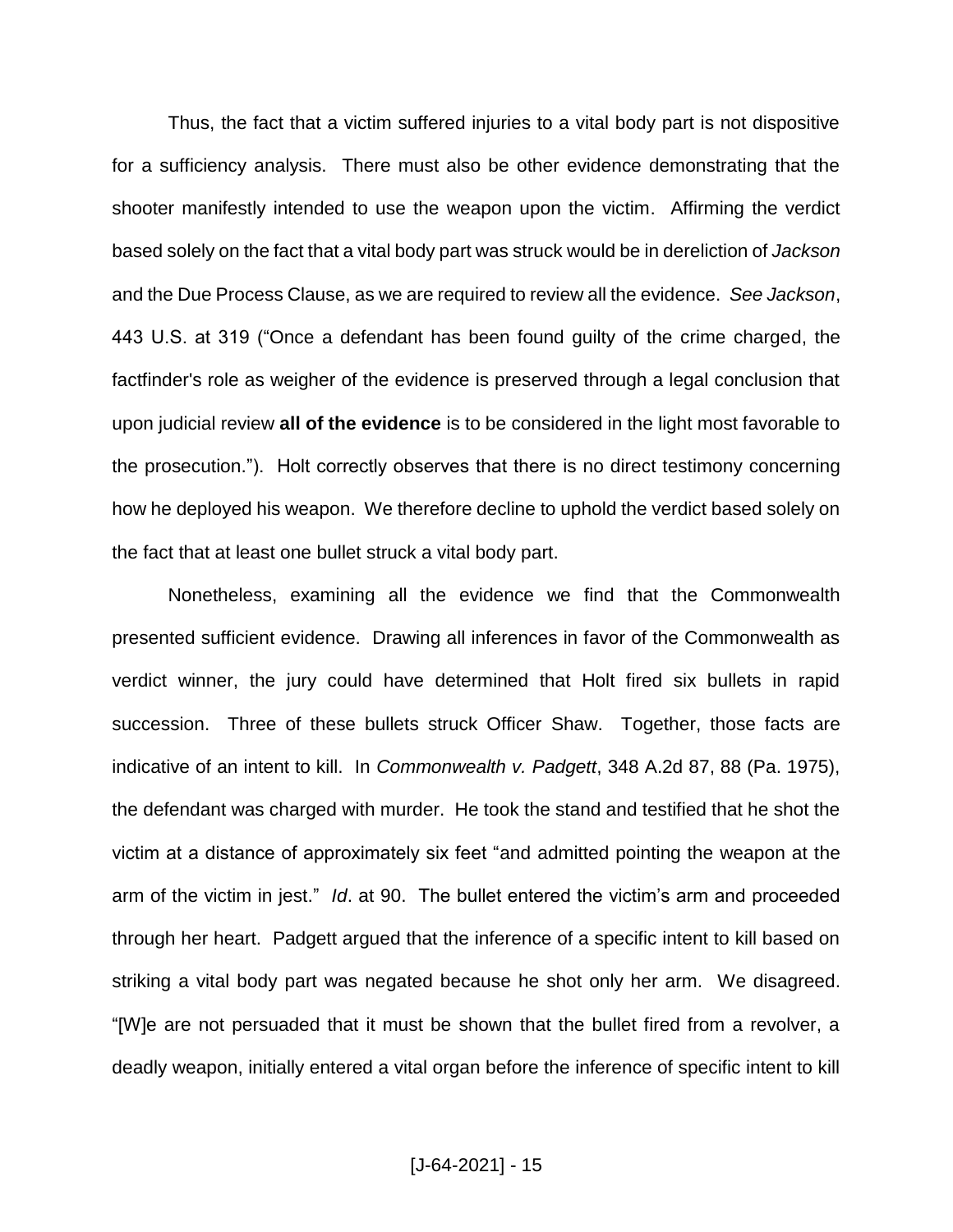Thus, the fact that a victim suffered injuries to a vital body part is not dispositive for a sufficiency analysis. There must also be other evidence demonstrating that the shooter manifestly intended to use the weapon upon the victim. Affirming the verdict based solely on the fact that a vital body part was struck would be in dereliction of *Jackson* and the Due Process Clause, as we are required to review all the evidence. *See Jackson*, 443 U.S. at 319 ("Once a defendant has been found guilty of the crime charged, the factfinder's role as weigher of the evidence is preserved through a legal conclusion that upon judicial review **all of the evidence** is to be considered in the light most favorable to the prosecution."). Holt correctly observes that there is no direct testimony concerning how he deployed his weapon. We therefore decline to uphold the verdict based solely on the fact that at least one bullet struck a vital body part.

Nonetheless, examining all the evidence we find that the Commonwealth presented sufficient evidence. Drawing all inferences in favor of the Commonwealth as verdict winner, the jury could have determined that Holt fired six bullets in rapid succession. Three of these bullets struck Officer Shaw. Together, those facts are indicative of an intent to kill. In *Commonwealth v. Padgett*, 348 A.2d 87, 88 (Pa. 1975), the defendant was charged with murder. He took the stand and testified that he shot the victim at a distance of approximately six feet "and admitted pointing the weapon at the arm of the victim in jest." *Id*. at 90. The bullet entered the victim's arm and proceeded through her heart. Padgett argued that the inference of a specific intent to kill based on striking a vital body part was negated because he shot only her arm. We disagreed. "[W]e are not persuaded that it must be shown that the bullet fired from a revolver, a deadly weapon, initially entered a vital organ before the inference of specific intent to kill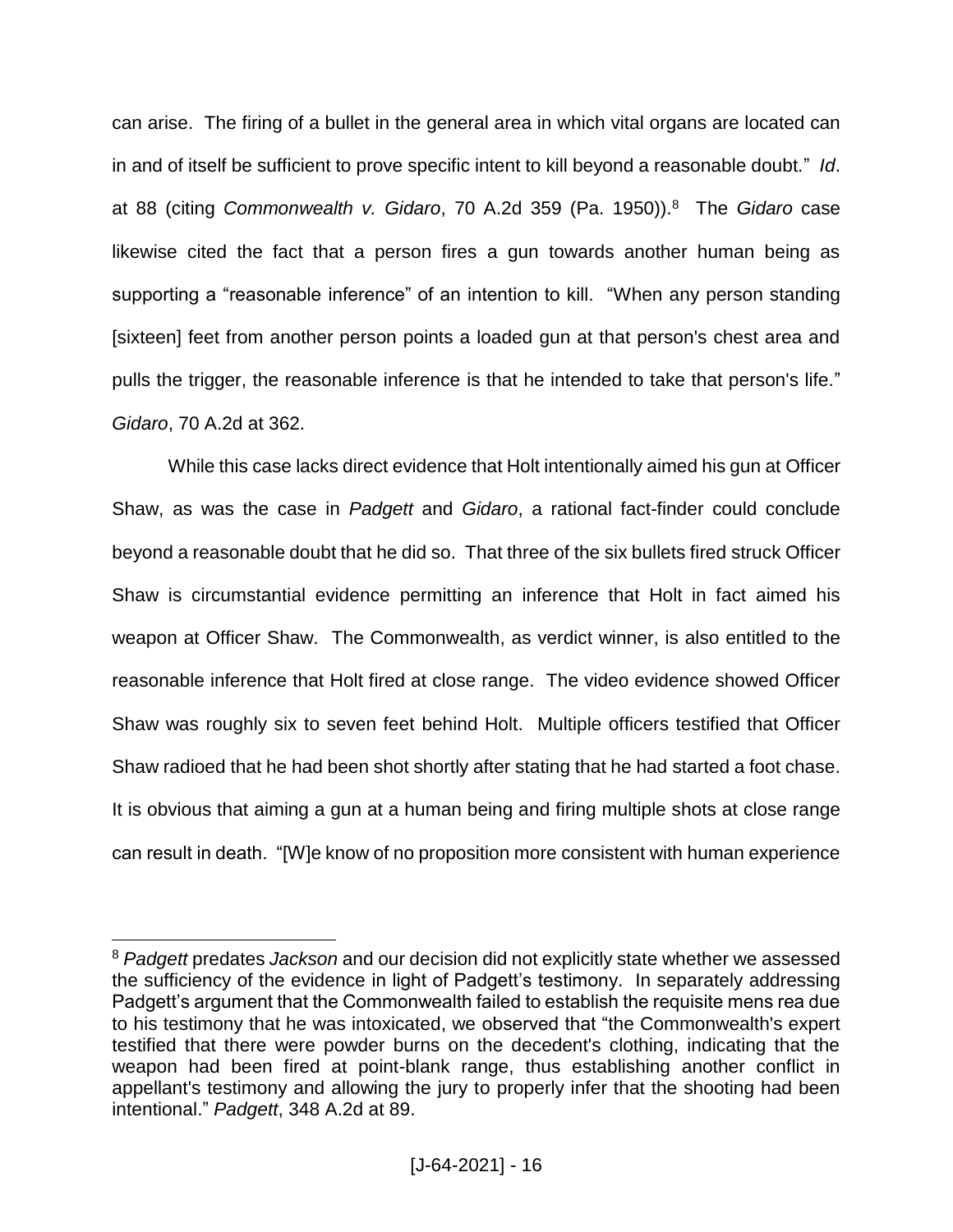can arise. The firing of a bullet in the general area in which vital organs are located can in and of itself be sufficient to prove specific intent to kill beyond a reasonable doubt." *Id*. at 88 (citing *Commonwealth v. Gidaro*, 70 A.2d 359 (Pa. 1950)).<sup>8</sup> The *Gidaro* case likewise cited the fact that a person fires a gun towards another human being as supporting a "reasonable inference" of an intention to kill. "When any person standing [sixteen] feet from another person points a loaded gun at that person's chest area and pulls the trigger, the reasonable inference is that he intended to take that person's life." *Gidaro*, 70 A.2d at 362.

While this case lacks direct evidence that Holt intentionally aimed his gun at Officer Shaw, as was the case in *Padgett* and *Gidaro*, a rational fact-finder could conclude beyond a reasonable doubt that he did so. That three of the six bullets fired struck Officer Shaw is circumstantial evidence permitting an inference that Holt in fact aimed his weapon at Officer Shaw. The Commonwealth, as verdict winner, is also entitled to the reasonable inference that Holt fired at close range. The video evidence showed Officer Shaw was roughly six to seven feet behind Holt. Multiple officers testified that Officer Shaw radioed that he had been shot shortly after stating that he had started a foot chase. It is obvious that aiming a gun at a human being and firing multiple shots at close range can result in death. "[W]e know of no proposition more consistent with human experience

<sup>8</sup> *Padgett* predates *Jackson* and our decision did not explicitly state whether we assessed the sufficiency of the evidence in light of Padgett's testimony. In separately addressing Padgett's argument that the Commonwealth failed to establish the requisite mens rea due to his testimony that he was intoxicated, we observed that "the Commonwealth's expert testified that there were powder burns on the decedent's clothing, indicating that the weapon had been fired at point-blank range, thus establishing another conflict in appellant's testimony and allowing the jury to properly infer that the shooting had been intentional." *Padgett*, 348 A.2d at 89.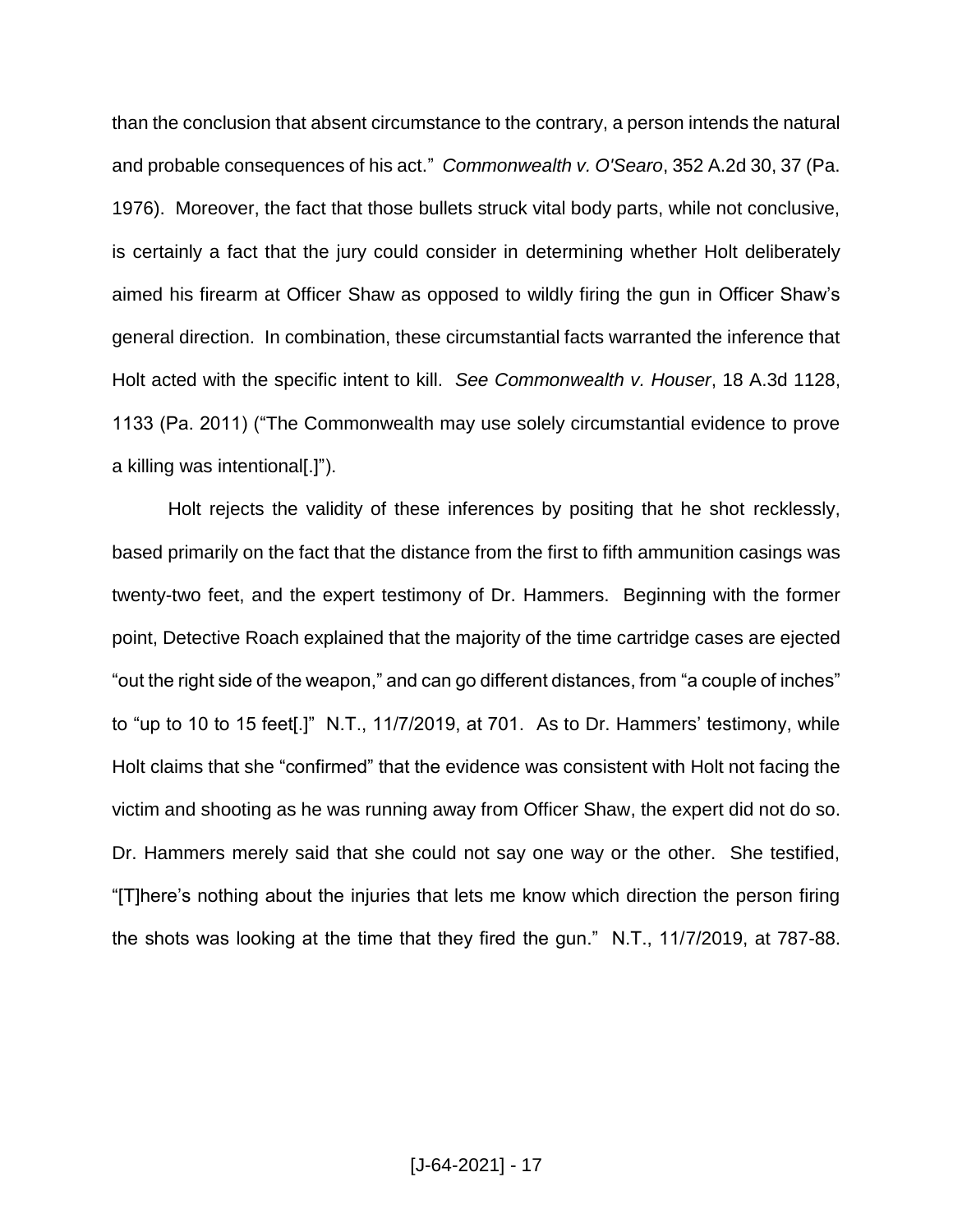than the conclusion that absent circumstance to the contrary, a person intends the natural and probable consequences of his act." *Commonwealth v. O'Searo*, 352 A.2d 30, 37 (Pa. 1976). Moreover, the fact that those bullets struck vital body parts, while not conclusive, is certainly a fact that the jury could consider in determining whether Holt deliberately aimed his firearm at Officer Shaw as opposed to wildly firing the gun in Officer Shaw's general direction. In combination, these circumstantial facts warranted the inference that Holt acted with the specific intent to kill. *See Commonwealth v. Houser*, 18 A.3d 1128, 1133 (Pa. 2011) ("The Commonwealth may use solely circumstantial evidence to prove a killing was intentional[.]").

Holt rejects the validity of these inferences by positing that he shot recklessly, based primarily on the fact that the distance from the first to fifth ammunition casings was twenty-two feet, and the expert testimony of Dr. Hammers. Beginning with the former point, Detective Roach explained that the majority of the time cartridge cases are ejected "out the right side of the weapon," and can go different distances, from "a couple of inches" to "up to 10 to 15 feet[.]" N.T., 11/7/2019, at 701. As to Dr. Hammers' testimony, while Holt claims that she "confirmed" that the evidence was consistent with Holt not facing the victim and shooting as he was running away from Officer Shaw, the expert did not do so. Dr. Hammers merely said that she could not say one way or the other. She testified, "[T]here's nothing about the injuries that lets me know which direction the person firing the shots was looking at the time that they fired the gun." N.T., 11/7/2019, at 787-88.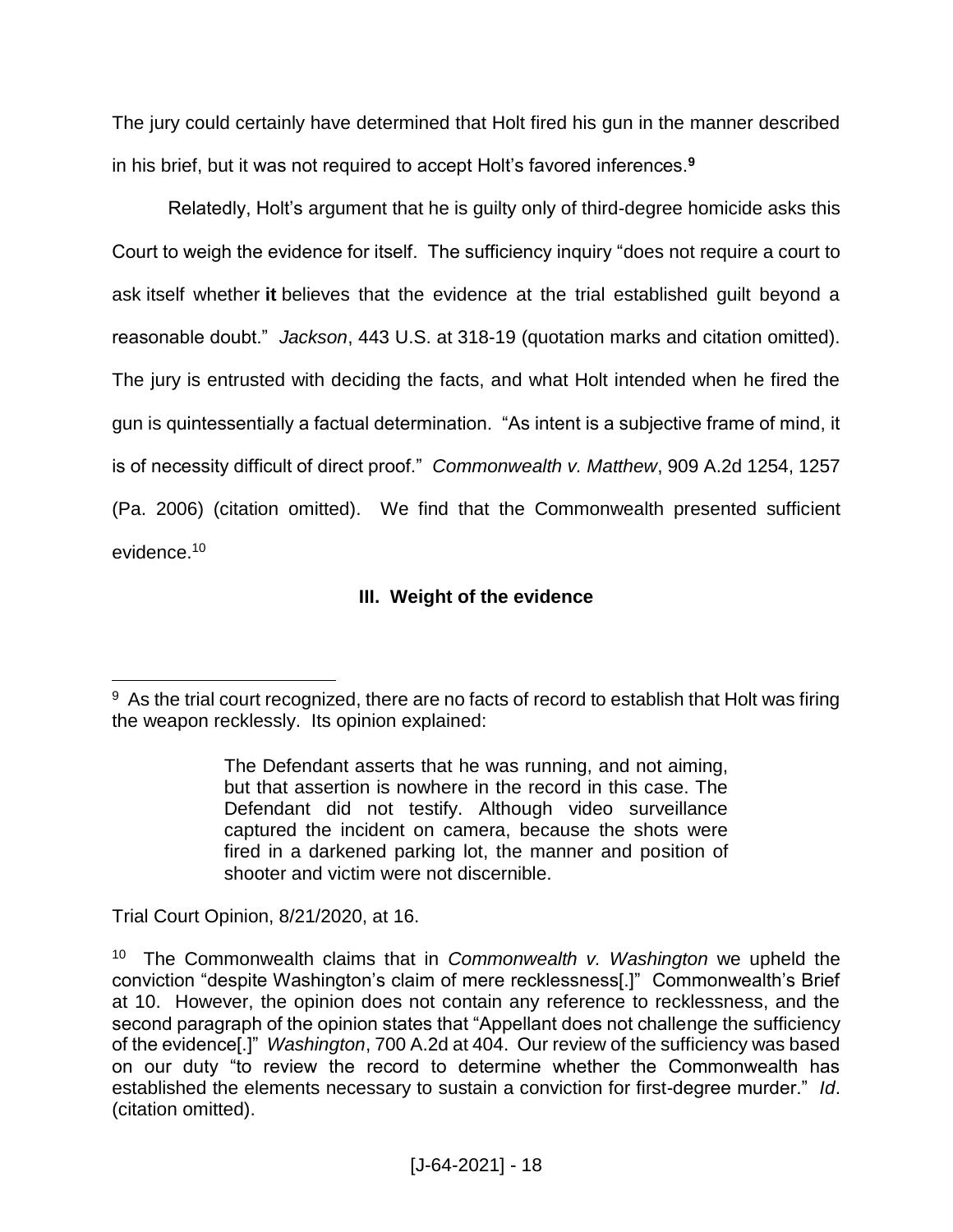The jury could certainly have determined that Holt fired his gun in the manner described in his brief, but it was not required to accept Holt's favored inferences.**<sup>9</sup>**

Relatedly, Holt's argument that he is guilty only of third-degree homicide asks this Court to weigh the evidence for itself. The sufficiency inquiry "does not require a court to ask itself whether **it** believes that the evidence at the trial established guilt beyond a reasonable doubt." *Jackson*, 443 U.S. at 318-19 (quotation marks and citation omitted). The jury is entrusted with deciding the facts, and what Holt intended when he fired the gun is quintessentially a factual determination. "As intent is a subjective frame of mind, it is of necessity difficult of direct proof." *Commonwealth v. Matthew*, 909 A.2d 1254, 1257 (Pa. 2006) (citation omitted). We find that the Commonwealth presented sufficient evidence.<sup>10</sup>

# **III. Weight of the evidence**

Trial Court Opinion, 8/21/2020, at 16.

<sup>&</sup>lt;sup>9</sup> As the trial court recognized, there are no facts of record to establish that Holt was firing the weapon recklessly. Its opinion explained:

The Defendant asserts that he was running, and not aiming, but that assertion is nowhere in the record in this case. The Defendant did not testify. Although video surveillance captured the incident on camera, because the shots were fired in a darkened parking lot, the manner and position of shooter and victim were not discernible.

<sup>10</sup> The Commonwealth claims that in *Commonwealth v. Washington* we upheld the conviction "despite Washington's claim of mere recklessness[.]" Commonwealth's Brief at 10. However, the opinion does not contain any reference to recklessness, and the second paragraph of the opinion states that "Appellant does not challenge the sufficiency of the evidence[.]" *Washington*, 700 A.2d at 404. Our review of the sufficiency was based on our duty "to review the record to determine whether the Commonwealth has established the elements necessary to sustain a conviction for first-degree murder." *Id*. (citation omitted).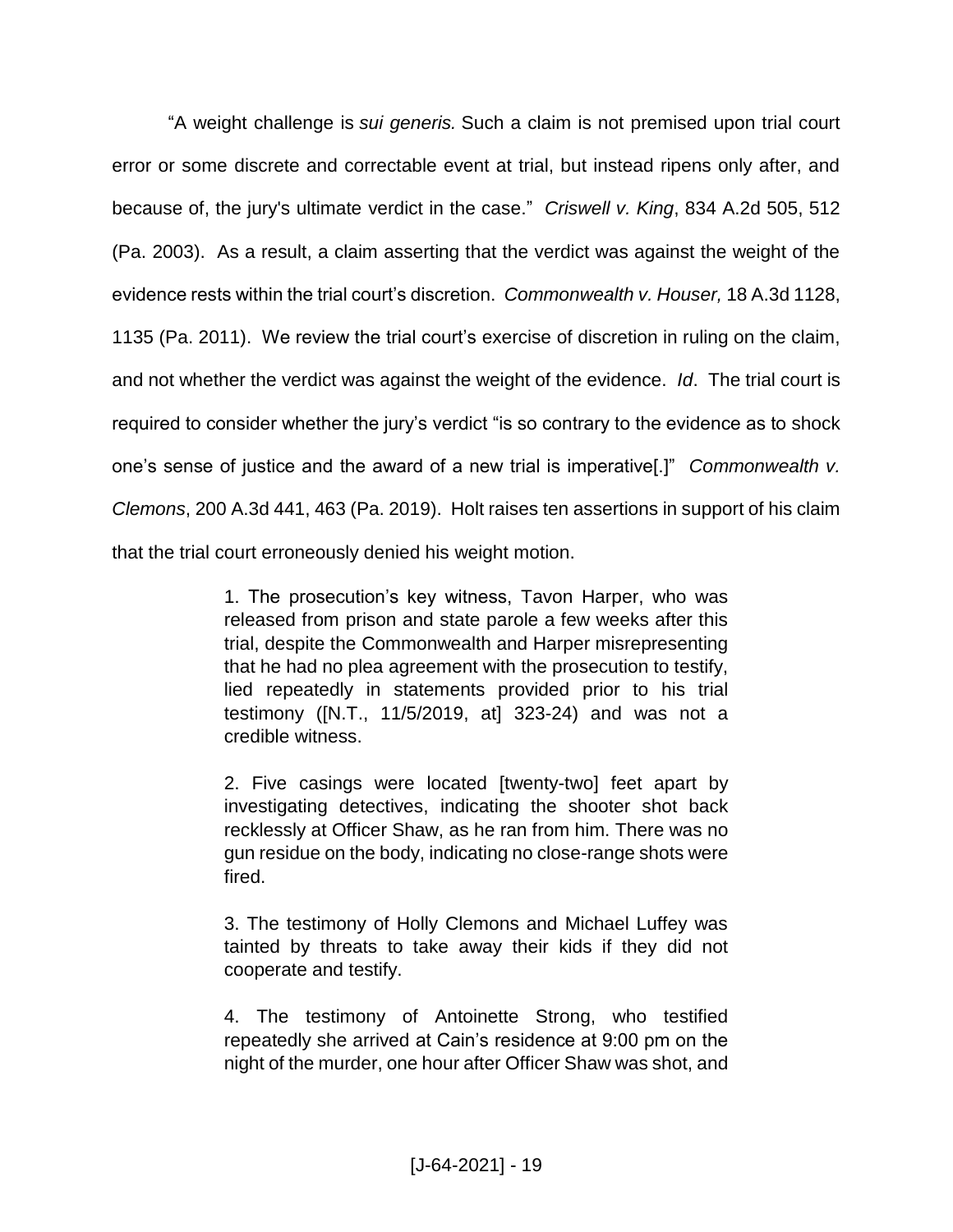"A weight challenge is *sui generis.* Such a claim is not premised upon trial court error or some discrete and correctable event at trial, but instead ripens only after, and because of, the jury's ultimate verdict in the case." *Criswell v. King*, 834 A.2d 505, 512 (Pa. 2003). As a result, a claim asserting that the verdict was against the weight of the evidence rests within the trial court's discretion. *Commonwealth v. Houser,* 18 A.3d 1128, 1135 (Pa. 2011). We review the trial court's exercise of discretion in ruling on the claim, and not whether the verdict was against the weight of the evidence. *Id*. The trial court is required to consider whether the jury's verdict "is so contrary to the evidence as to shock one's sense of justice and the award of a new trial is imperative[.]" *Commonwealth v. Clemons*, 200 A.3d 441, 463 (Pa. 2019). Holt raises ten assertions in support of his claim that the trial court erroneously denied his weight motion.

> 1. The prosecution's key witness, Tavon Harper, who was released from prison and state parole a few weeks after this trial, despite the Commonwealth and Harper misrepresenting that he had no plea agreement with the prosecution to testify, lied repeatedly in statements provided prior to his trial testimony ([N.T., 11/5/2019, at] 323-24) and was not a credible witness.

> 2. Five casings were located [twenty-two] feet apart by investigating detectives, indicating the shooter shot back recklessly at Officer Shaw, as he ran from him. There was no gun residue on the body, indicating no close-range shots were fired.

> 3. The testimony of Holly Clemons and Michael Luffey was tainted by threats to take away their kids if they did not cooperate and testify.

> 4. The testimony of Antoinette Strong, who testified repeatedly she arrived at Cain's residence at 9:00 pm on the night of the murder, one hour after Officer Shaw was shot, and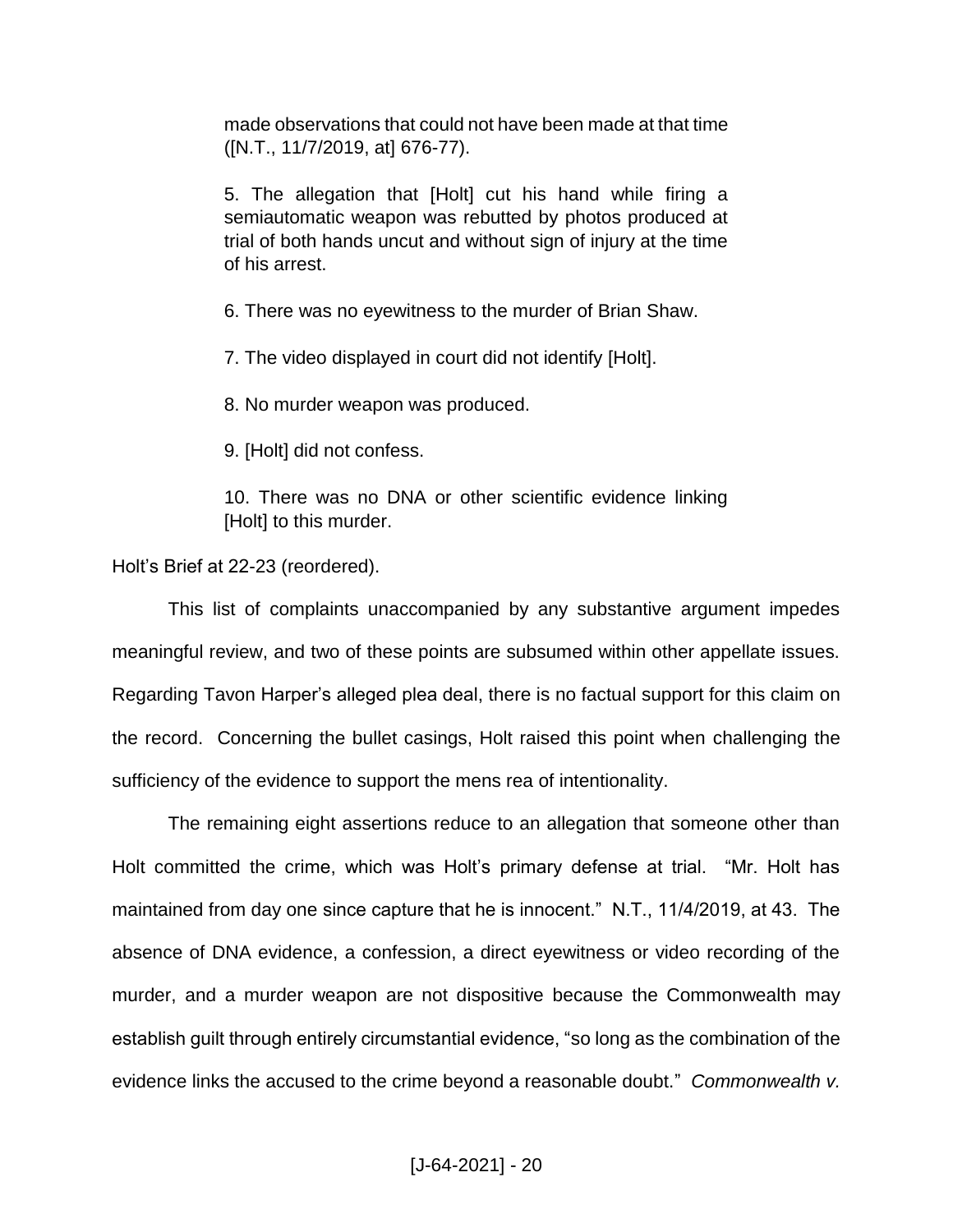made observations that could not have been made at that time ([N.T., 11/7/2019, at] 676-77).

5. The allegation that [Holt] cut his hand while firing a semiautomatic weapon was rebutted by photos produced at trial of both hands uncut and without sign of injury at the time of his arrest.

6. There was no eyewitness to the murder of Brian Shaw.

7. The video displayed in court did not identify [Holt].

8. No murder weapon was produced.

9. [Holt] did not confess.

10. There was no DNA or other scientific evidence linking [Holt] to this murder.

Holt's Brief at 22-23 (reordered).

This list of complaints unaccompanied by any substantive argument impedes meaningful review, and two of these points are subsumed within other appellate issues. Regarding Tavon Harper's alleged plea deal, there is no factual support for this claim on the record. Concerning the bullet casings, Holt raised this point when challenging the sufficiency of the evidence to support the mens rea of intentionality.

The remaining eight assertions reduce to an allegation that someone other than Holt committed the crime, which was Holt's primary defense at trial. "Mr. Holt has maintained from day one since capture that he is innocent." N.T., 11/4/2019, at 43. The absence of DNA evidence, a confession, a direct eyewitness or video recording of the murder, and a murder weapon are not dispositive because the Commonwealth may establish guilt through entirely circumstantial evidence, "so long as the combination of the evidence links the accused to the crime beyond a reasonable doubt." *Commonwealth v.*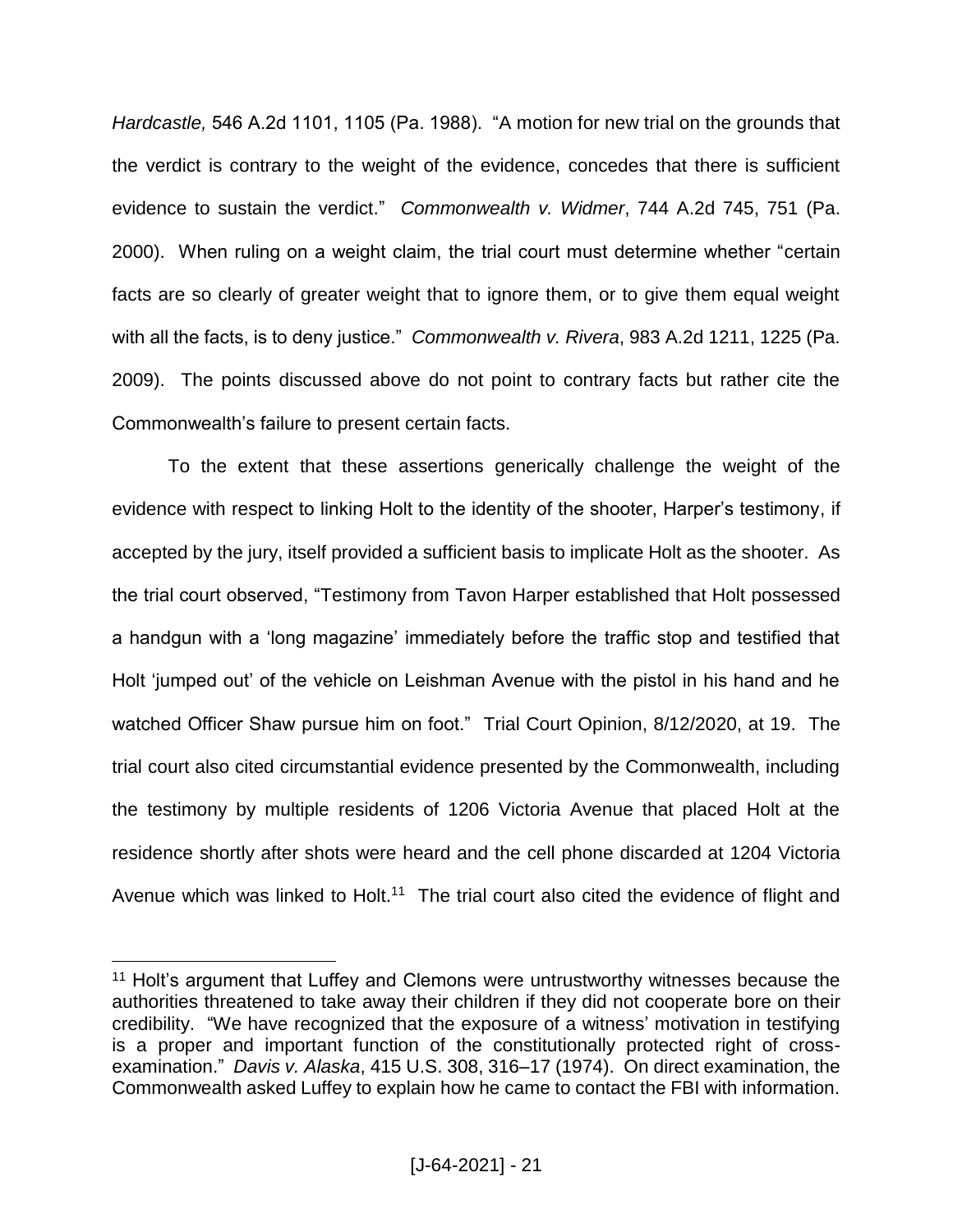*Hardcastle,* 546 A.2d 1101, 1105 (Pa. 1988). "A motion for new trial on the grounds that the verdict is contrary to the weight of the evidence, concedes that there is sufficient evidence to sustain the verdict." *Commonwealth v. Widmer*, 744 A.2d 745, 751 (Pa. 2000). When ruling on a weight claim, the trial court must determine whether "certain facts are so clearly of greater weight that to ignore them, or to give them equal weight with all the facts, is to deny justice." *Commonwealth v. Rivera*, 983 A.2d 1211, 1225 (Pa. 2009). The points discussed above do not point to contrary facts but rather cite the Commonwealth's failure to present certain facts.

To the extent that these assertions generically challenge the weight of the evidence with respect to linking Holt to the identity of the shooter, Harper's testimony, if accepted by the jury, itself provided a sufficient basis to implicate Holt as the shooter. As the trial court observed, "Testimony from Tavon Harper established that Holt possessed a handgun with a 'long magazine' immediately before the traffic stop and testified that Holt 'jumped out' of the vehicle on Leishman Avenue with the pistol in his hand and he watched Officer Shaw pursue him on foot." Trial Court Opinion, 8/12/2020, at 19. The trial court also cited circumstantial evidence presented by the Commonwealth, including the testimony by multiple residents of 1206 Victoria Avenue that placed Holt at the residence shortly after shots were heard and the cell phone discarded at 1204 Victoria Avenue which was linked to Holt.<sup>11</sup> The trial court also cited the evidence of flight and

<sup>&</sup>lt;sup>11</sup> Holt's argument that Luffey and Clemons were untrustworthy witnesses because the authorities threatened to take away their children if they did not cooperate bore on their credibility. "We have recognized that the exposure of a witness' motivation in testifying is a proper and important function of the constitutionally protected right of crossexamination." *Davis v. Alaska*, 415 U.S. 308, 316–17 (1974). On direct examination, the Commonwealth asked Luffey to explain how he came to contact the FBI with information.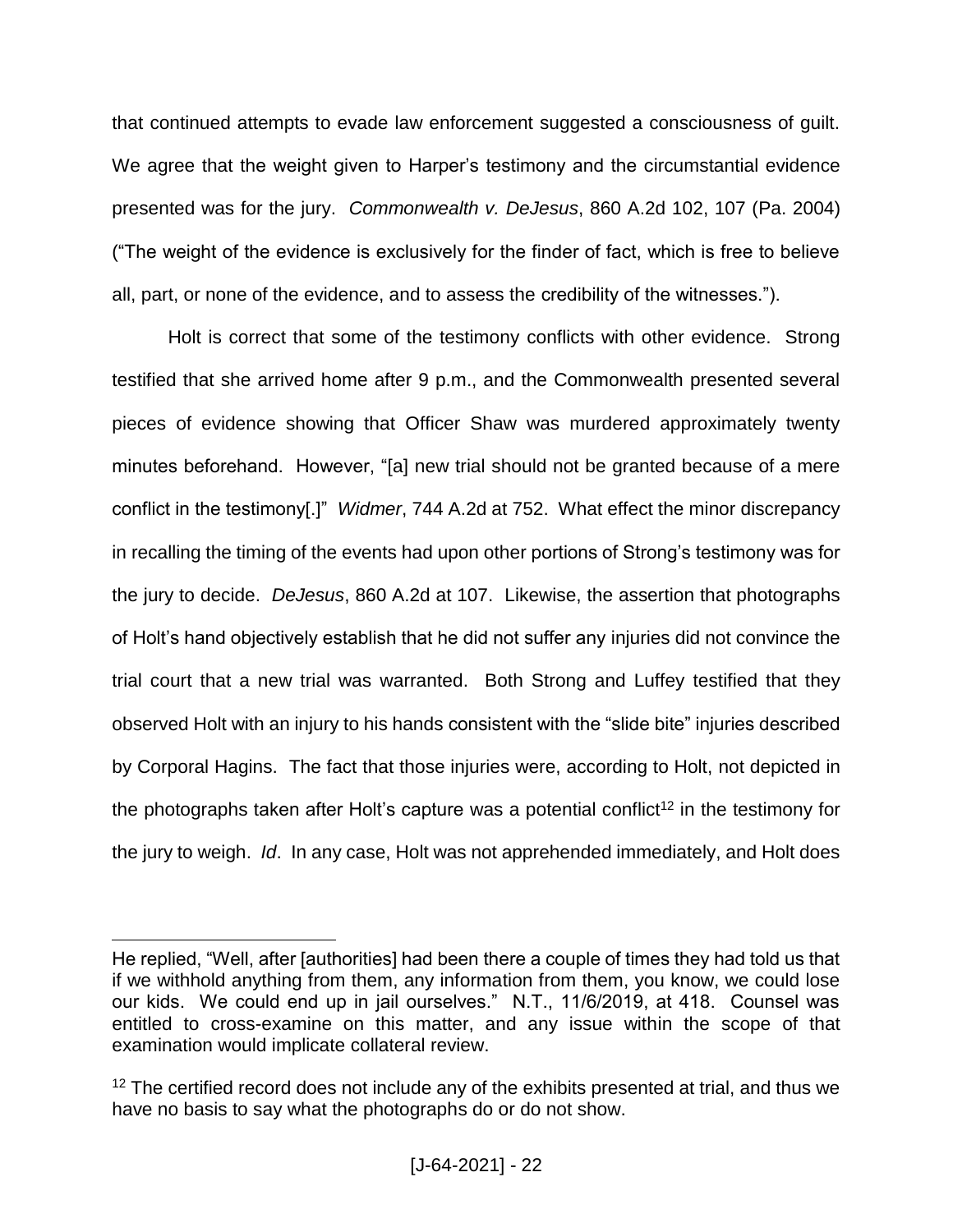that continued attempts to evade law enforcement suggested a consciousness of guilt. We agree that the weight given to Harper's testimony and the circumstantial evidence presented was for the jury. *Commonwealth v. DeJesus*, 860 A.2d 102, 107 (Pa. 2004) ("The weight of the evidence is exclusively for the finder of fact, which is free to believe all, part, or none of the evidence, and to assess the credibility of the witnesses.").

Holt is correct that some of the testimony conflicts with other evidence. Strong testified that she arrived home after 9 p.m., and the Commonwealth presented several pieces of evidence showing that Officer Shaw was murdered approximately twenty minutes beforehand. However, "[a] new trial should not be granted because of a mere conflict in the testimony[.]" *Widmer*, 744 A.2d at 752. What effect the minor discrepancy in recalling the timing of the events had upon other portions of Strong's testimony was for the jury to decide. *DeJesus*, 860 A.2d at 107. Likewise, the assertion that photographs of Holt's hand objectively establish that he did not suffer any injuries did not convince the trial court that a new trial was warranted. Both Strong and Luffey testified that they observed Holt with an injury to his hands consistent with the "slide bite" injuries described by Corporal Hagins. The fact that those injuries were, according to Holt, not depicted in the photographs taken after Holt's capture was a potential conflict<sup>12</sup> in the testimony for the jury to weigh. *Id*. In any case, Holt was not apprehended immediately, and Holt does

He replied, "Well, after [authorities] had been there a couple of times they had told us that if we withhold anything from them, any information from them, you know, we could lose our kids. We could end up in jail ourselves." N.T., 11/6/2019, at 418. Counsel was entitled to cross-examine on this matter, and any issue within the scope of that examination would implicate collateral review.

<sup>&</sup>lt;sup>12</sup> The certified record does not include any of the exhibits presented at trial, and thus we have no basis to say what the photographs do or do not show.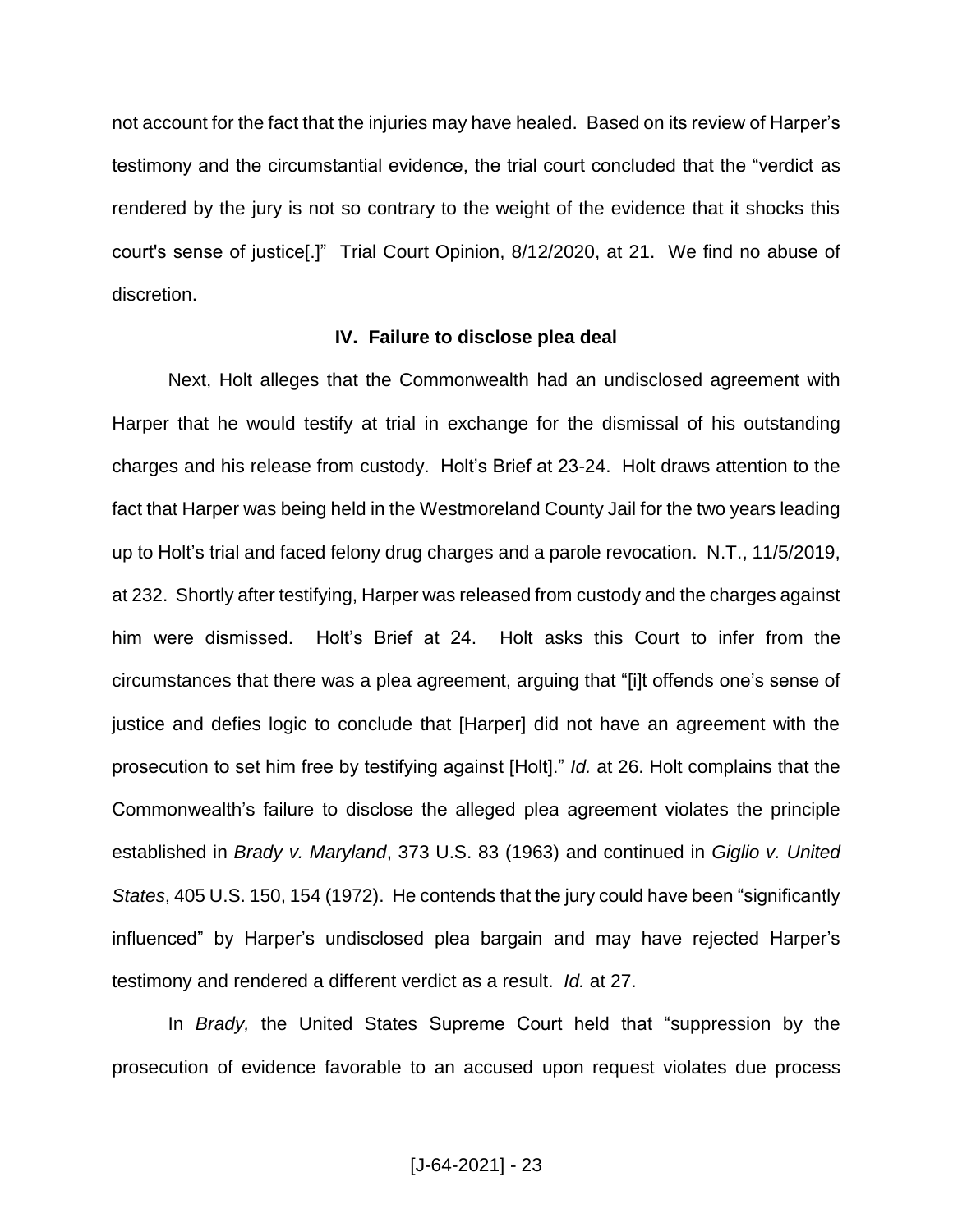not account for the fact that the injuries may have healed. Based on its review of Harper's testimony and the circumstantial evidence, the trial court concluded that the "verdict as rendered by the jury is not so contrary to the weight of the evidence that it shocks this court's sense of justice[.]" Trial Court Opinion, 8/12/2020, at 21.We find no abuse of discretion.

#### **IV. Failure to disclose plea deal**

Next, Holt alleges that the Commonwealth had an undisclosed agreement with Harper that he would testify at trial in exchange for the dismissal of his outstanding charges and his release from custody. Holt's Brief at 23-24. Holt draws attention to the fact that Harper was being held in the Westmoreland County Jail for the two years leading up to Holt's trial and faced felony drug charges and a parole revocation. N.T., 11/5/2019, at 232. Shortly after testifying, Harper was released from custody and the charges against him were dismissed. Holt's Brief at 24. Holt asks this Court to infer from the circumstances that there was a plea agreement, arguing that "[i]t offends one's sense of justice and defies logic to conclude that [Harper] did not have an agreement with the prosecution to set him free by testifying against [Holt]." *Id.* at 26. Holt complains that the Commonwealth's failure to disclose the alleged plea agreement violates the principle established in *Brady v. Maryland*, 373 U.S. 83 (1963) and continued in *Giglio v. United States*, 405 U.S. 150, 154 (1972). He contends that the jury could have been "significantly influenced" by Harper's undisclosed plea bargain and may have rejected Harper's testimony and rendered a different verdict as a result. *Id.* at 27.

In *Brady,* the United States Supreme Court held that "suppression by the prosecution of evidence favorable to an accused upon request violates due process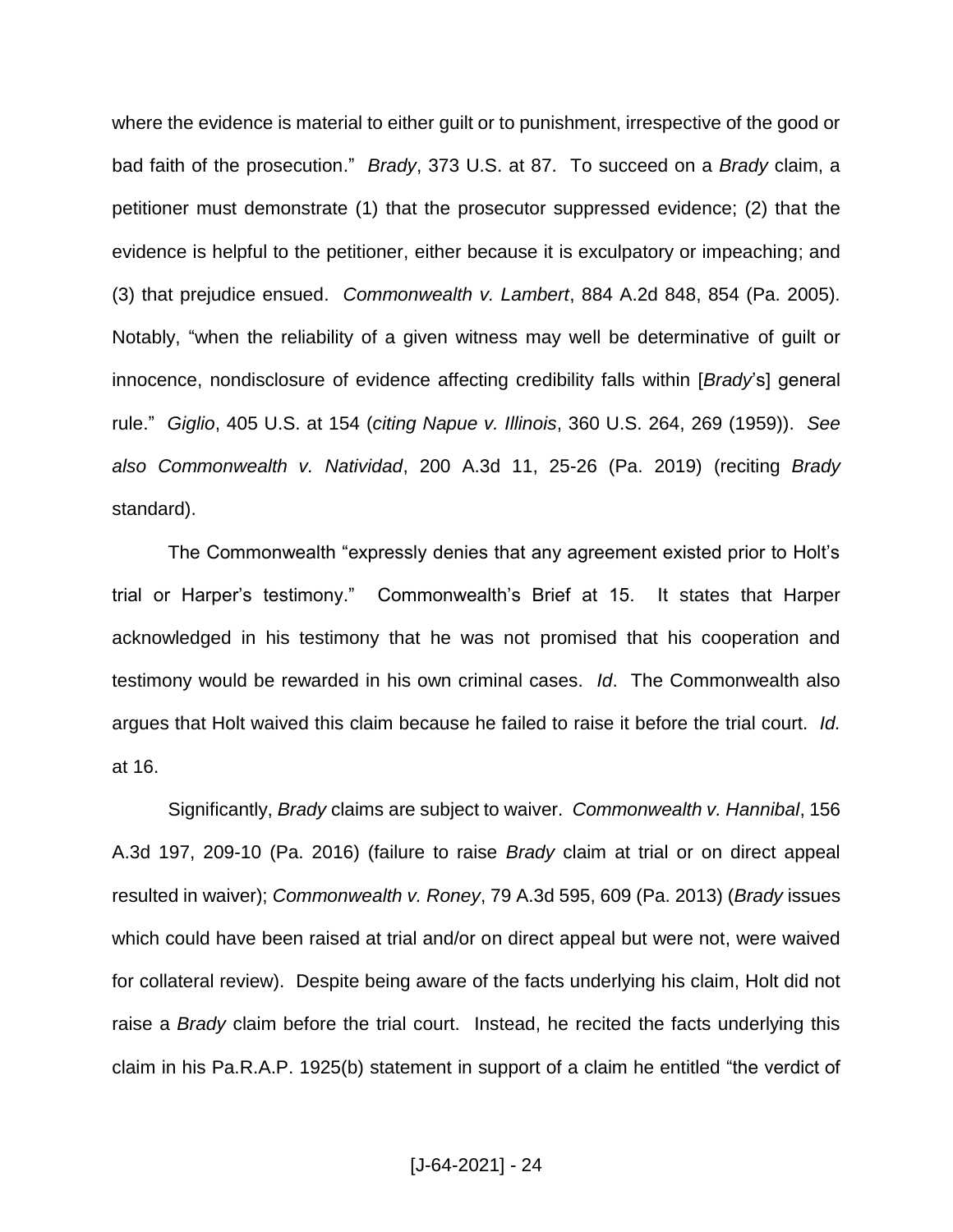where the evidence is material to either guilt or to punishment, irrespective of the good or bad faith of the prosecution." *Brady*, 373 U.S. at 87. To succeed on a *Brady* claim, a petitioner must demonstrate (1) that the prosecutor suppressed evidence; (2) that the evidence is helpful to the petitioner, either because it is exculpatory or impeaching; and (3) that prejudice ensued. *Commonwealth v. Lambert*, 884 A.2d 848, 854 (Pa. 2005). Notably, "when the reliability of a given witness may well be determinative of guilt or innocence, nondisclosure of evidence affecting credibility falls within [*Brady*'s] general rule." *Giglio*, 405 U.S. at 154 (*citing Napue v. Illinois*, 360 U.S. 264, 269 (1959)). *See also Commonwealth v. Natividad*, 200 A.3d 11, 25-26 (Pa. 2019) (reciting *Brady* standard).

The Commonwealth "expressly denies that any agreement existed prior to Holt's trial or Harper's testimony." Commonwealth's Brief at 15. It states that Harper acknowledged in his testimony that he was not promised that his cooperation and testimony would be rewarded in his own criminal cases. *Id*. The Commonwealth also argues that Holt waived this claim because he failed to raise it before the trial court. *Id.*  at 16.

Significantly, *Brady* claims are subject to waiver. *Commonwealth v. Hannibal*, 156 A.3d 197, 209-10 (Pa. 2016) (failure to raise *Brady* claim at trial or on direct appeal resulted in waiver); *Commonwealth v. Roney*, 79 A.3d 595, 609 (Pa. 2013) (*Brady* issues which could have been raised at trial and/or on direct appeal but were not, were waived for collateral review). Despite being aware of the facts underlying his claim, Holt did not raise a *Brady* claim before the trial court. Instead, he recited the facts underlying this claim in his Pa.R.A.P. 1925(b) statement in support of a claim he entitled "the verdict of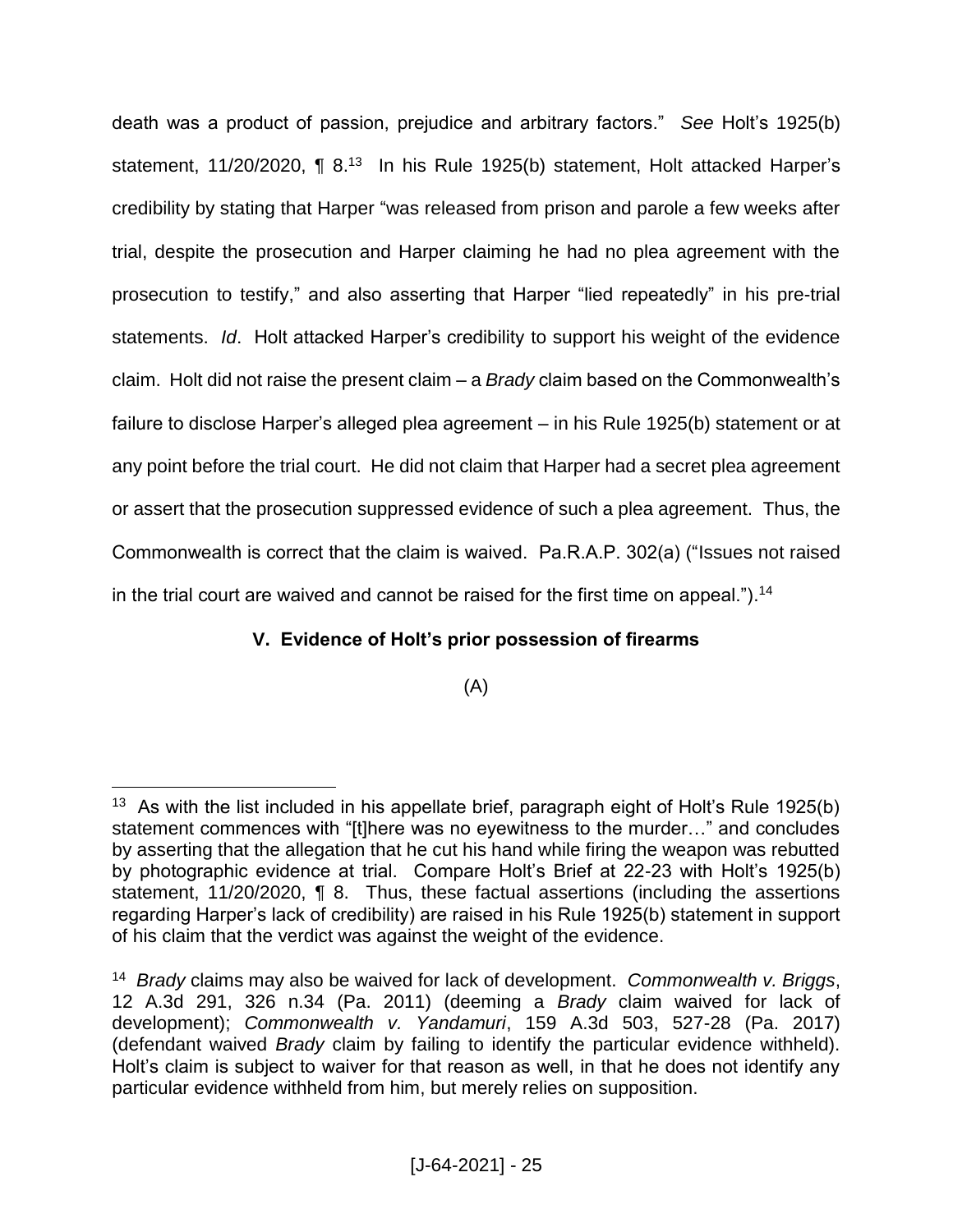death was a product of passion, prejudice and arbitrary factors." *See* Holt's 1925(b) statement, 11/20/2020, ¶ 8.<sup>13</sup> In his Rule 1925(b) statement, Holt attacked Harper's credibility by stating that Harper "was released from prison and parole a few weeks after trial, despite the prosecution and Harper claiming he had no plea agreement with the prosecution to testify," and also asserting that Harper "lied repeatedly" in his pre-trial statements. *Id*. Holt attacked Harper's credibility to support his weight of the evidence claim. Holt did not raise the present claim – a *Brady* claim based on the Commonwealth's failure to disclose Harper's alleged plea agreement – in his Rule 1925(b) statement or at any point before the trial court. He did not claim that Harper had a secret plea agreement or assert that the prosecution suppressed evidence of such a plea agreement. Thus, the Commonwealth is correct that the claim is waived. Pa.R.A.P. 302(a) ("Issues not raised in the trial court are waived and cannot be raised for the first time on appeal.").<sup>14</sup>

# **V. Evidence of Holt's prior possession of firearms**

(A)

<sup>&</sup>lt;sup>13</sup> As with the list included in his appellate brief, paragraph eight of Holt's Rule 1925(b) statement commences with "[t]here was no eyewitness to the murder…" and concludes by asserting that the allegation that he cut his hand while firing the weapon was rebutted by photographic evidence at trial. Compare Holt's Brief at 22-23 with Holt's 1925(b) statement, 11/20/2020, ¶ 8. Thus, these factual assertions (including the assertions regarding Harper's lack of credibility) are raised in his Rule 1925(b) statement in support of his claim that the verdict was against the weight of the evidence.

<sup>14</sup> *Brady* claims may also be waived for lack of development. *Commonwealth v. Briggs*, 12 A.3d 291, 326 n.34 (Pa. 2011) (deeming a *Brady* claim waived for lack of development); *Commonwealth v. Yandamuri*, 159 A.3d 503, 527-28 (Pa. 2017) (defendant waived *Brady* claim by failing to identify the particular evidence withheld). Holt's claim is subject to waiver for that reason as well, in that he does not identify any particular evidence withheld from him, but merely relies on supposition.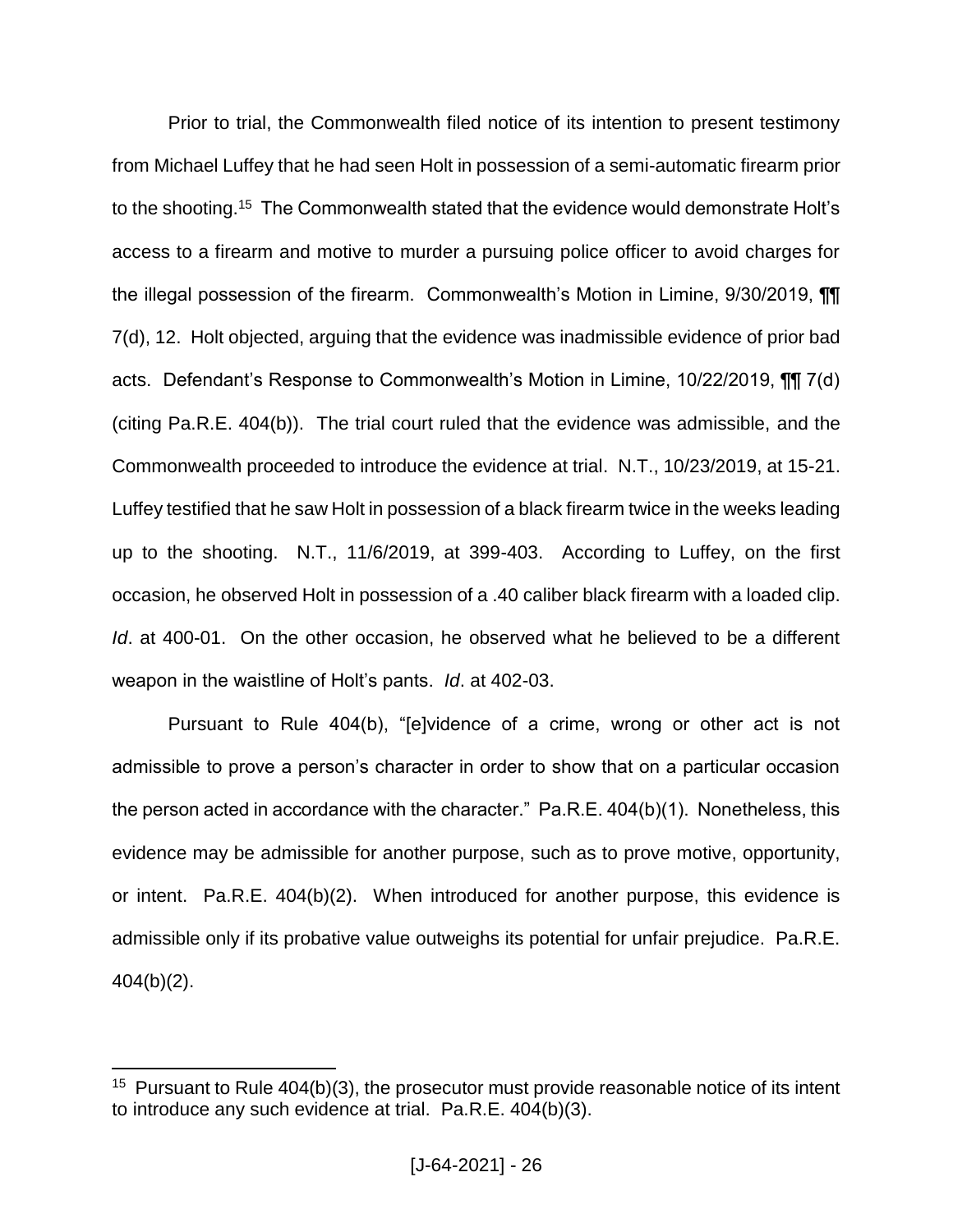Prior to trial, the Commonwealth filed notice of its intention to present testimony from Michael Luffey that he had seen Holt in possession of a semi-automatic firearm prior to the shooting.<sup>15</sup> The Commonwealth stated that the evidence would demonstrate Holt's access to a firearm and motive to murder a pursuing police officer to avoid charges for the illegal possession of the firearm. Commonwealth's Motion in Limine, 9/30/2019, ¶¶ 7(d), 12. Holt objected, arguing that the evidence was inadmissible evidence of prior bad acts. Defendant's Response to Commonwealth's Motion in Limine, 10/22/2019, ¶¶ 7(d) (citing Pa.R.E. 404(b)). The trial court ruled that the evidence was admissible, and the Commonwealth proceeded to introduce the evidence at trial. N.T., 10/23/2019, at 15-21. Luffey testified that he saw Holt in possession of a black firearm twice in the weeks leading up to the shooting. N.T., 11/6/2019, at 399-403. According to Luffey, on the first occasion, he observed Holt in possession of a .40 caliber black firearm with a loaded clip. *Id*. at 400-01. On the other occasion, he observed what he believed to be a different weapon in the waistline of Holt's pants. *Id*. at 402-03.

Pursuant to Rule 404(b), "[e]vidence of a crime, wrong or other act is not admissible to prove a person's character in order to show that on a particular occasion the person acted in accordance with the character." Pa.R.E. 404(b)(1). Nonetheless, this evidence may be admissible for another purpose, such as to prove motive, opportunity, or intent. Pa.R.E. 404(b)(2). When introduced for another purpose, this evidence is admissible only if its probative value outweighs its potential for unfair prejudice. Pa.R.E. 404(b)(2).

<sup>&</sup>lt;sup>15</sup> Pursuant to Rule  $404(b)(3)$ , the prosecutor must provide reasonable notice of its intent to introduce any such evidence at trial. Pa.R.E. 404(b)(3).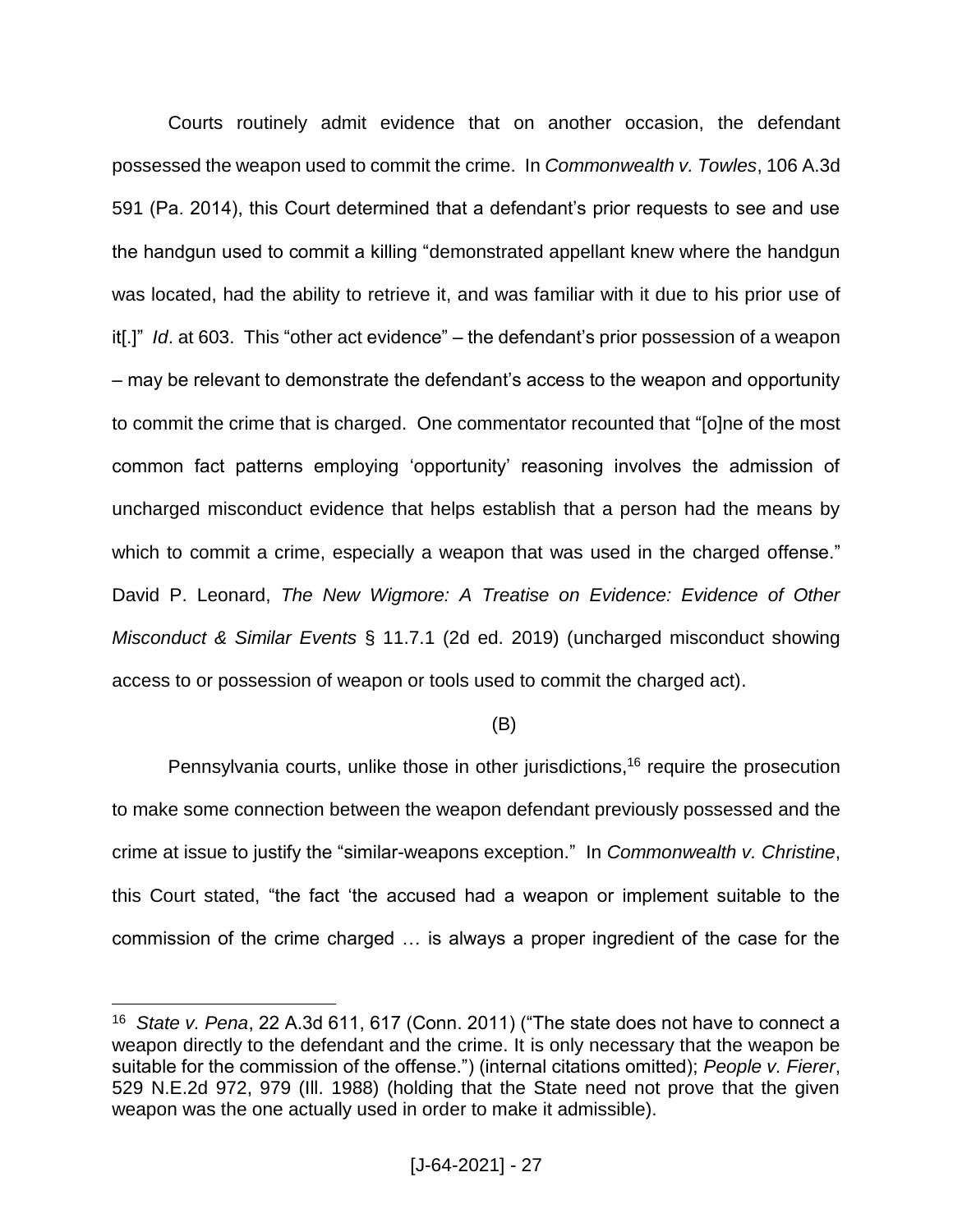Courts routinely admit evidence that on another occasion, the defendant possessed the weapon used to commit the crime. In *Commonwealth v. Towles*, 106 A.3d 591 (Pa. 2014), this Court determined that a defendant's prior requests to see and use the handgun used to commit a killing "demonstrated appellant knew where the handgun was located, had the ability to retrieve it, and was familiar with it due to his prior use of it[.]" *Id*. at 603. This "other act evidence" – the defendant's prior possession of a weapon – may be relevant to demonstrate the defendant's access to the weapon and opportunity to commit the crime that is charged. One commentator recounted that "[o]ne of the most common fact patterns employing 'opportunity' reasoning involves the admission of uncharged misconduct evidence that helps establish that a person had the means by which to commit a crime, especially a weapon that was used in the charged offense." David P. Leonard, *The New Wigmore: A Treatise on Evidence: Evidence of Other Misconduct & Similar Events* § 11.7.1 (2d ed. 2019) (uncharged misconduct showing access to or possession of weapon or tools used to commit the charged act).

## (B)

Pennsylvania courts, unlike those in other jurisdictions, <sup>16</sup> require the prosecution to make some connection between the weapon defendant previously possessed and the crime at issue to justify the "similar-weapons exception." In *Commonwealth v. Christine*, this Court stated, "the fact 'the accused had a weapon or implement suitable to the commission of the crime charged … is always a proper ingredient of the case for the

<sup>16</sup> *State v. Pena*, 22 A.3d 611, 617 (Conn. 2011) ("The state does not have to connect a weapon directly to the defendant and the crime. It is only necessary that the weapon be suitable for the commission of the offense.") (internal citations omitted); *People v. Fierer*, 529 N.E.2d 972, 979 (Ill. 1988) (holding that the State need not prove that the given weapon was the one actually used in order to make it admissible).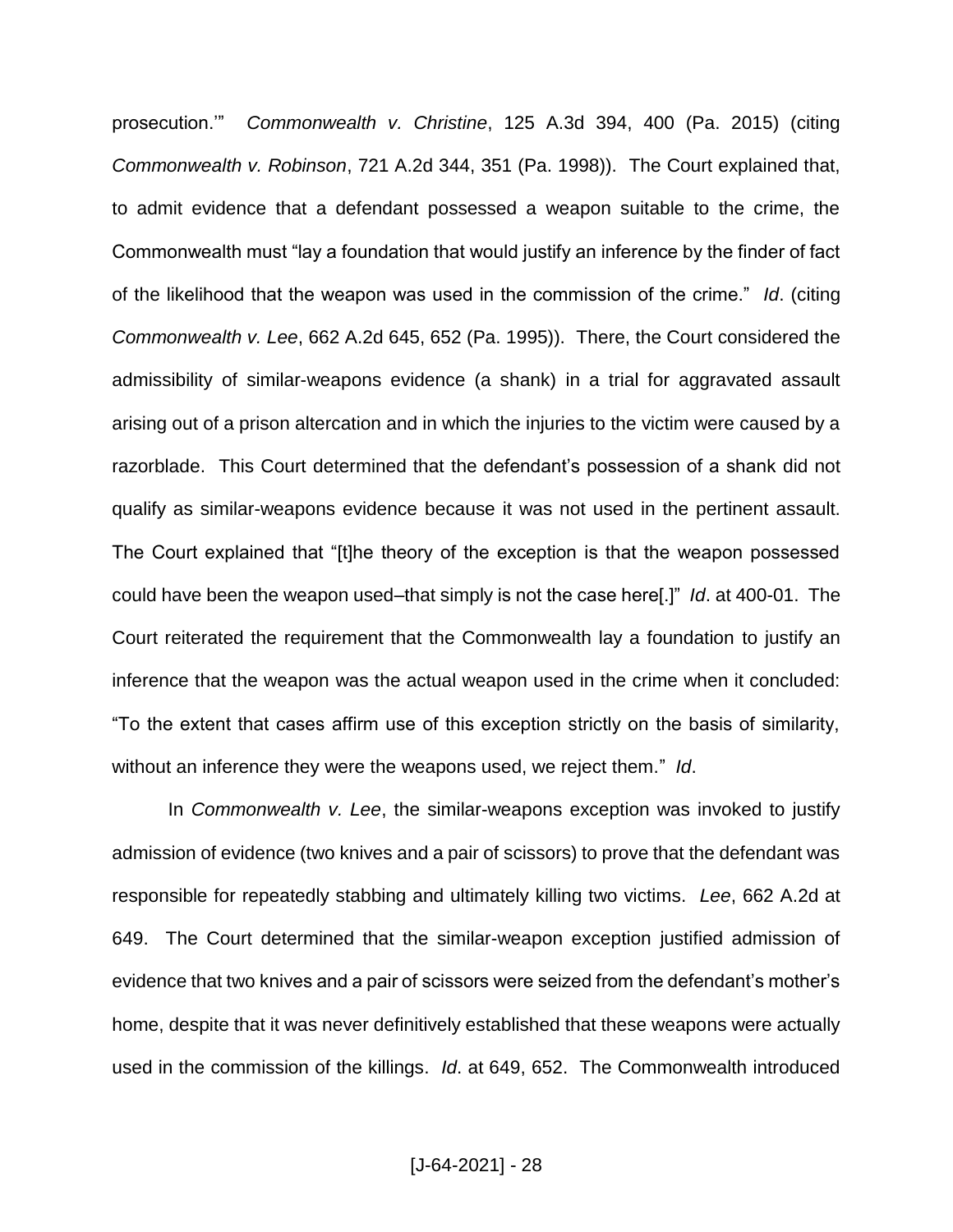prosecution.'" *Commonwealth v. Christine*, 125 A.3d 394, 400 (Pa. 2015) (citing *Commonwealth v. Robinson*, 721 A.2d 344, 351 (Pa. 1998)). The Court explained that, to admit evidence that a defendant possessed a weapon suitable to the crime, the Commonwealth must "lay a foundation that would justify an inference by the finder of fact of the likelihood that the weapon was used in the commission of the crime." *Id*. (citing *Commonwealth v. Lee*, 662 A.2d 645, 652 (Pa. 1995)). There, the Court considered the admissibility of similar-weapons evidence (a shank) in a trial for aggravated assault arising out of a prison altercation and in which the injuries to the victim were caused by a razorblade. This Court determined that the defendant's possession of a shank did not qualify as similar-weapons evidence because it was not used in the pertinent assault. The Court explained that "[t]he theory of the exception is that the weapon possessed could have been the weapon used–that simply is not the case here[.]" *Id*. at 400-01. The Court reiterated the requirement that the Commonwealth lay a foundation to justify an inference that the weapon was the actual weapon used in the crime when it concluded: "To the extent that cases affirm use of this exception strictly on the basis of similarity, without an inference they were the weapons used, we reject them." *Id*.

In *Commonwealth v. Lee*, the similar-weapons exception was invoked to justify admission of evidence (two knives and a pair of scissors) to prove that the defendant was responsible for repeatedly stabbing and ultimately killing two victims. *Lee*, 662 A.2d at 649. The Court determined that the similar-weapon exception justified admission of evidence that two knives and a pair of scissors were seized from the defendant's mother's home, despite that it was never definitively established that these weapons were actually used in the commission of the killings. *Id*. at 649, 652. The Commonwealth introduced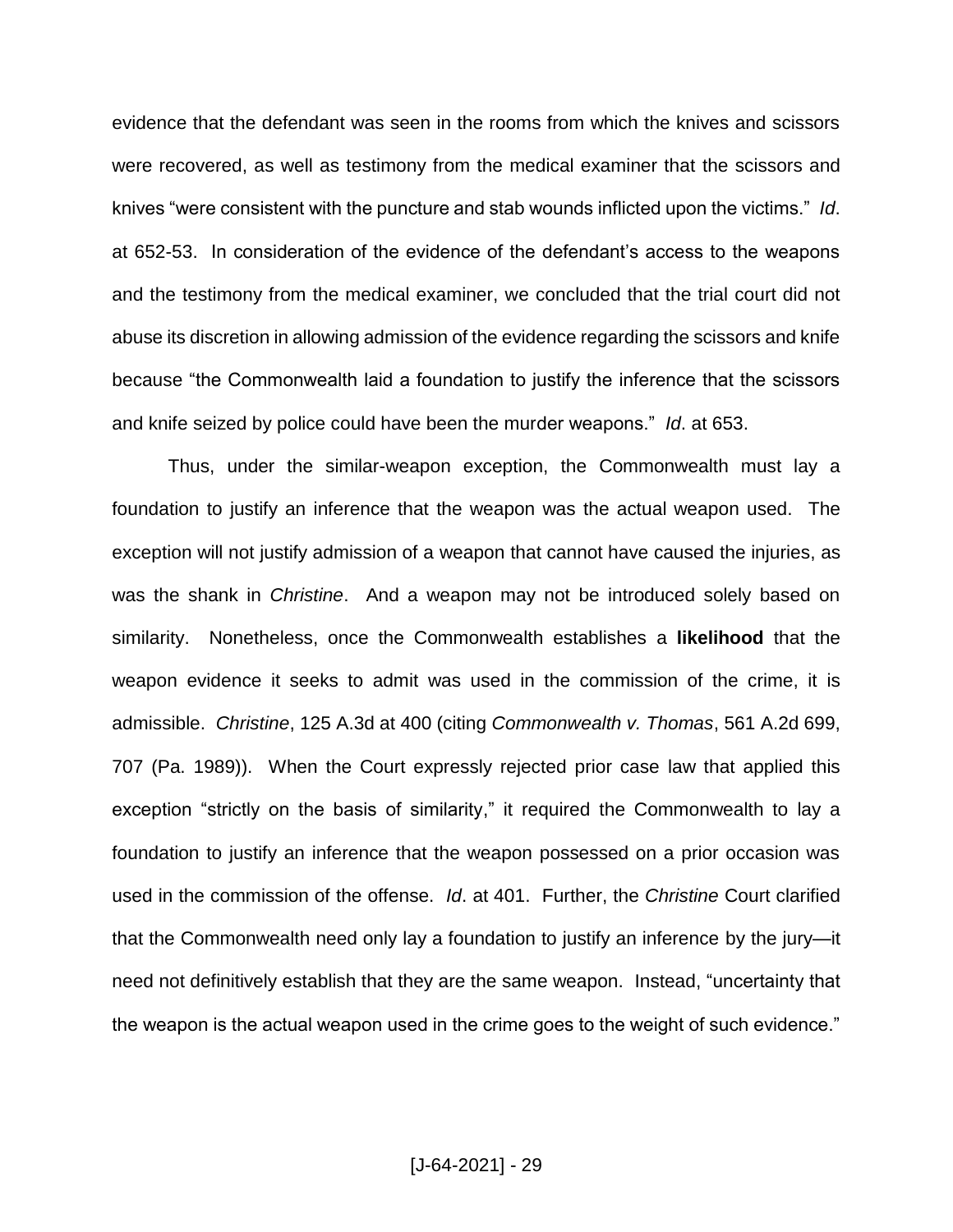evidence that the defendant was seen in the rooms from which the knives and scissors were recovered, as well as testimony from the medical examiner that the scissors and knives "were consistent with the puncture and stab wounds inflicted upon the victims." *Id*. at 652-53. In consideration of the evidence of the defendant's access to the weapons and the testimony from the medical examiner, we concluded that the trial court did not abuse its discretion in allowing admission of the evidence regarding the scissors and knife because "the Commonwealth laid a foundation to justify the inference that the scissors and knife seized by police could have been the murder weapons." *Id*. at 653.

Thus, under the similar-weapon exception, the Commonwealth must lay a foundation to justify an inference that the weapon was the actual weapon used. The exception will not justify admission of a weapon that cannot have caused the injuries, as was the shank in *Christine*. And a weapon may not be introduced solely based on similarity. Nonetheless, once the Commonwealth establishes a **likelihood** that the weapon evidence it seeks to admit was used in the commission of the crime, it is admissible. *Christine*, 125 A.3d at 400 (citing *Commonwealth v. Thomas*, 561 A.2d 699, 707 (Pa. 1989)). When the Court expressly rejected prior case law that applied this exception "strictly on the basis of similarity," it required the Commonwealth to lay a foundation to justify an inference that the weapon possessed on a prior occasion was used in the commission of the offense. *Id*. at 401. Further, the *Christine* Court clarified that the Commonwealth need only lay a foundation to justify an inference by the jury—it need not definitively establish that they are the same weapon. Instead, "uncertainty that the weapon is the actual weapon used in the crime goes to the weight of such evidence."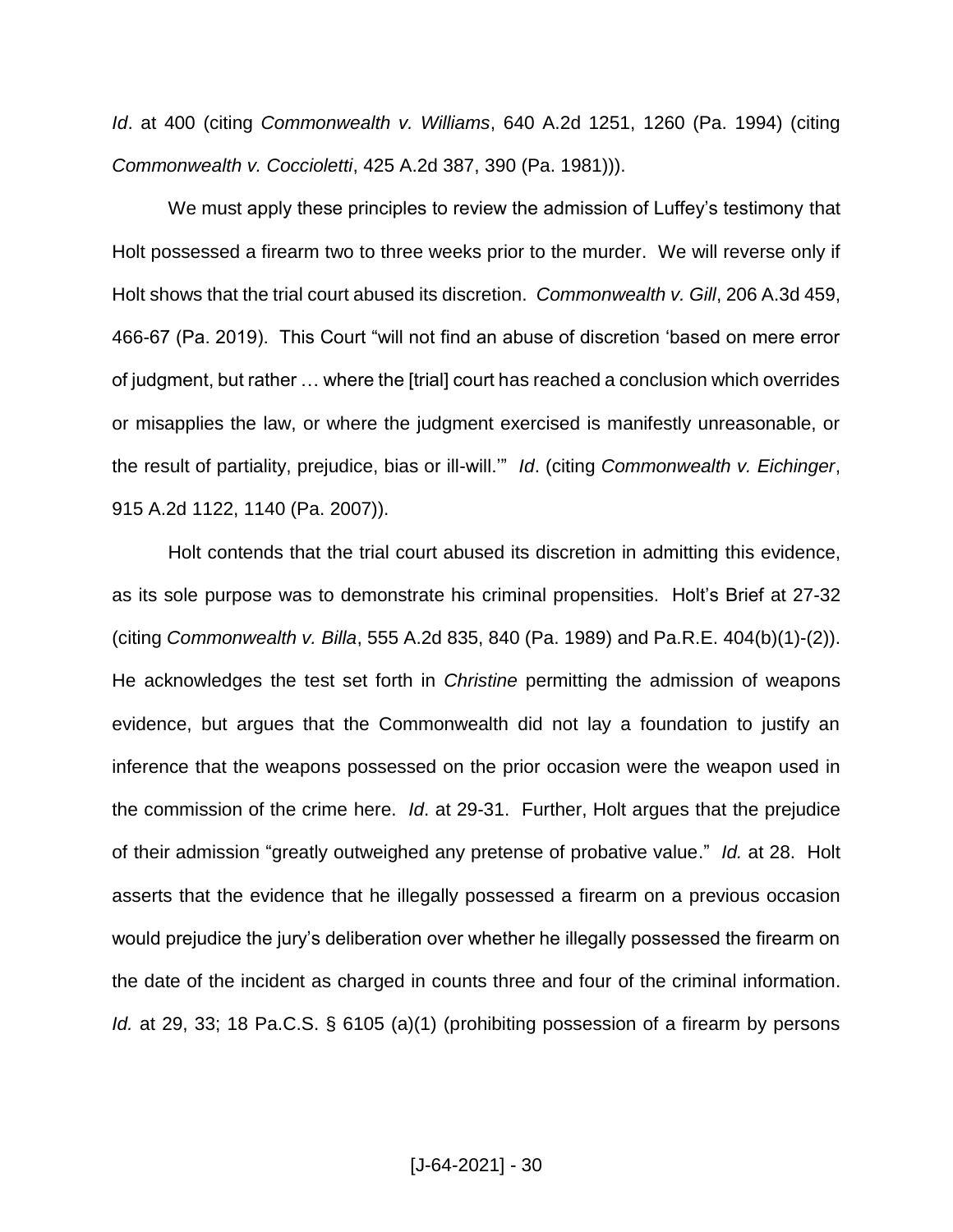*Id*. at 400 (citing *Commonwealth v. Williams*, 640 A.2d 1251, 1260 (Pa. 1994) (citing *Commonwealth v. Coccioletti*, 425 A.2d 387, 390 (Pa. 1981))).

We must apply these principles to review the admission of Luffey's testimony that Holt possessed a firearm two to three weeks prior to the murder. We will reverse only if Holt shows that the trial court abused its discretion. *Commonwealth v. Gill*, 206 A.3d 459, 466-67 (Pa. 2019). This Court "will not find an abuse of discretion 'based on mere error of judgment, but rather … where the [trial] court has reached a conclusion which overrides or misapplies the law, or where the judgment exercised is manifestly unreasonable, or the result of partiality, prejudice, bias or ill-will.'" *Id*. (citing *Commonwealth v. Eichinger*, 915 A.2d 1122, 1140 (Pa. 2007)).

Holt contends that the trial court abused its discretion in admitting this evidence, as its sole purpose was to demonstrate his criminal propensities. Holt's Brief at 27-32 (citing *Commonwealth v. Billa*, 555 A.2d 835, 840 (Pa. 1989) and Pa.R.E. 404(b)(1)-(2)). He acknowledges the test set forth in *Christine* permitting the admission of weapons evidence, but argues that the Commonwealth did not lay a foundation to justify an inference that the weapons possessed on the prior occasion were the weapon used in the commission of the crime here. *Id*. at 29-31. Further, Holt argues that the prejudice of their admission "greatly outweighed any pretense of probative value." *Id.* at 28. Holt asserts that the evidence that he illegally possessed a firearm on a previous occasion would prejudice the jury's deliberation over whether he illegally possessed the firearm on the date of the incident as charged in counts three and four of the criminal information. *Id.* at 29, 33; 18 Pa.C.S. § 6105 (a)(1) (prohibiting possession of a firearm by persons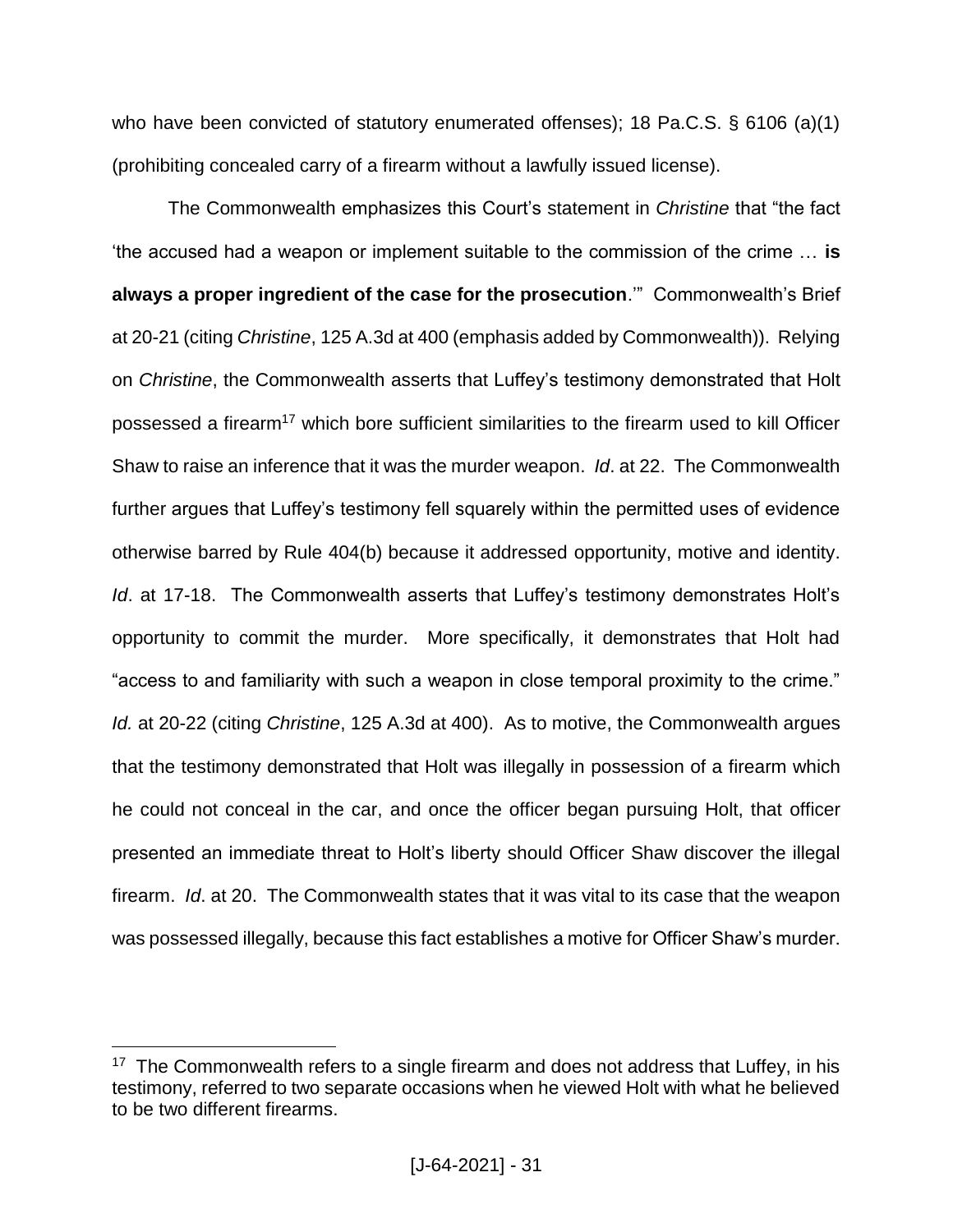who have been convicted of statutory enumerated offenses); 18 Pa.C.S. § 6106 (a)(1) (prohibiting concealed carry of a firearm without a lawfully issued license).

The Commonwealth emphasizes this Court's statement in *Christine* that "the fact 'the accused had a weapon or implement suitable to the commission of the crime … **is always a proper ingredient of the case for the prosecution**.'" Commonwealth's Brief at 20-21 (citing *Christine*, 125 A.3d at 400 (emphasis added by Commonwealth)). Relying on *Christine*, the Commonwealth asserts that Luffey's testimony demonstrated that Holt possessed a firearm<sup>17</sup> which bore sufficient similarities to the firearm used to kill Officer Shaw to raise an inference that it was the murder weapon. *Id*. at 22. The Commonwealth further argues that Luffey's testimony fell squarely within the permitted uses of evidence otherwise barred by Rule 404(b) because it addressed opportunity, motive and identity. *Id*. at 17-18. The Commonwealth asserts that Luffey's testimony demonstrates Holt's opportunity to commit the murder. More specifically, it demonstrates that Holt had "access to and familiarity with such a weapon in close temporal proximity to the crime." *Id.* at 20-22 (citing *Christine*, 125 A.3d at 400). As to motive, the Commonwealth argues that the testimony demonstrated that Holt was illegally in possession of a firearm which he could not conceal in the car, and once the officer began pursuing Holt, that officer presented an immediate threat to Holt's liberty should Officer Shaw discover the illegal firearm. *Id*. at 20. The Commonwealth states that it was vital to its case that the weapon was possessed illegally, because this fact establishes a motive for Officer Shaw's murder.

<sup>&</sup>lt;sup>17</sup> The Commonwealth refers to a single firearm and does not address that Luffey, in his testimony, referred to two separate occasions when he viewed Holt with what he believed to be two different firearms.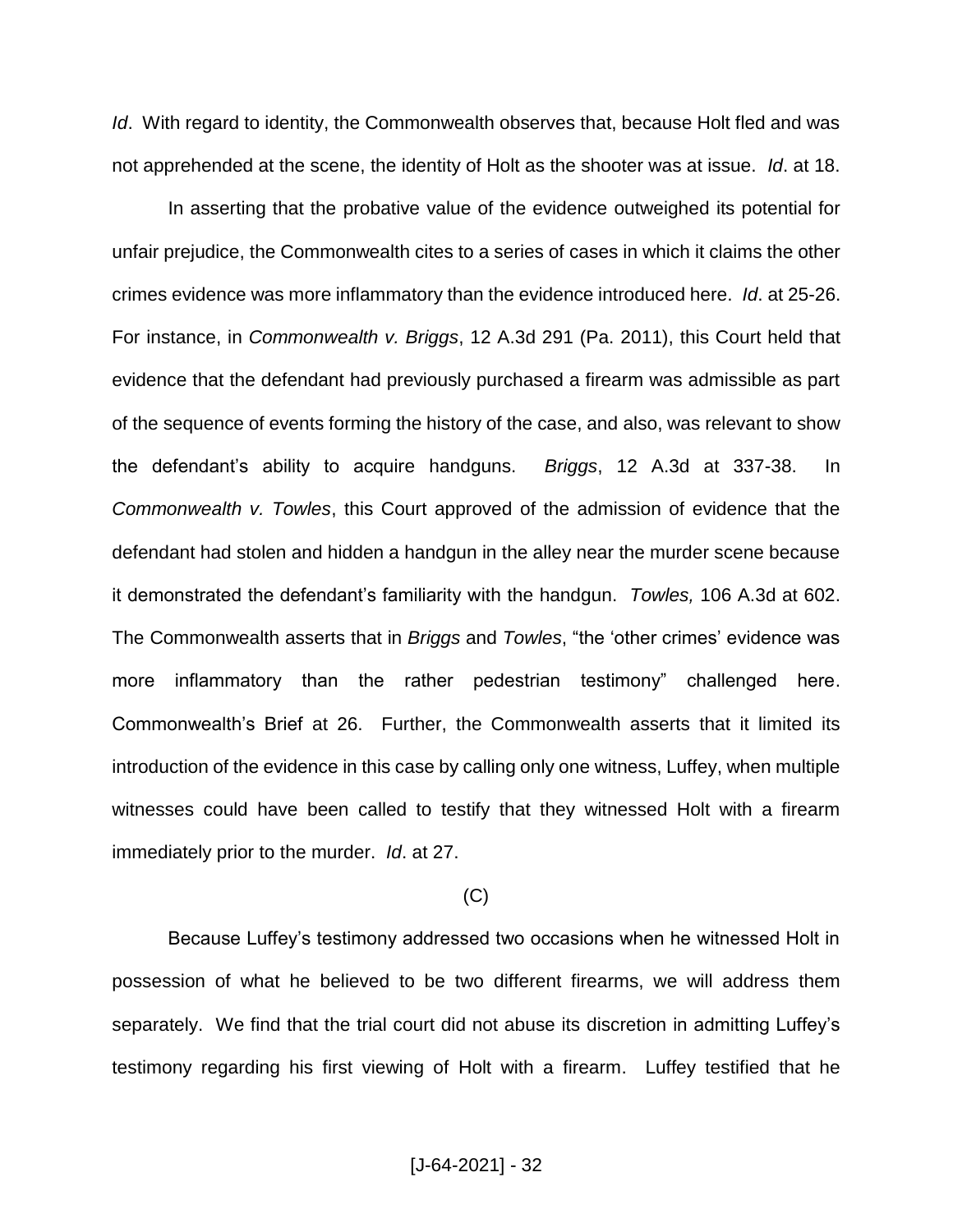*Id*. With regard to identity, the Commonwealth observes that, because Holt fled and was not apprehended at the scene, the identity of Holt as the shooter was at issue. *Id*. at 18.

In asserting that the probative value of the evidence outweighed its potential for unfair prejudice, the Commonwealth cites to a series of cases in which it claims the other crimes evidence was more inflammatory than the evidence introduced here. *Id*. at 25-26. For instance, in *Commonwealth v. Briggs*, 12 A.3d 291 (Pa. 2011), this Court held that evidence that the defendant had previously purchased a firearm was admissible as part of the sequence of events forming the history of the case, and also, was relevant to show the defendant's ability to acquire handguns. *Briggs*, 12 A.3d at 337-38. In *Commonwealth v. Towles*, this Court approved of the admission of evidence that the defendant had stolen and hidden a handgun in the alley near the murder scene because it demonstrated the defendant's familiarity with the handgun. *Towles,* 106 A.3d at 602. The Commonwealth asserts that in *Briggs* and *Towles*, "the 'other crimes' evidence was more inflammatory than the rather pedestrian testimony" challenged here. Commonwealth's Brief at 26. Further, the Commonwealth asserts that it limited its introduction of the evidence in this case by calling only one witness, Luffey, when multiple witnesses could have been called to testify that they witnessed Holt with a firearm immediately prior to the murder. *Id*. at 27.

## (C)

Because Luffey's testimony addressed two occasions when he witnessed Holt in possession of what he believed to be two different firearms, we will address them separately. We find that the trial court did not abuse its discretion in admitting Luffey's testimony regarding his first viewing of Holt with a firearm. Luffey testified that he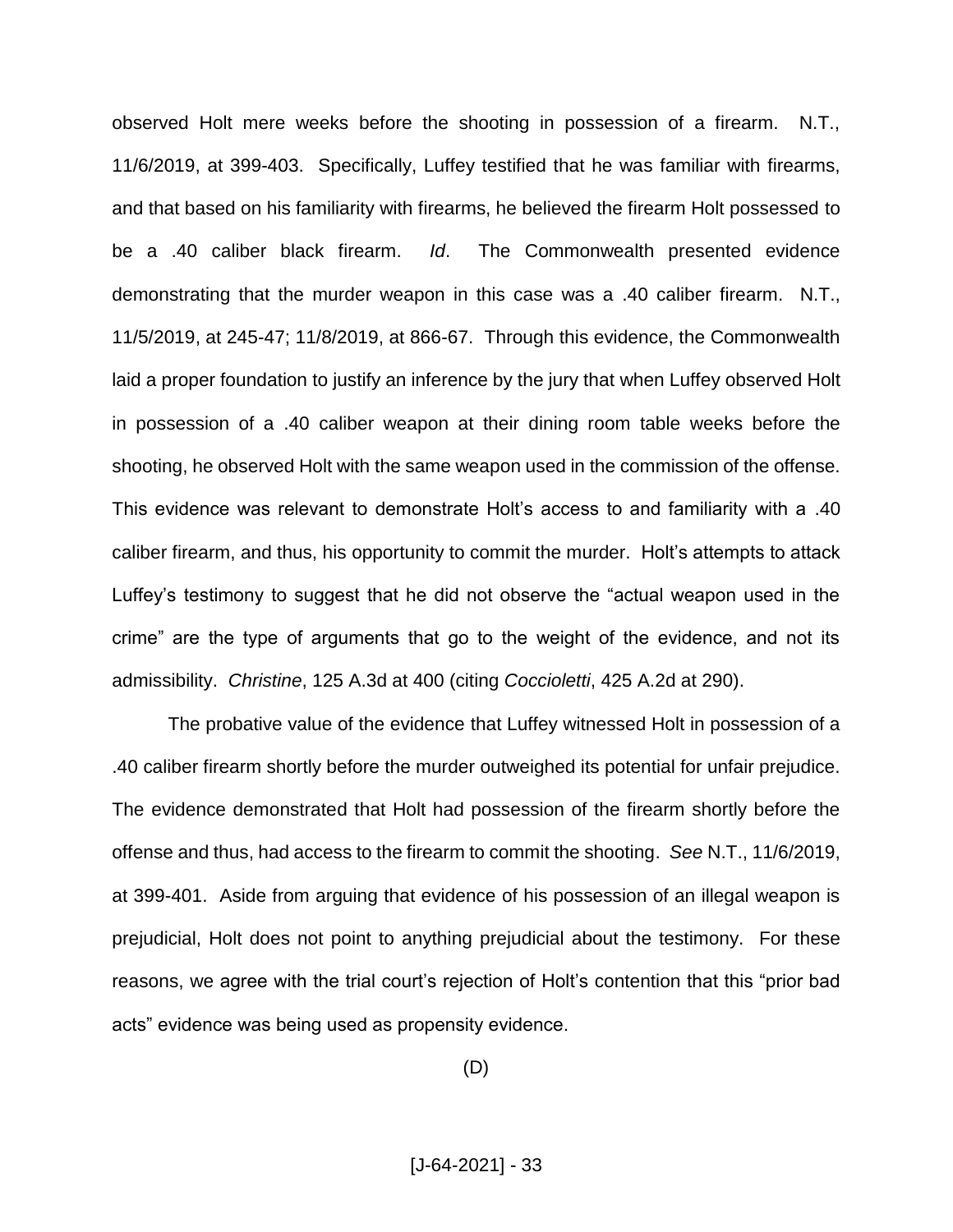observed Holt mere weeks before the shooting in possession of a firearm. N.T., 11/6/2019, at 399-403. Specifically, Luffey testified that he was familiar with firearms, and that based on his familiarity with firearms, he believed the firearm Holt possessed to be a .40 caliber black firearm. *Id*. The Commonwealth presented evidence demonstrating that the murder weapon in this case was a .40 caliber firearm. N.T., 11/5/2019, at 245-47; 11/8/2019, at 866-67. Through this evidence, the Commonwealth laid a proper foundation to justify an inference by the jury that when Luffey observed Holt in possession of a .40 caliber weapon at their dining room table weeks before the shooting, he observed Holt with the same weapon used in the commission of the offense. This evidence was relevant to demonstrate Holt's access to and familiarity with a .40 caliber firearm, and thus, his opportunity to commit the murder. Holt's attempts to attack Luffey's testimony to suggest that he did not observe the "actual weapon used in the crime" are the type of arguments that go to the weight of the evidence, and not its admissibility. *Christine*, 125 A.3d at 400 (citing *Coccioletti*, 425 A.2d at 290).

The probative value of the evidence that Luffey witnessed Holt in possession of a .40 caliber firearm shortly before the murder outweighed its potential for unfair prejudice. The evidence demonstrated that Holt had possession of the firearm shortly before the offense and thus, had access to the firearm to commit the shooting. *See* N.T., 11/6/2019, at 399-401. Aside from arguing that evidence of his possession of an illegal weapon is prejudicial, Holt does not point to anything prejudicial about the testimony. For these reasons, we agree with the trial court's rejection of Holt's contention that this "prior bad acts" evidence was being used as propensity evidence.

(D)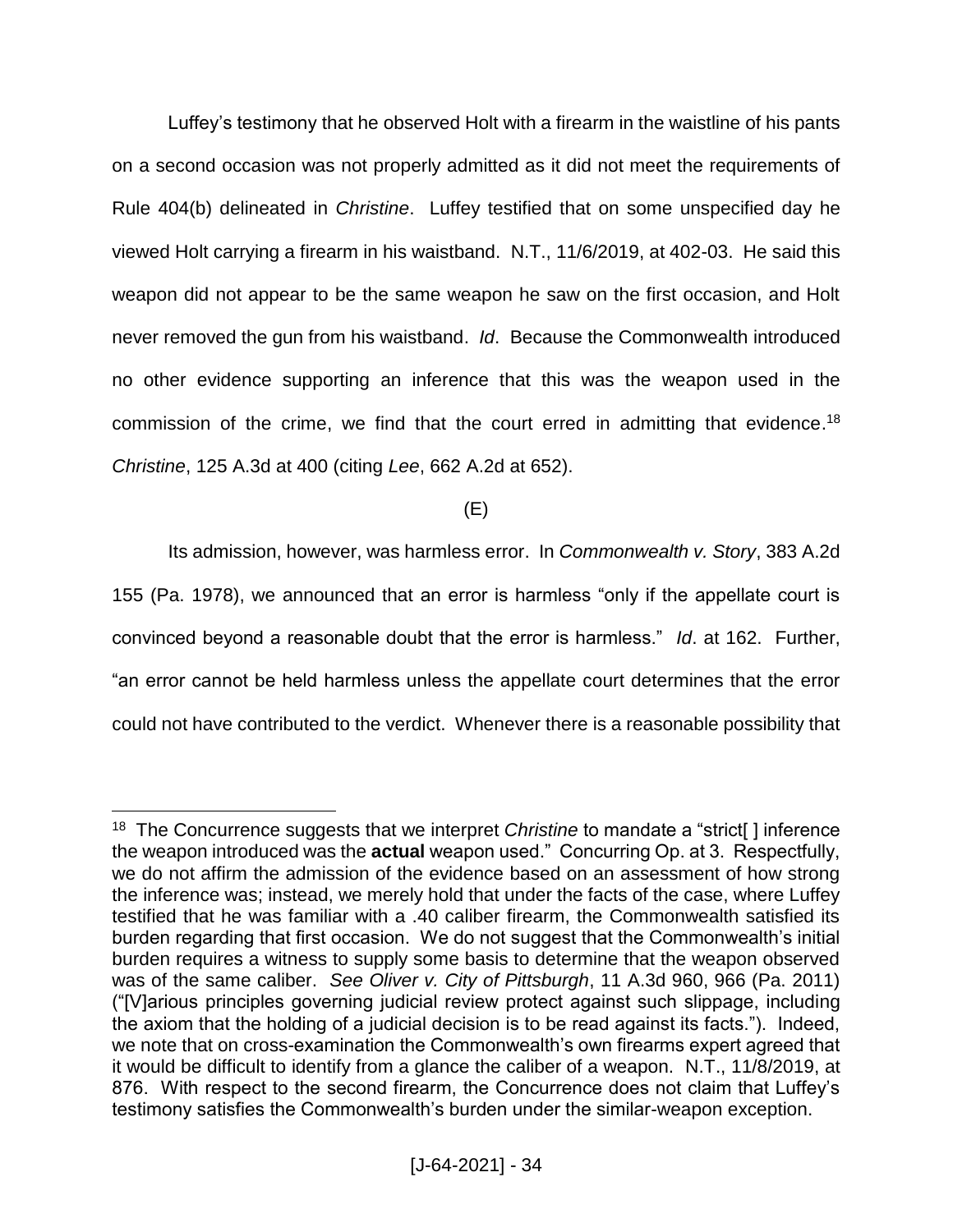Luffey's testimony that he observed Holt with a firearm in the waistline of his pants on a second occasion was not properly admitted as it did not meet the requirements of Rule 404(b) delineated in *Christine*. Luffey testified that on some unspecified day he viewed Holt carrying a firearm in his waistband. N.T., 11/6/2019, at 402-03. He said this weapon did not appear to be the same weapon he saw on the first occasion, and Holt never removed the gun from his waistband. *Id*. Because the Commonwealth introduced no other evidence supporting an inference that this was the weapon used in the commission of the crime, we find that the court erred in admitting that evidence.<sup>18</sup> *Christine*, 125 A.3d at 400 (citing *Lee*, 662 A.2d at 652).

(E)

Its admission, however, was harmless error. In *Commonwealth v. Story*, 383 A.2d 155 (Pa. 1978), we announced that an error is harmless "only if the appellate court is convinced beyond a reasonable doubt that the error is harmless." *Id*. at 162. Further, "an error cannot be held harmless unless the appellate court determines that the error could not have contributed to the verdict. Whenever there is a reasonable possibility that

<sup>18</sup> The Concurrence suggests that we interpret *Christine* to mandate a "strict[ ] inference the weapon introduced was the **actual** weapon used." Concurring Op. at 3. Respectfully, we do not affirm the admission of the evidence based on an assessment of how strong the inference was; instead, we merely hold that under the facts of the case, where Luffey testified that he was familiar with a .40 caliber firearm, the Commonwealth satisfied its burden regarding that first occasion. We do not suggest that the Commonwealth's initial burden requires a witness to supply some basis to determine that the weapon observed was of the same caliber. *See Oliver v. City of Pittsburgh*, 11 A.3d 960, 966 (Pa. 2011) ("[V]arious principles governing judicial review protect against such slippage, including the axiom that the holding of a judicial decision is to be read against its facts."). Indeed, we note that on cross-examination the Commonwealth's own firearms expert agreed that it would be difficult to identify from a glance the caliber of a weapon. N.T., 11/8/2019, at 876. With respect to the second firearm, the Concurrence does not claim that Luffey's testimony satisfies the Commonwealth's burden under the similar-weapon exception.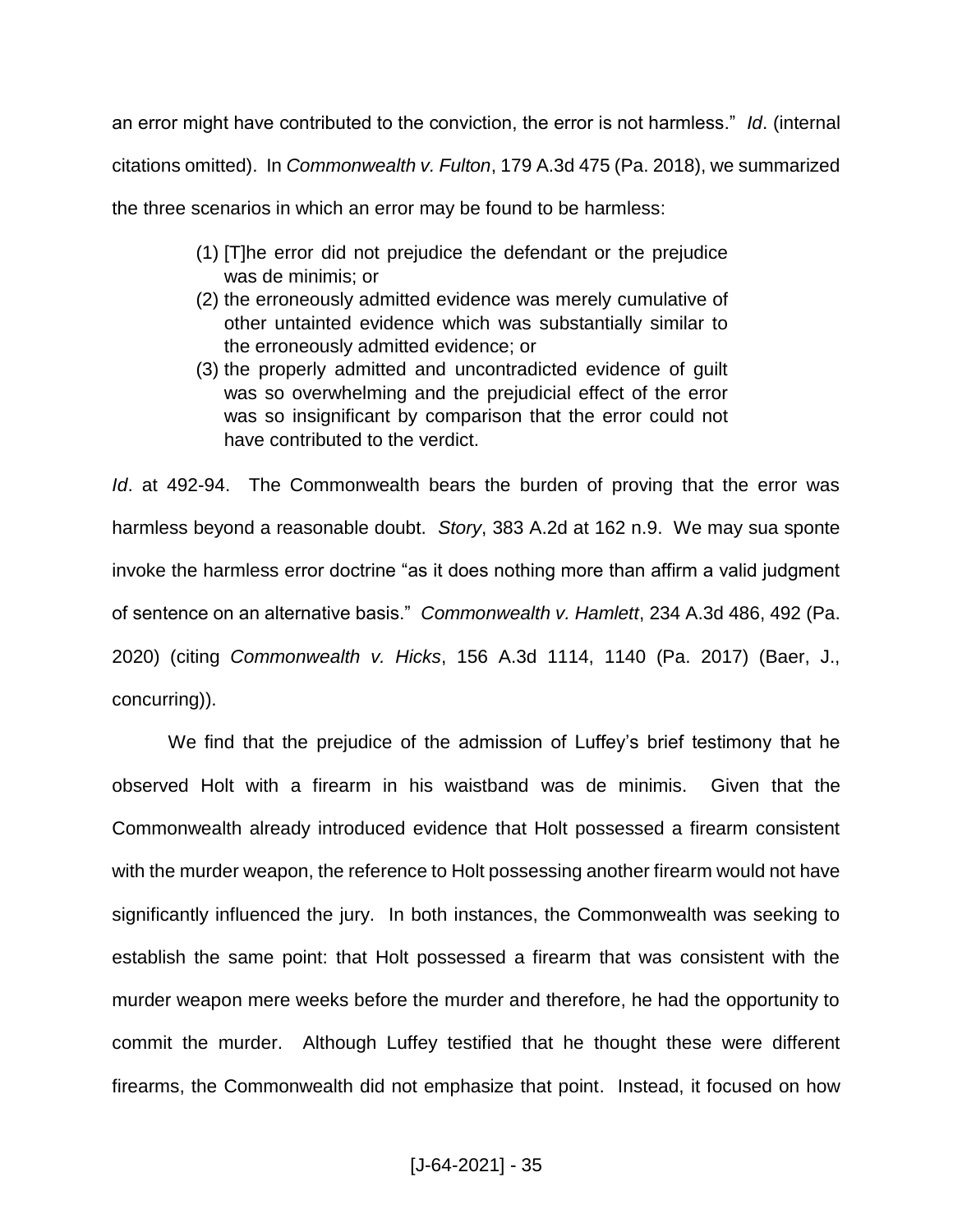an error might have contributed to the conviction, the error is not harmless." *Id*. (internal citations omitted). In *Commonwealth v. Fulton*, 179 A.3d 475 (Pa. 2018), we summarized the three scenarios in which an error may be found to be harmless:

- (1) [T]he error did not prejudice the defendant or the prejudice was de minimis; or
- (2) the erroneously admitted evidence was merely cumulative of other untainted evidence which was substantially similar to the erroneously admitted evidence; or
- (3) the properly admitted and uncontradicted evidence of guilt was so overwhelming and the prejudicial effect of the error was so insignificant by comparison that the error could not have contributed to the verdict.

*Id*. at 492-94. The Commonwealth bears the burden of proving that the error was harmless beyond a reasonable doubt. *Story*, 383 A.2d at 162 n.9. We may sua sponte invoke the harmless error doctrine "as it does nothing more than affirm a valid judgment of sentence on an alternative basis." *Commonwealth v. Hamlett*, 234 A.3d 486, 492 (Pa. 2020) (citing *Commonwealth v. Hicks*, 156 A.3d 1114, 1140 (Pa. 2017) (Baer, J., concurring)).

We find that the prejudice of the admission of Luffey's brief testimony that he observed Holt with a firearm in his waistband was de minimis. Given that the Commonwealth already introduced evidence that Holt possessed a firearm consistent with the murder weapon, the reference to Holt possessing another firearm would not have significantly influenced the jury. In both instances, the Commonwealth was seeking to establish the same point: that Holt possessed a firearm that was consistent with the murder weapon mere weeks before the murder and therefore, he had the opportunity to commit the murder. Although Luffey testified that he thought these were different firearms, the Commonwealth did not emphasize that point. Instead, it focused on how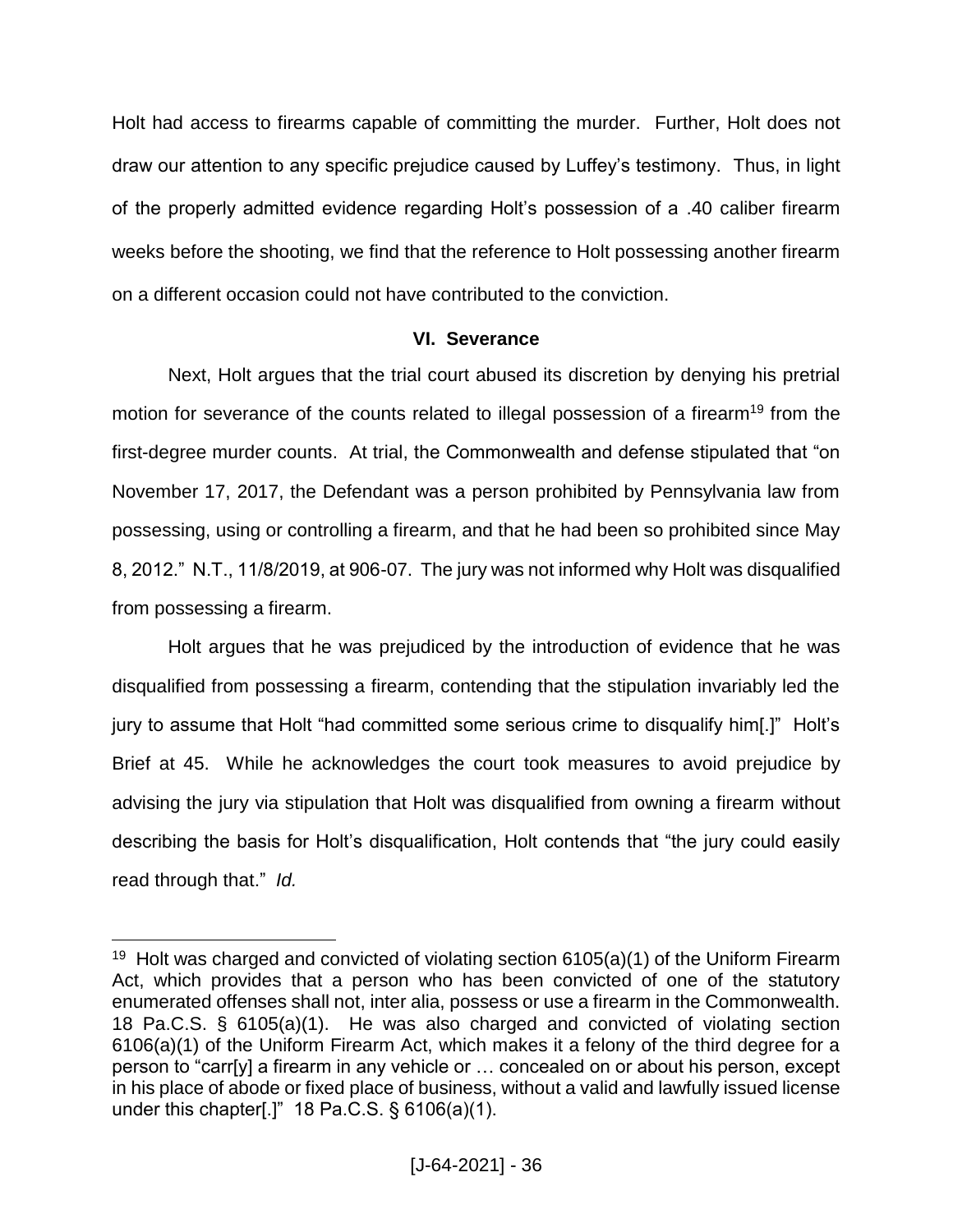Holt had access to firearms capable of committing the murder. Further, Holt does not draw our attention to any specific prejudice caused by Luffey's testimony. Thus, in light of the properly admitted evidence regarding Holt's possession of a .40 caliber firearm weeks before the shooting, we find that the reference to Holt possessing another firearm on a different occasion could not have contributed to the conviction.

# **VI. Severance**

Next, Holt argues that the trial court abused its discretion by denying his pretrial motion for severance of the counts related to illegal possession of a firearm<sup>19</sup> from the first-degree murder counts. At trial, the Commonwealth and defense stipulated that "on November 17, 2017, the Defendant was a person prohibited by Pennsylvania law from possessing, using or controlling a firearm, and that he had been so prohibited since May 8, 2012." N.T., 11/8/2019, at 906-07. The jury was not informed why Holt was disqualified from possessing a firearm.

Holt argues that he was prejudiced by the introduction of evidence that he was disqualified from possessing a firearm, contending that the stipulation invariably led the jury to assume that Holt "had committed some serious crime to disqualify him[.]" Holt's Brief at 45. While he acknowledges the court took measures to avoid prejudice by advising the jury via stipulation that Holt was disqualified from owning a firearm without describing the basis for Holt's disqualification, Holt contends that "the jury could easily read through that." *Id.* 

<sup>&</sup>lt;sup>19</sup> Holt was charged and convicted of violating section  $6105(a)(1)$  of the Uniform Firearm Act, which provides that a person who has been convicted of one of the statutory enumerated offenses shall not, inter alia, possess or use a firearm in the Commonwealth. 18 Pa.C.S. § 6105(a)(1). He was also charged and convicted of violating section 6106(a)(1) of the Uniform Firearm Act, which makes it a felony of the third degree for a person to "carr[y] a firearm in any vehicle or … concealed on or about his person, except in his place of abode or fixed place of business, without a valid and lawfully issued license under this chapter[.]" 18 Pa.C.S. § 6106(a)(1).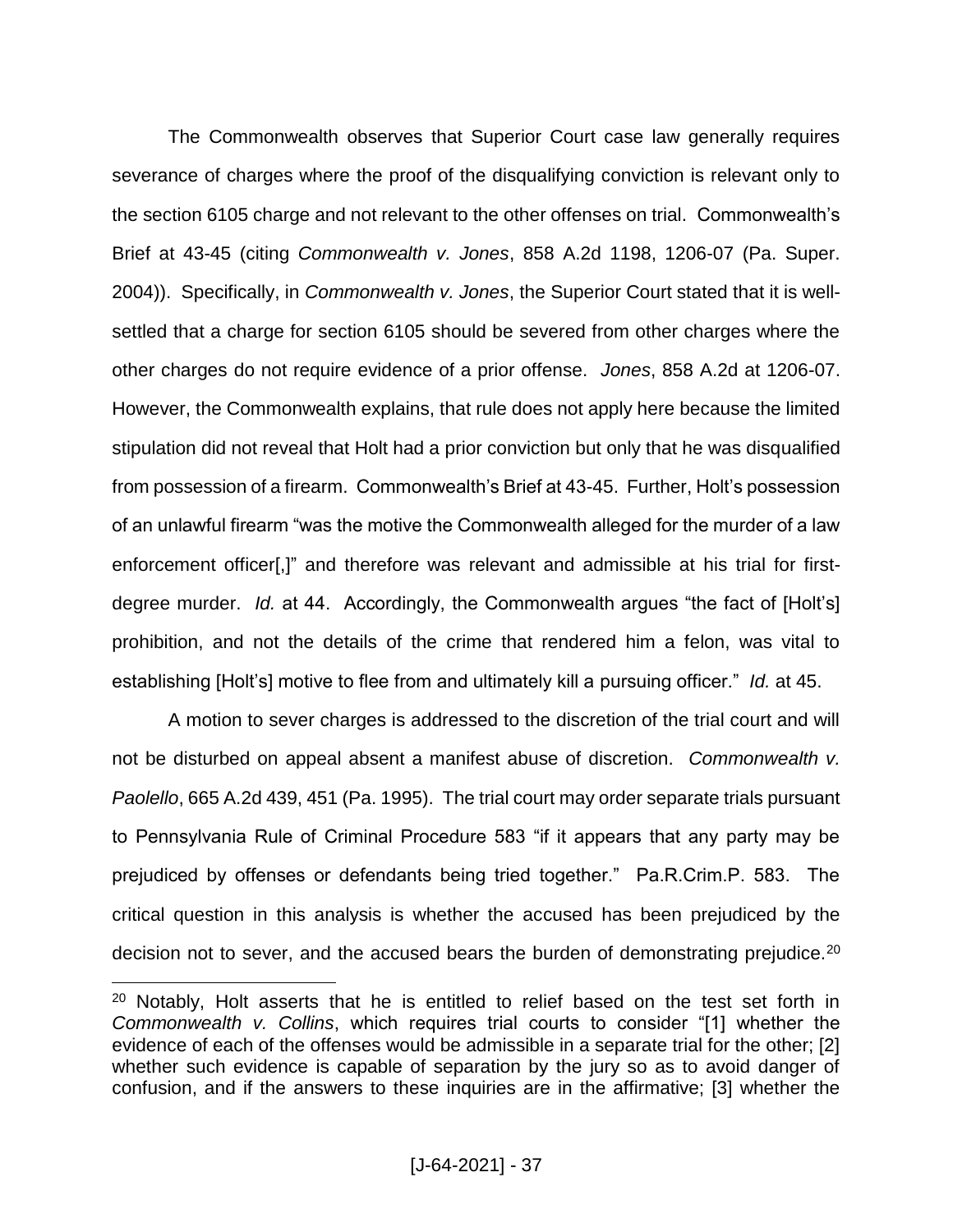The Commonwealth observes that Superior Court case law generally requires severance of charges where the proof of the disqualifying conviction is relevant only to the section 6105 charge and not relevant to the other offenses on trial. Commonwealth's Brief at 43-45 (citing *Commonwealth v. Jones*, 858 A.2d 1198, 1206-07 (Pa. Super. 2004)). Specifically, in *Commonwealth v. Jones*, the Superior Court stated that it is wellsettled that a charge for section 6105 should be severed from other charges where the other charges do not require evidence of a prior offense. *Jones*, 858 A.2d at 1206-07. However, the Commonwealth explains, that rule does not apply here because the limited stipulation did not reveal that Holt had a prior conviction but only that he was disqualified from possession of a firearm. Commonwealth's Brief at 43-45. Further, Holt's possession of an unlawful firearm "was the motive the Commonwealth alleged for the murder of a law enforcement officer[,]" and therefore was relevant and admissible at his trial for firstdegree murder. *Id.* at 44. Accordingly, the Commonwealth argues "the fact of [Holt's] prohibition, and not the details of the crime that rendered him a felon, was vital to establishing [Holt's] motive to flee from and ultimately kill a pursuing officer." *Id.* at 45.

A motion to sever charges is addressed to the discretion of the trial court and will not be disturbed on appeal absent a manifest abuse of discretion. *Commonwealth v. Paolello*, 665 A.2d 439, 451 (Pa. 1995). The trial court may order separate trials pursuant to Pennsylvania Rule of Criminal Procedure 583 "if it appears that any party may be prejudiced by offenses or defendants being tried together." Pa.R.Crim.P. 583. The critical question in this analysis is whether the accused has been prejudiced by the decision not to sever, and the accused bears the burden of demonstrating prejudice.<sup>20</sup>

 $20$  Notably. Holt asserts that he is entitled to relief based on the test set forth in *Commonwealth v. Collins*, which requires trial courts to consider "[1] whether the evidence of each of the offenses would be admissible in a separate trial for the other; [2] whether such evidence is capable of separation by the jury so as to avoid danger of confusion, and if the answers to these inquiries are in the affirmative; [3] whether the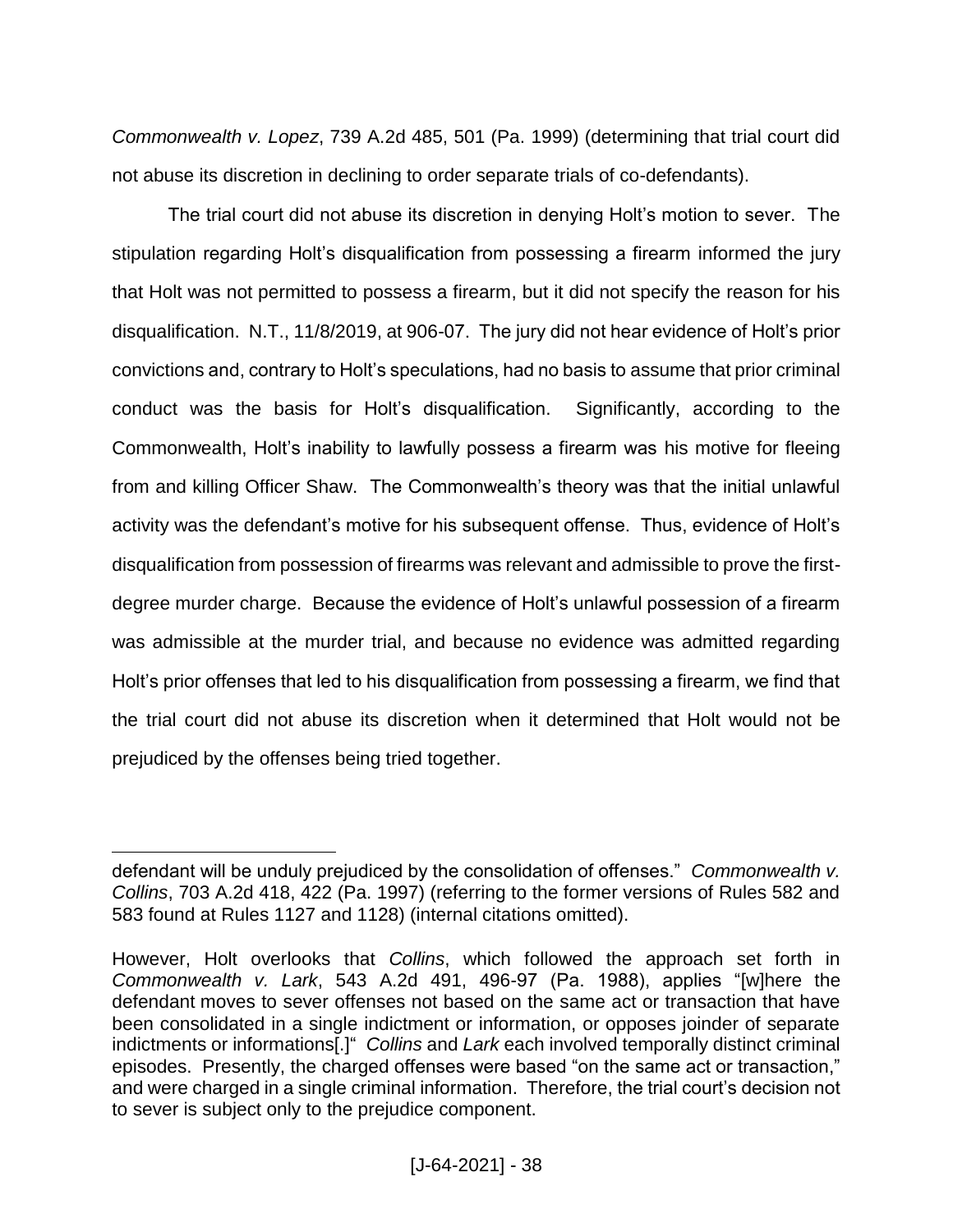*Commonwealth v. Lopez*, 739 A.2d 485, 501 (Pa. 1999) (determining that trial court did not abuse its discretion in declining to order separate trials of co-defendants).

The trial court did not abuse its discretion in denying Holt's motion to sever. The stipulation regarding Holt's disqualification from possessing a firearm informed the jury that Holt was not permitted to possess a firearm, but it did not specify the reason for his disqualification. N.T., 11/8/2019, at 906-07. The jury did not hear evidence of Holt's prior convictions and, contrary to Holt's speculations, had no basis to assume that prior criminal conduct was the basis for Holt's disqualification. Significantly, according to the Commonwealth, Holt's inability to lawfully possess a firearm was his motive for fleeing from and killing Officer Shaw. The Commonwealth's theory was that the initial unlawful activity was the defendant's motive for his subsequent offense. Thus, evidence of Holt's disqualification from possession of firearms was relevant and admissible to prove the firstdegree murder charge. Because the evidence of Holt's unlawful possession of a firearm was admissible at the murder trial, and because no evidence was admitted regarding Holt's prior offenses that led to his disqualification from possessing a firearm, we find that the trial court did not abuse its discretion when it determined that Holt would not be prejudiced by the offenses being tried together.

defendant will be unduly prejudiced by the consolidation of offenses." *Commonwealth v. Collins*, 703 A.2d 418, 422 (Pa. 1997) (referring to the former versions of Rules 582 and 583 found at Rules 1127 and 1128) (internal citations omitted).

However, Holt overlooks that *Collins*, which followed the approach set forth in *Commonwealth v. Lark*, 543 A.2d 491, 496-97 (Pa. 1988), applies "[w]here the defendant moves to sever offenses not based on the same act or transaction that have been consolidated in a single indictment or information, or opposes joinder of separate indictments or informations[.]" *Collins* and *Lark* each involved temporally distinct criminal episodes. Presently, the charged offenses were based "on the same act or transaction," and were charged in a single criminal information. Therefore, the trial court's decision not to sever is subject only to the prejudice component.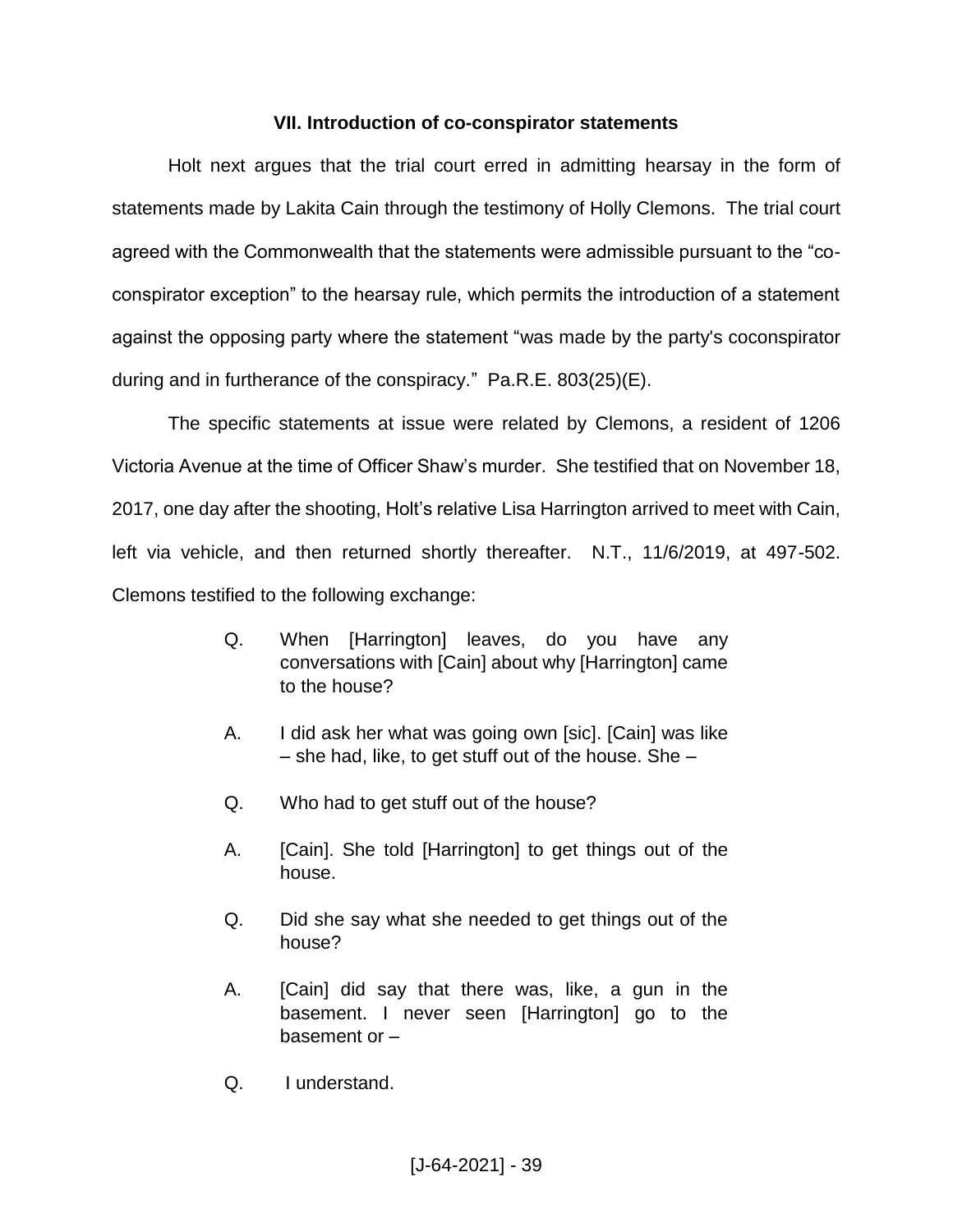# **VII. Introduction of co-conspirator statements**

Holt next argues that the trial court erred in admitting hearsay in the form of statements made by Lakita Cain through the testimony of Holly Clemons. The trial court agreed with the Commonwealth that the statements were admissible pursuant to the "coconspirator exception" to the hearsay rule, which permits the introduction of a statement against the opposing party where the statement "was made by the party's coconspirator during and in furtherance of the conspiracy." Pa.R.E. 803(25)(E).

The specific statements at issue were related by Clemons, a resident of 1206 Victoria Avenue at the time of Officer Shaw's murder. She testified that on November 18, 2017, one day after the shooting, Holt's relative Lisa Harrington arrived to meet with Cain, left via vehicle, and then returned shortly thereafter. N.T., 11/6/2019, at 497-502. Clemons testified to the following exchange:

- Q. When [Harrington] leaves, do you have any conversations with [Cain] about why [Harrington] came to the house?
- A. I did ask her what was going own [sic]. [Cain] was like  $-$  she had, like, to get stuff out of the house. She  $-$
- Q. Who had to get stuff out of the house?
- A. [Cain]. She told [Harrington] to get things out of the house.
- Q. Did she say what she needed to get things out of the house?
- A. [Cain] did say that there was, like, a gun in the basement. I never seen [Harrington] go to the basement or –
- Q. I understand.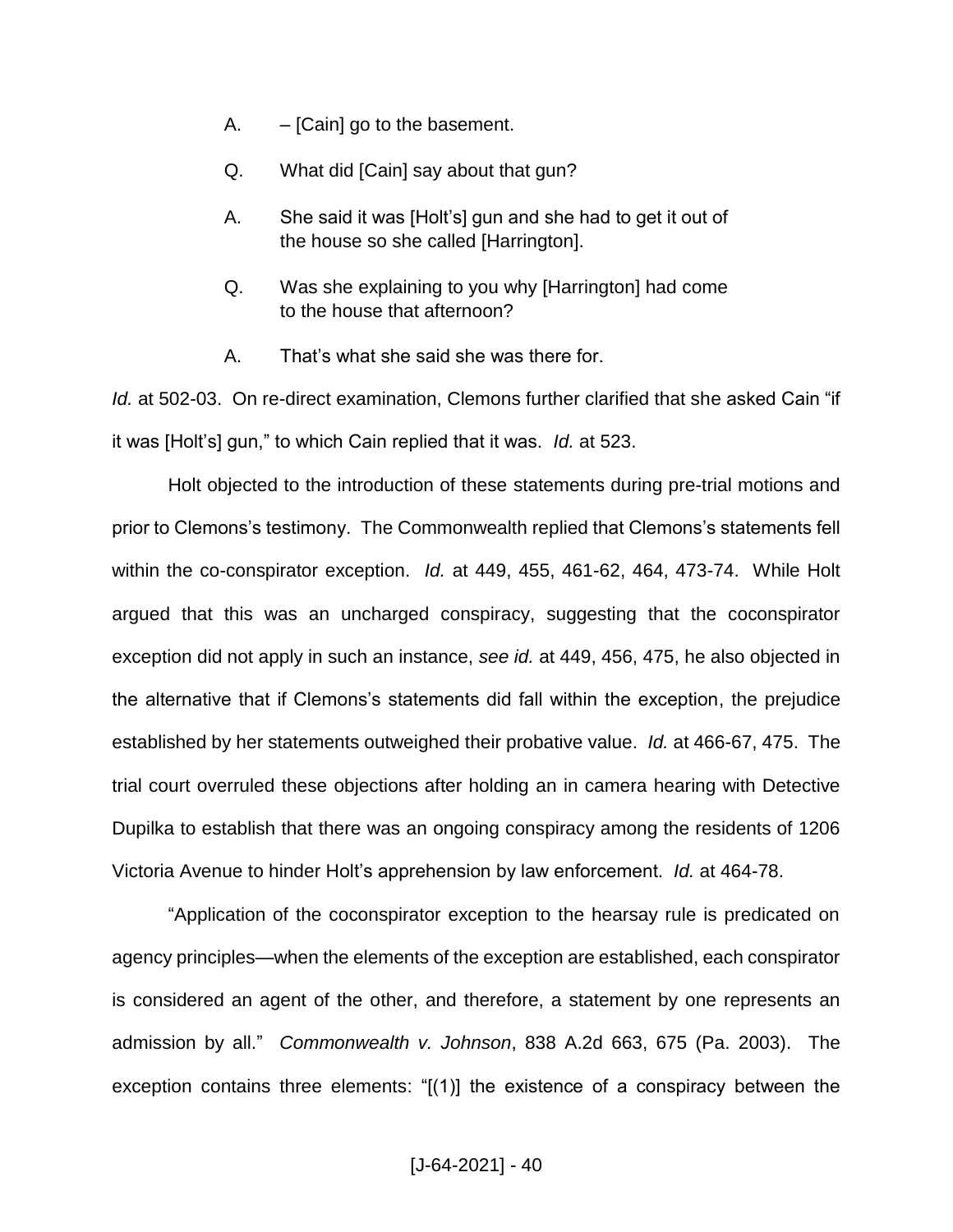- A.  $-$  [Cain] go to the basement.
- Q. What did [Cain] say about that gun?
- A. She said it was [Holt's] gun and she had to get it out of the house so she called [Harrington].
- Q. Was she explaining to you why [Harrington] had come to the house that afternoon?
- A. That's what she said she was there for.

*Id.* at 502-03. On re-direct examination, Clemons further clarified that she asked Cain "if it was [Holt's] gun," to which Cain replied that it was. *Id.* at 523.

Holt objected to the introduction of these statements during pre-trial motions and prior to Clemons's testimony. The Commonwealth replied that Clemons's statements fell within the co-conspirator exception. *Id.* at 449, 455, 461-62, 464, 473-74. While Holt argued that this was an uncharged conspiracy, suggesting that the coconspirator exception did not apply in such an instance, *see id.* at 449, 456, 475, he also objected in the alternative that if Clemons's statements did fall within the exception, the prejudice established by her statements outweighed their probative value. *Id.* at 466-67, 475. The trial court overruled these objections after holding an in camera hearing with Detective Dupilka to establish that there was an ongoing conspiracy among the residents of 1206 Victoria Avenue to hinder Holt's apprehension by law enforcement. *Id.* at 464-78.

"Application of the coconspirator exception to the hearsay rule is predicated on agency principles—when the elements of the exception are established, each conspirator is considered an agent of the other, and therefore, a statement by one represents an admission by all." *Commonwealth v. Johnson*, 838 A.2d 663, 675 (Pa. 2003). The exception contains three elements: "[(1)] the existence of a conspiracy between the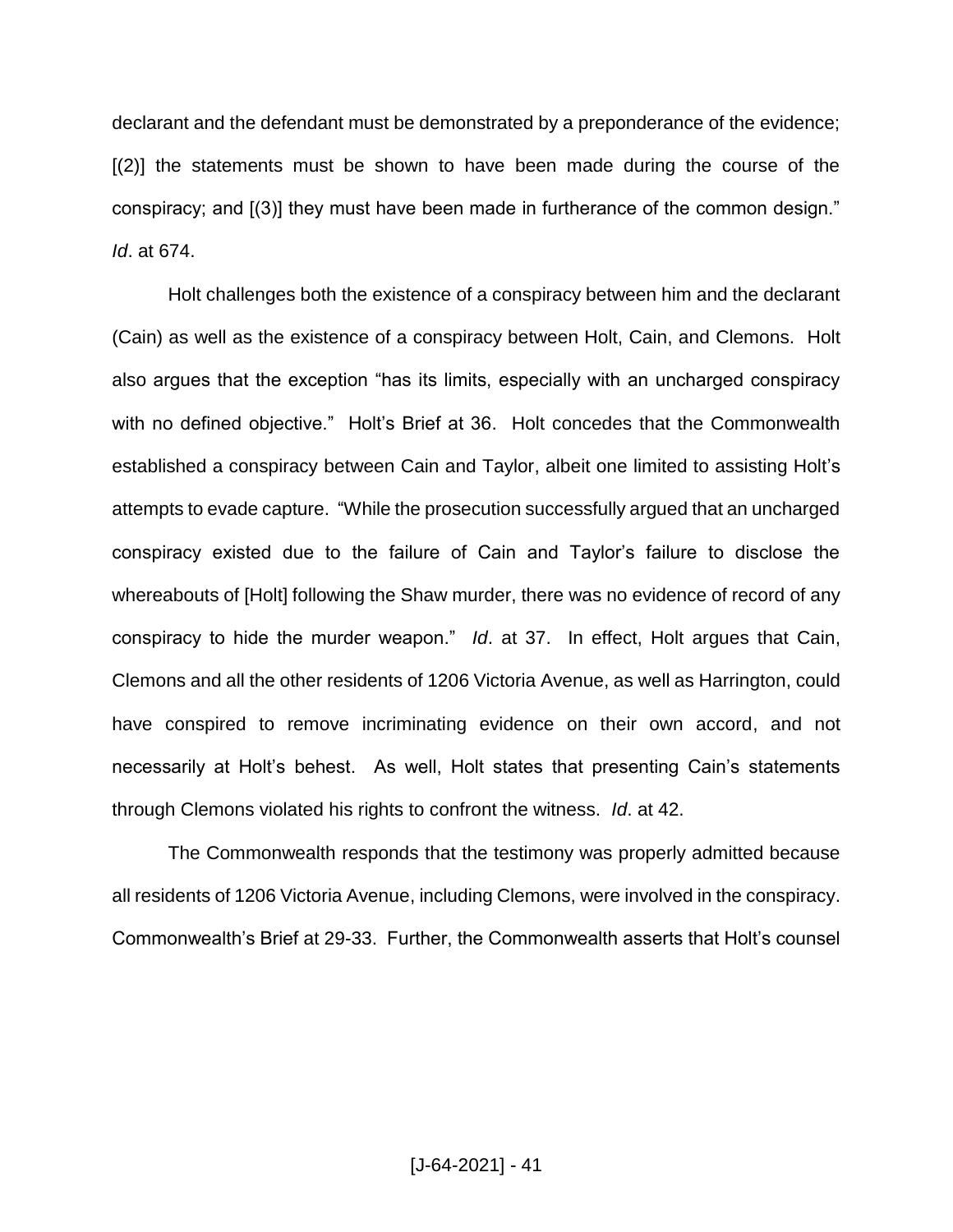declarant and the defendant must be demonstrated by a preponderance of the evidence; [(2)] the statements must be shown to have been made during the course of the conspiracy; and [(3)] they must have been made in furtherance of the common design." *Id*. at 674.

Holt challenges both the existence of a conspiracy between him and the declarant (Cain) as well as the existence of a conspiracy between Holt, Cain, and Clemons. Holt also argues that the exception "has its limits, especially with an uncharged conspiracy with no defined objective." Holt's Brief at 36. Holt concedes that the Commonwealth established a conspiracy between Cain and Taylor, albeit one limited to assisting Holt's attempts to evade capture. "While the prosecution successfully argued that an uncharged conspiracy existed due to the failure of Cain and Taylor's failure to disclose the whereabouts of [Holt] following the Shaw murder, there was no evidence of record of any conspiracy to hide the murder weapon." *Id*. at 37. In effect, Holt argues that Cain, Clemons and all the other residents of 1206 Victoria Avenue, as well as Harrington, could have conspired to remove incriminating evidence on their own accord, and not necessarily at Holt's behest. As well, Holt states that presenting Cain's statements through Clemons violated his rights to confront the witness. *Id*. at 42.

The Commonwealth responds that the testimony was properly admitted because all residents of 1206 Victoria Avenue, including Clemons, were involved in the conspiracy. Commonwealth's Brief at 29-33. Further, the Commonwealth asserts that Holt's counsel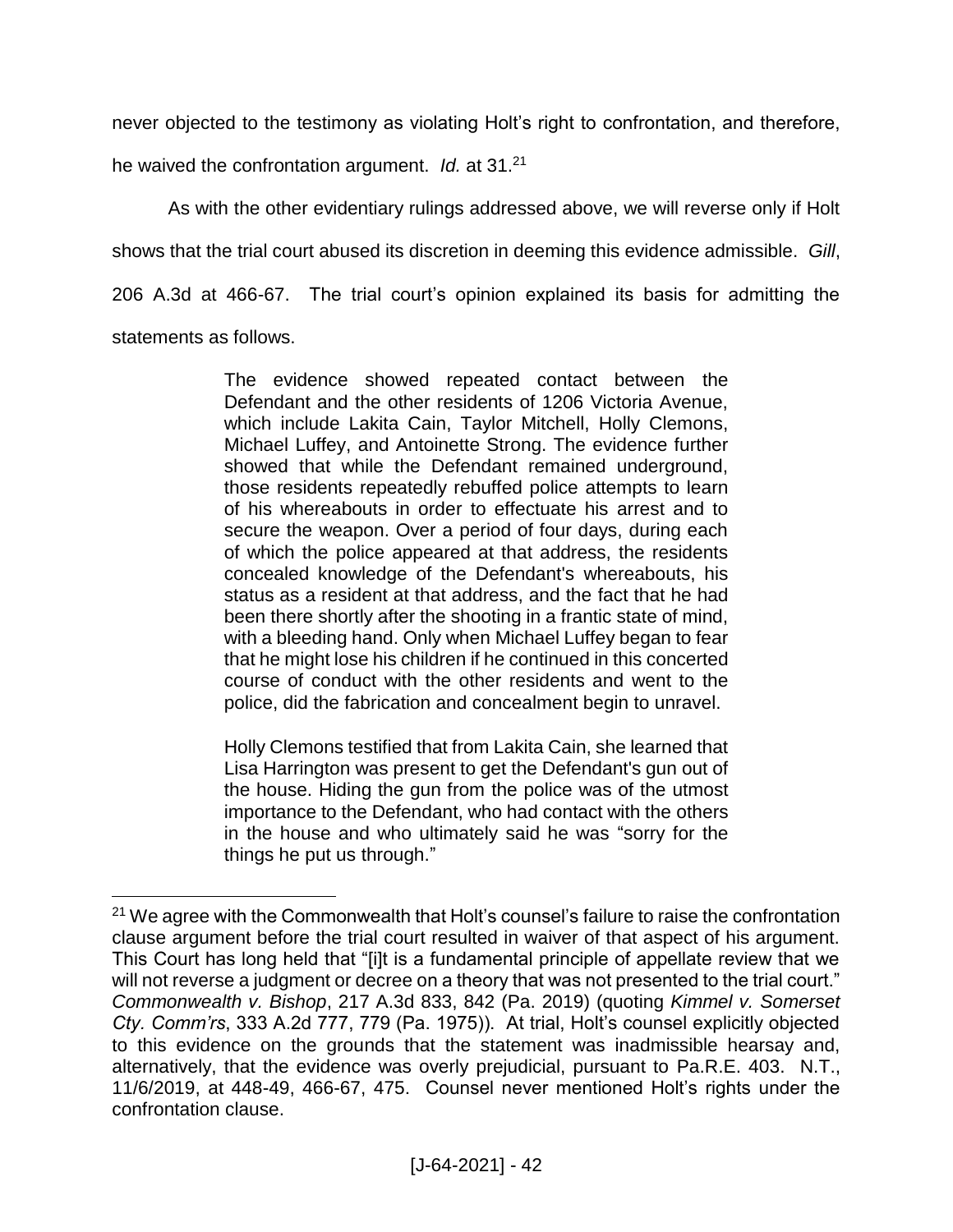never objected to the testimony as violating Holt's right to confrontation, and therefore,

he waived the confrontation argument. *Id.* at 31.<sup>21</sup>

 $\overline{a}$ 

As with the other evidentiary rulings addressed above, we will reverse only if Holt shows that the trial court abused its discretion in deeming this evidence admissible. *Gill*, 206 A.3d at 466-67. The trial court's opinion explained its basis for admitting the statements as follows.

> The evidence showed repeated contact between the Defendant and the other residents of 1206 Victoria Avenue, which include Lakita Cain, Taylor Mitchell, Holly Clemons, Michael Luffey, and Antoinette Strong. The evidence further showed that while the Defendant remained underground, those residents repeatedly rebuffed police attempts to learn of his whereabouts in order to effectuate his arrest and to secure the weapon. Over a period of four days, during each of which the police appeared at that address, the residents concealed knowledge of the Defendant's whereabouts, his status as a resident at that address, and the fact that he had been there shortly after the shooting in a frantic state of mind, with a bleeding hand. Only when Michael Luffey began to fear that he might lose his children if he continued in this concerted course of conduct with the other residents and went to the police, did the fabrication and concealment begin to unravel.

> Holly Clemons testified that from Lakita Cain, she learned that Lisa Harrington was present to get the Defendant's gun out of the house. Hiding the gun from the police was of the utmost importance to the Defendant, who had contact with the others in the house and who ultimately said he was "sorry for the things he put us through."

 $21$  We agree with the Commonwealth that Holt's counsel's failure to raise the confrontation clause argument before the trial court resulted in waiver of that aspect of his argument. This Court has long held that "[i]t is a fundamental principle of appellate review that we will not reverse a judgment or decree on a theory that was not presented to the trial court." *Commonwealth v. Bishop*, 217 A.3d 833, 842 (Pa. 2019) (quoting *Kimmel v. Somerset Cty. Comm'rs*, 333 A.2d 777, 779 (Pa. 1975)). At trial, Holt's counsel explicitly objected to this evidence on the grounds that the statement was inadmissible hearsay and, alternatively, that the evidence was overly prejudicial, pursuant to Pa.R.E. 403. N.T., 11/6/2019, at 448-49, 466-67, 475. Counsel never mentioned Holt's rights under the confrontation clause.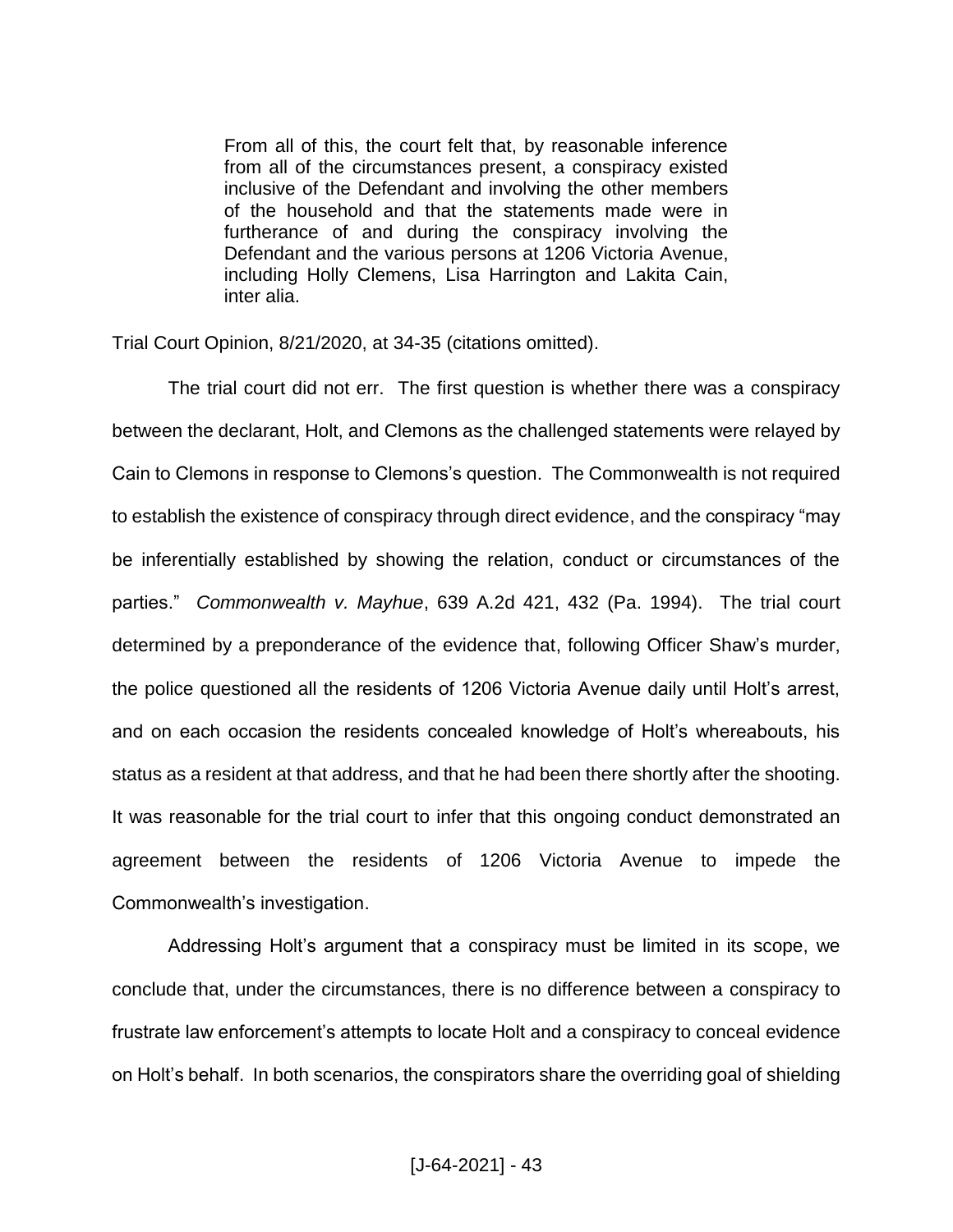From all of this, the court felt that, by reasonable inference from all of the circumstances present, a conspiracy existed inclusive of the Defendant and involving the other members of the household and that the statements made were in furtherance of and during the conspiracy involving the Defendant and the various persons at 1206 Victoria Avenue, including Holly Clemens, Lisa Harrington and Lakita Cain, inter alia.

Trial Court Opinion, 8/21/2020, at 34-35 (citations omitted).

The trial court did not err. The first question is whether there was a conspiracy between the declarant, Holt, and Clemons as the challenged statements were relayed by Cain to Clemons in response to Clemons's question. The Commonwealth is not required to establish the existence of conspiracy through direct evidence, and the conspiracy "may be inferentially established by showing the relation, conduct or circumstances of the parties." *Commonwealth v. Mayhue*, 639 A.2d 421, 432 (Pa. 1994). The trial court determined by a preponderance of the evidence that, following Officer Shaw's murder, the police questioned all the residents of 1206 Victoria Avenue daily until Holt's arrest, and on each occasion the residents concealed knowledge of Holt's whereabouts, his status as a resident at that address, and that he had been there shortly after the shooting. It was reasonable for the trial court to infer that this ongoing conduct demonstrated an agreement between the residents of 1206 Victoria Avenue to impede the Commonwealth's investigation.

Addressing Holt's argument that a conspiracy must be limited in its scope, we conclude that, under the circumstances, there is no difference between a conspiracy to frustrate law enforcement's attempts to locate Holt and a conspiracy to conceal evidence on Holt's behalf. In both scenarios, the conspirators share the overriding goal of shielding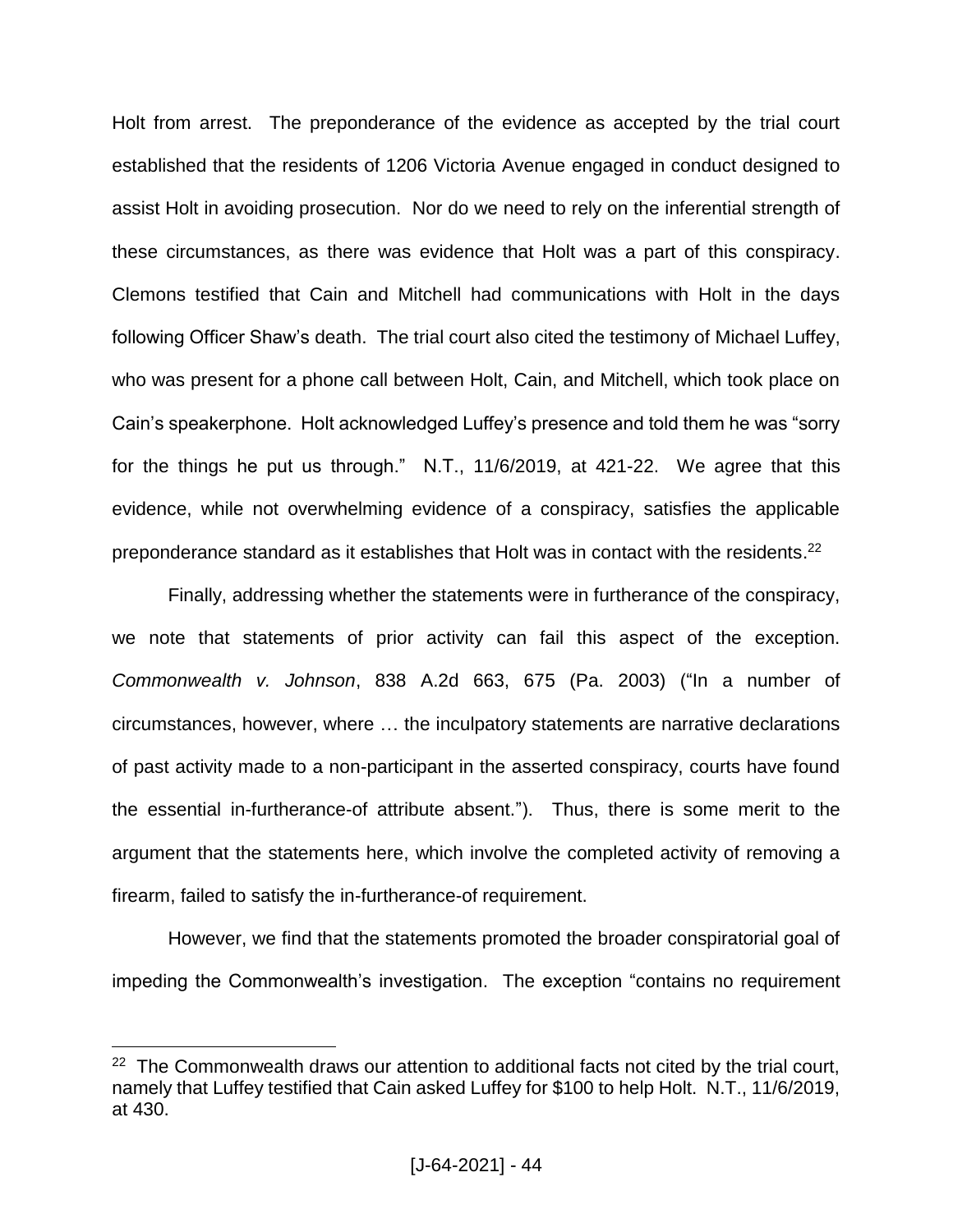Holt from arrest. The preponderance of the evidence as accepted by the trial court established that the residents of 1206 Victoria Avenue engaged in conduct designed to assist Holt in avoiding prosecution. Nor do we need to rely on the inferential strength of these circumstances, as there was evidence that Holt was a part of this conspiracy. Clemons testified that Cain and Mitchell had communications with Holt in the days following Officer Shaw's death. The trial court also cited the testimony of Michael Luffey, who was present for a phone call between Holt, Cain, and Mitchell, which took place on Cain's speakerphone. Holt acknowledged Luffey's presence and told them he was "sorry for the things he put us through." N.T., 11/6/2019, at 421-22. We agree that this evidence, while not overwhelming evidence of a conspiracy, satisfies the applicable preponderance standard as it establishes that Holt was in contact with the residents.<sup>22</sup>

Finally, addressing whether the statements were in furtherance of the conspiracy, we note that statements of prior activity can fail this aspect of the exception. *Commonwealth v. Johnson*, 838 A.2d 663, 675 (Pa. 2003) ("In a number of circumstances, however, where … the inculpatory statements are narrative declarations of past activity made to a non-participant in the asserted conspiracy, courts have found the essential in-furtherance-of attribute absent."). Thus, there is some merit to the argument that the statements here, which involve the completed activity of removing a firearm, failed to satisfy the in-furtherance-of requirement.

However, we find that the statements promoted the broader conspiratorial goal of impeding the Commonwealth's investigation. The exception "contains no requirement

<sup>&</sup>lt;sup>22</sup> The Commonwealth draws our attention to additional facts not cited by the trial court, namely that Luffey testified that Cain asked Luffey for \$100 to help Holt. N.T., 11/6/2019, at 430.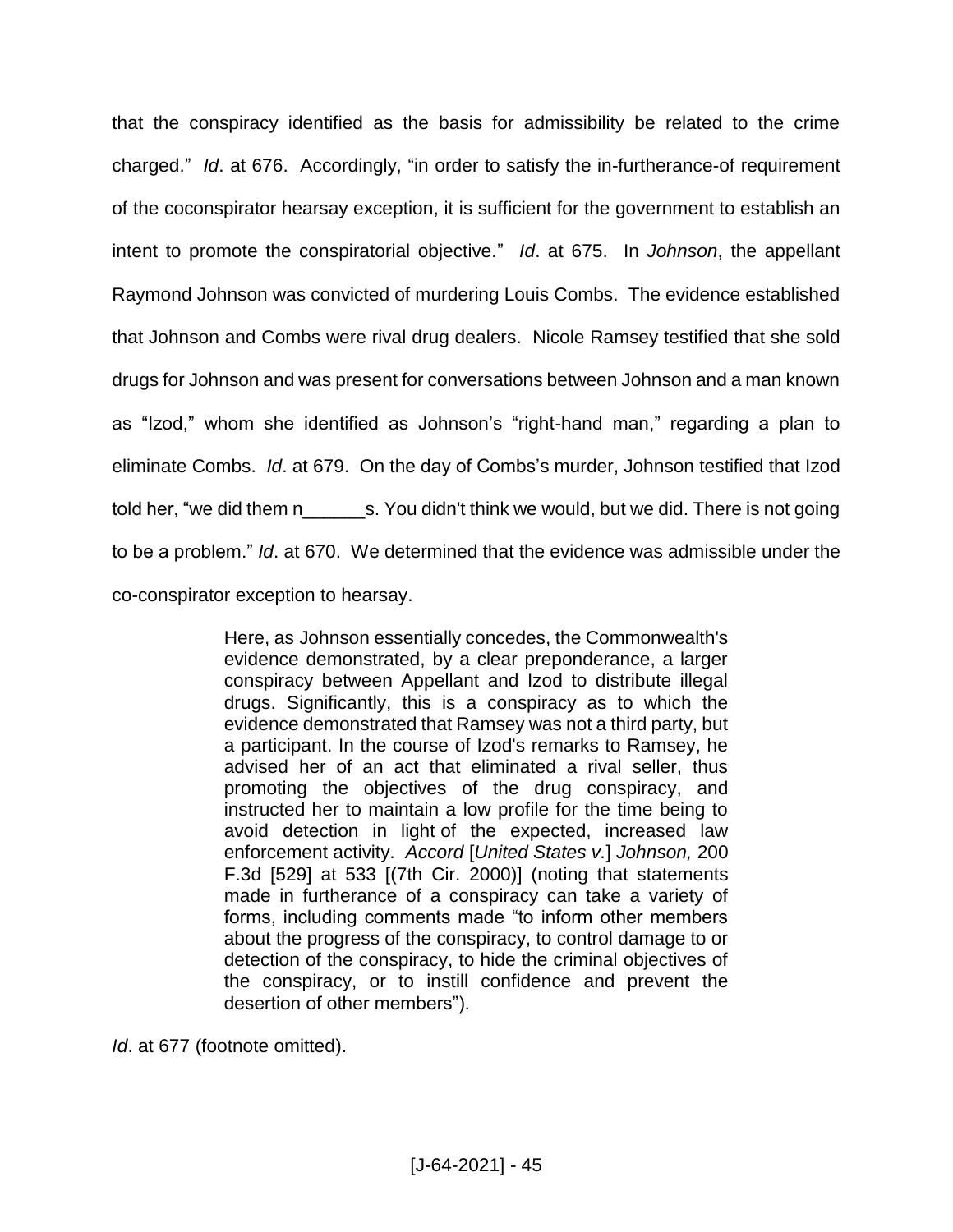that the conspiracy identified as the basis for admissibility be related to the crime charged." *Id*. at 676. Accordingly, "in order to satisfy the in-furtherance-of requirement of the coconspirator hearsay exception, it is sufficient for the government to establish an intent to promote the conspiratorial objective." *Id*. at 675. In *Johnson*, the appellant Raymond Johnson was convicted of murdering Louis Combs. The evidence established that Johnson and Combs were rival drug dealers. Nicole Ramsey testified that she sold drugs for Johnson and was present for conversations between Johnson and a man known as "Izod," whom she identified as Johnson's "right-hand man," regarding a plan to eliminate Combs. *Id*. at 679. On the day of Combs's murder, Johnson testified that Izod told her, "we did them n s. You didn't think we would, but we did. There is not going to be a problem." *Id*. at 670. We determined that the evidence was admissible under the co-conspirator exception to hearsay.

> Here, as Johnson essentially concedes, the Commonwealth's evidence demonstrated, by a clear preponderance, a larger conspiracy between Appellant and Izod to distribute illegal drugs. Significantly, this is a conspiracy as to which the evidence demonstrated that Ramsey was not a third party, but a participant. In the course of Izod's remarks to Ramsey, he advised her of an act that eliminated a rival seller, thus promoting the objectives of the drug conspiracy, and instructed her to maintain a low profile for the time being to avoid detection in light of the expected, increased law enforcement activity. *Accord* [*United States v.*] *Johnson,* 200 F.3d [529] at 533 [(7th Cir. 2000)] (noting that statements made in furtherance of a conspiracy can take a variety of forms, including comments made "to inform other members about the progress of the conspiracy, to control damage to or detection of the conspiracy, to hide the criminal objectives of the conspiracy, or to instill confidence and prevent the desertion of other members").

*Id*. at 677 (footnote omitted).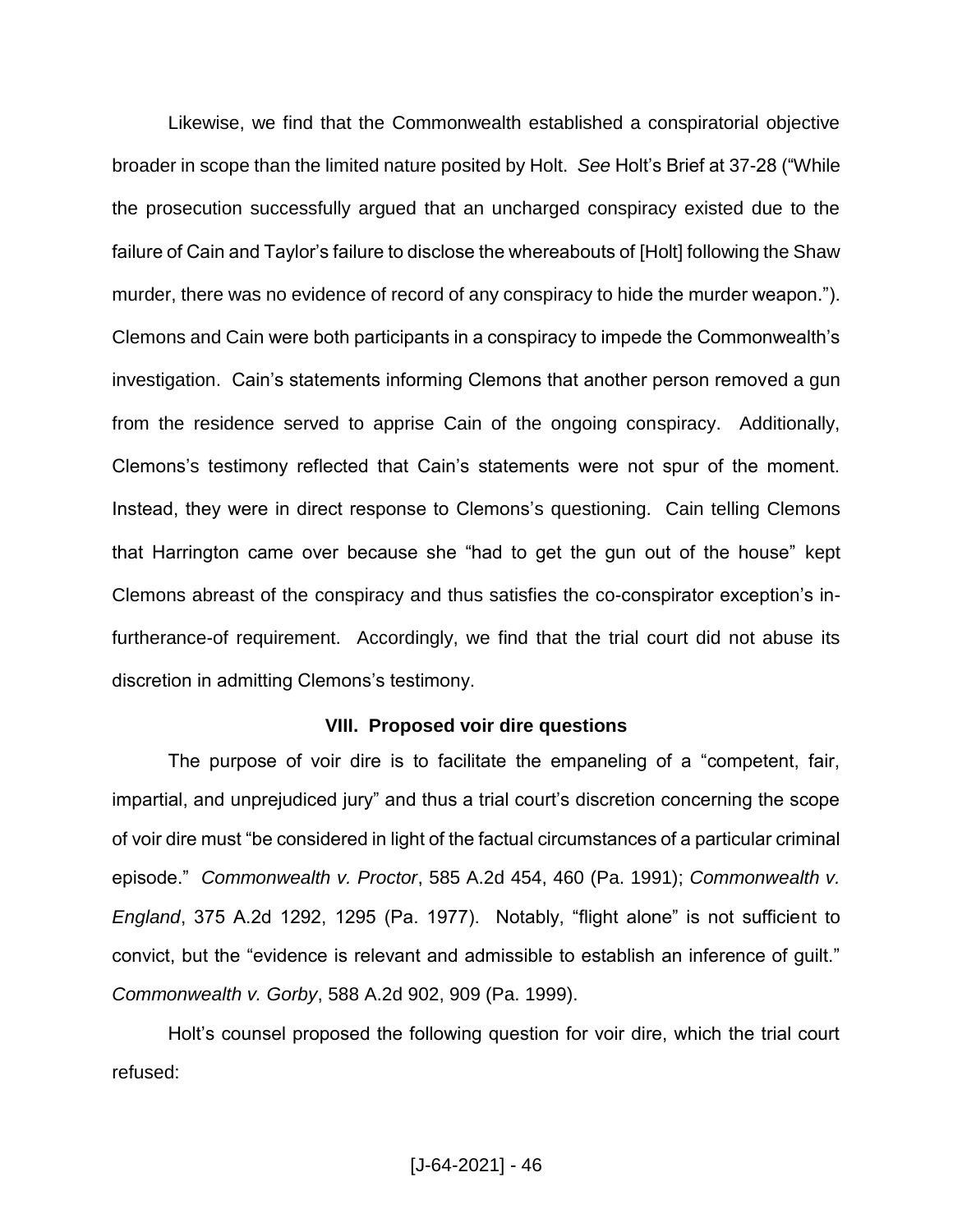Likewise, we find that the Commonwealth established a conspiratorial objective broader in scope than the limited nature posited by Holt. *See* Holt's Brief at 37-28 ("While the prosecution successfully argued that an uncharged conspiracy existed due to the failure of Cain and Taylor's failure to disclose the whereabouts of [Holt] following the Shaw murder, there was no evidence of record of any conspiracy to hide the murder weapon."). Clemons and Cain were both participants in a conspiracy to impede the Commonwealth's investigation. Cain's statements informing Clemons that another person removed a gun from the residence served to apprise Cain of the ongoing conspiracy. Additionally, Clemons's testimony reflected that Cain's statements were not spur of the moment. Instead, they were in direct response to Clemons's questioning. Cain telling Clemons that Harrington came over because she "had to get the gun out of the house" kept Clemons abreast of the conspiracy and thus satisfies the co-conspirator exception's infurtherance-of requirement. Accordingly, we find that the trial court did not abuse its discretion in admitting Clemons's testimony.

### **VIII. Proposed voir dire questions**

The purpose of voir dire is to facilitate the empaneling of a "competent, fair, impartial, and unprejudiced jury" and thus a trial court's discretion concerning the scope of voir dire must "be considered in light of the factual circumstances of a particular criminal episode." *Commonwealth v. Proctor*, 585 A.2d 454, 460 (Pa. 1991); *Commonwealth v. England*, 375 A.2d 1292, 1295 (Pa. 1977). Notably, "flight alone" is not sufficient to convict, but the "evidence is relevant and admissible to establish an inference of guilt." *Commonwealth v. Gorby*, 588 A.2d 902, 909 (Pa. 1999).

Holt's counsel proposed the following question for voir dire, which the trial court refused: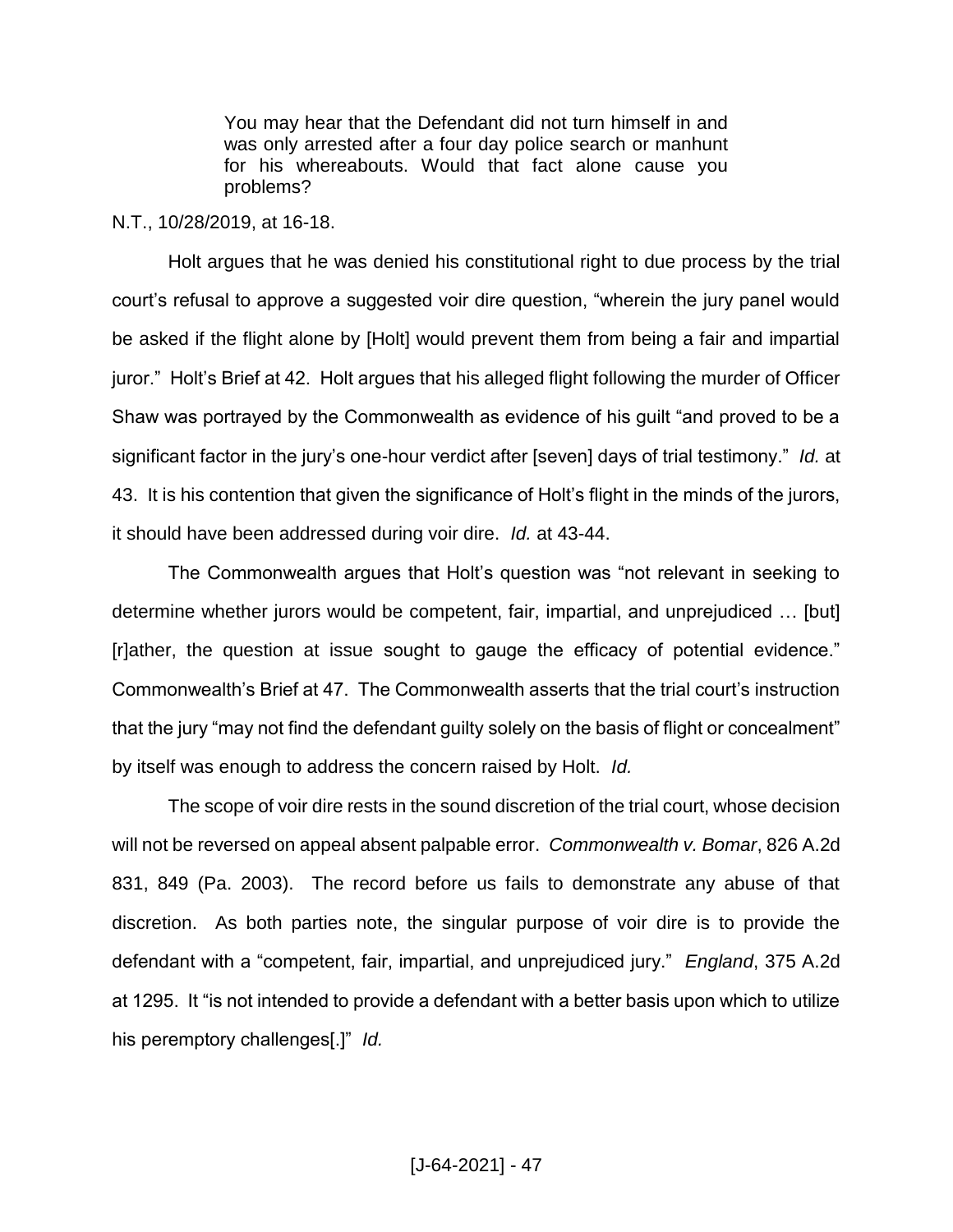You may hear that the Defendant did not turn himself in and was only arrested after a four day police search or manhunt for his whereabouts. Would that fact alone cause you problems?

## N.T., 10/28/2019, at 16-18.

Holt argues that he was denied his constitutional right to due process by the trial court's refusal to approve a suggested voir dire question, "wherein the jury panel would be asked if the flight alone by [Holt] would prevent them from being a fair and impartial juror." Holt's Brief at 42. Holt argues that his alleged flight following the murder of Officer Shaw was portrayed by the Commonwealth as evidence of his guilt "and proved to be a significant factor in the jury's one-hour verdict after [seven] days of trial testimony." *Id.* at 43. It is his contention that given the significance of Holt's flight in the minds of the jurors, it should have been addressed during voir dire. *Id.* at 43-44.

The Commonwealth argues that Holt's question was "not relevant in seeking to determine whether jurors would be competent, fair, impartial, and unprejudiced … [but] [r]ather, the question at issue sought to gauge the efficacy of potential evidence." Commonwealth's Brief at 47. The Commonwealth asserts that the trial court's instruction that the jury "may not find the defendant guilty solely on the basis of flight or concealment" by itself was enough to address the concern raised by Holt. *Id.* 

The scope of voir dire rests in the sound discretion of the trial court, whose decision will not be reversed on appeal absent palpable error. *Commonwealth v. Bomar*, 826 A.2d 831, 849 (Pa. 2003). The record before us fails to demonstrate any abuse of that discretion. As both parties note, the singular purpose of voir dire is to provide the defendant with a "competent, fair, impartial, and unprejudiced jury." *England*, 375 A.2d at 1295. It "is not intended to provide a defendant with a better basis upon which to utilize his peremptory challenges[.]" *Id.*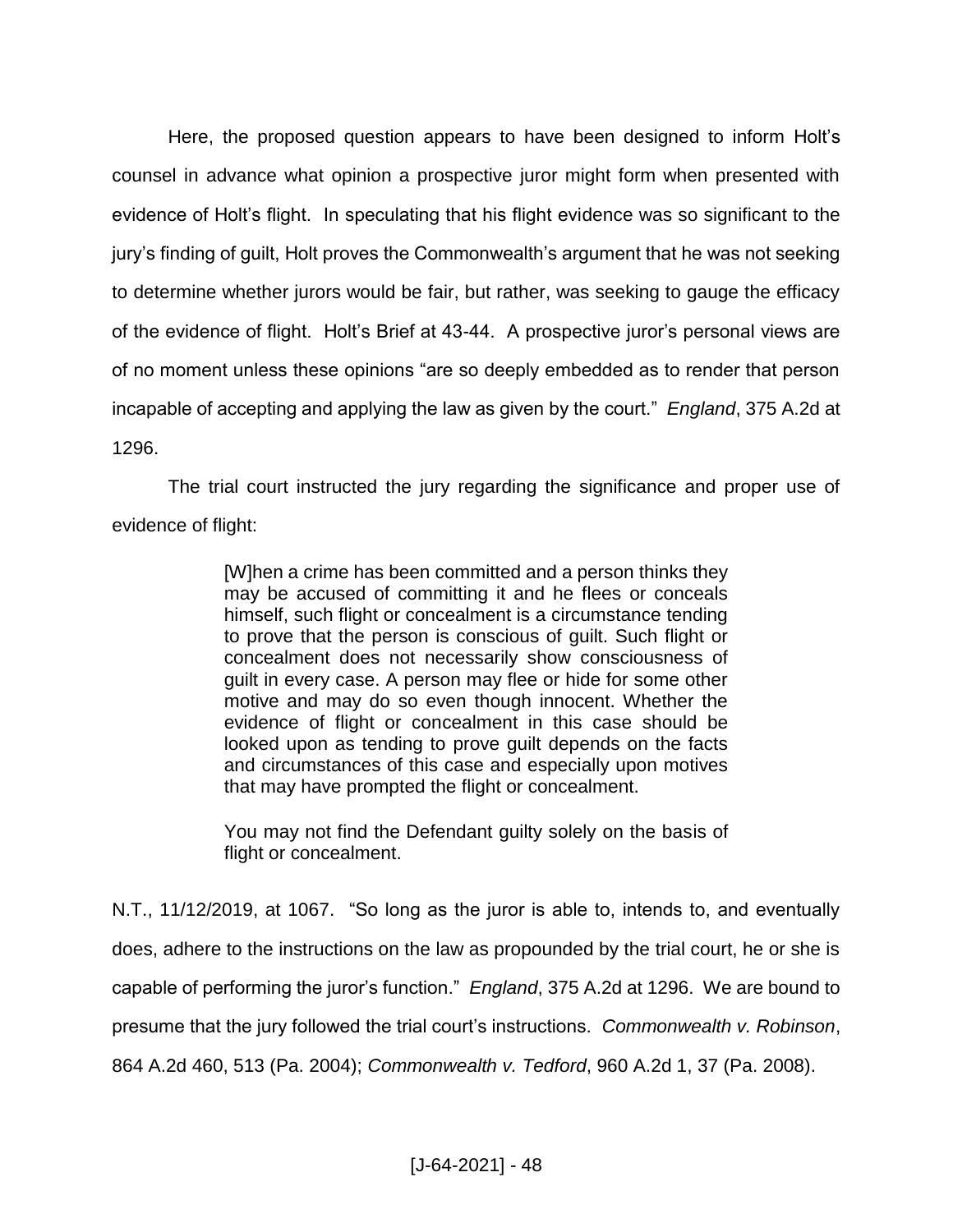Here, the proposed question appears to have been designed to inform Holt's counsel in advance what opinion a prospective juror might form when presented with evidence of Holt's flight. In speculating that his flight evidence was so significant to the jury's finding of guilt, Holt proves the Commonwealth's argument that he was not seeking to determine whether jurors would be fair, but rather, was seeking to gauge the efficacy of the evidence of flight. Holt's Brief at 43-44. A prospective juror's personal views are of no moment unless these opinions "are so deeply embedded as to render that person incapable of accepting and applying the law as given by the court." *England*, 375 A.2d at 1296.

The trial court instructed the jury regarding the significance and proper use of evidence of flight:

> [W]hen a crime has been committed and a person thinks they may be accused of committing it and he flees or conceals himself, such flight or concealment is a circumstance tending to prove that the person is conscious of guilt. Such flight or concealment does not necessarily show consciousness of guilt in every case. A person may flee or hide for some other motive and may do so even though innocent. Whether the evidence of flight or concealment in this case should be looked upon as tending to prove guilt depends on the facts and circumstances of this case and especially upon motives that may have prompted the flight or concealment.

> You may not find the Defendant guilty solely on the basis of flight or concealment.

N.T., 11/12/2019, at 1067. "So long as the juror is able to, intends to, and eventually does, adhere to the instructions on the law as propounded by the trial court, he or she is capable of performing the juror's function." *England*, 375 A.2d at 1296. We are bound to presume that the jury followed the trial court's instructions. *Commonwealth v. Robinson*, 864 A.2d 460, 513 (Pa. 2004); *Commonwealth v. Tedford*, 960 A.2d 1, 37 (Pa. 2008).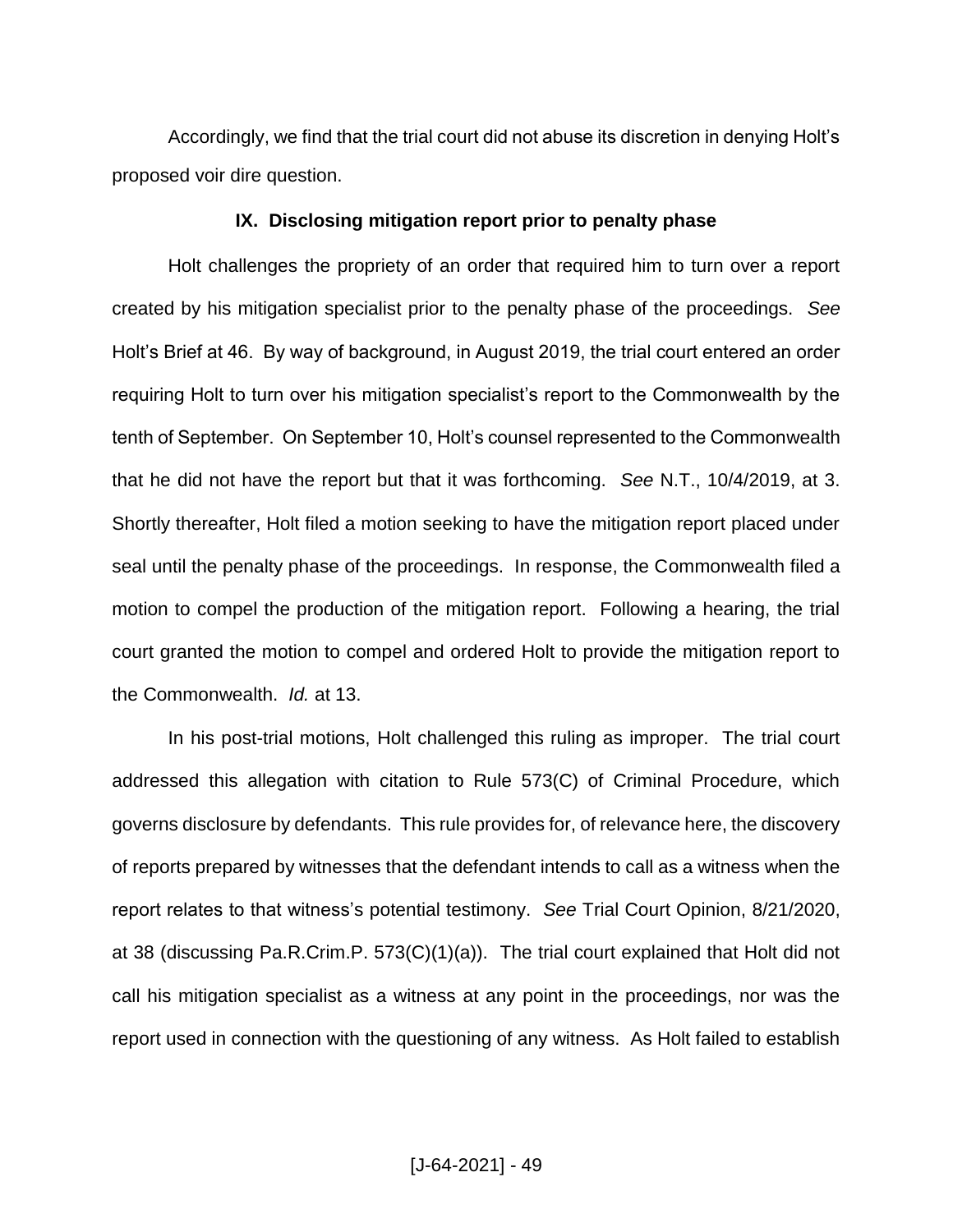Accordingly, we find that the trial court did not abuse its discretion in denying Holt's proposed voir dire question.

## **IX. Disclosing mitigation report prior to penalty phase**

Holt challenges the propriety of an order that required him to turn over a report created by his mitigation specialist prior to the penalty phase of the proceedings. *See* Holt's Brief at 46. By way of background, in August 2019, the trial court entered an order requiring Holt to turn over his mitigation specialist's report to the Commonwealth by the tenth of September. On September 10, Holt's counsel represented to the Commonwealth that he did not have the report but that it was forthcoming. *See* N.T., 10/4/2019, at 3. Shortly thereafter, Holt filed a motion seeking to have the mitigation report placed under seal until the penalty phase of the proceedings. In response, the Commonwealth filed a motion to compel the production of the mitigation report. Following a hearing, the trial court granted the motion to compel and ordered Holt to provide the mitigation report to the Commonwealth. *Id.* at 13.

In his post-trial motions, Holt challenged this ruling as improper. The trial court addressed this allegation with citation to Rule 573(C) of Criminal Procedure, which governs disclosure by defendants. This rule provides for, of relevance here, the discovery of reports prepared by witnesses that the defendant intends to call as a witness when the report relates to that witness's potential testimony. *See* Trial Court Opinion, 8/21/2020, at 38 (discussing Pa.R.Crim.P. 573(C)(1)(a)). The trial court explained that Holt did not call his mitigation specialist as a witness at any point in the proceedings, nor was the report used in connection with the questioning of any witness. As Holt failed to establish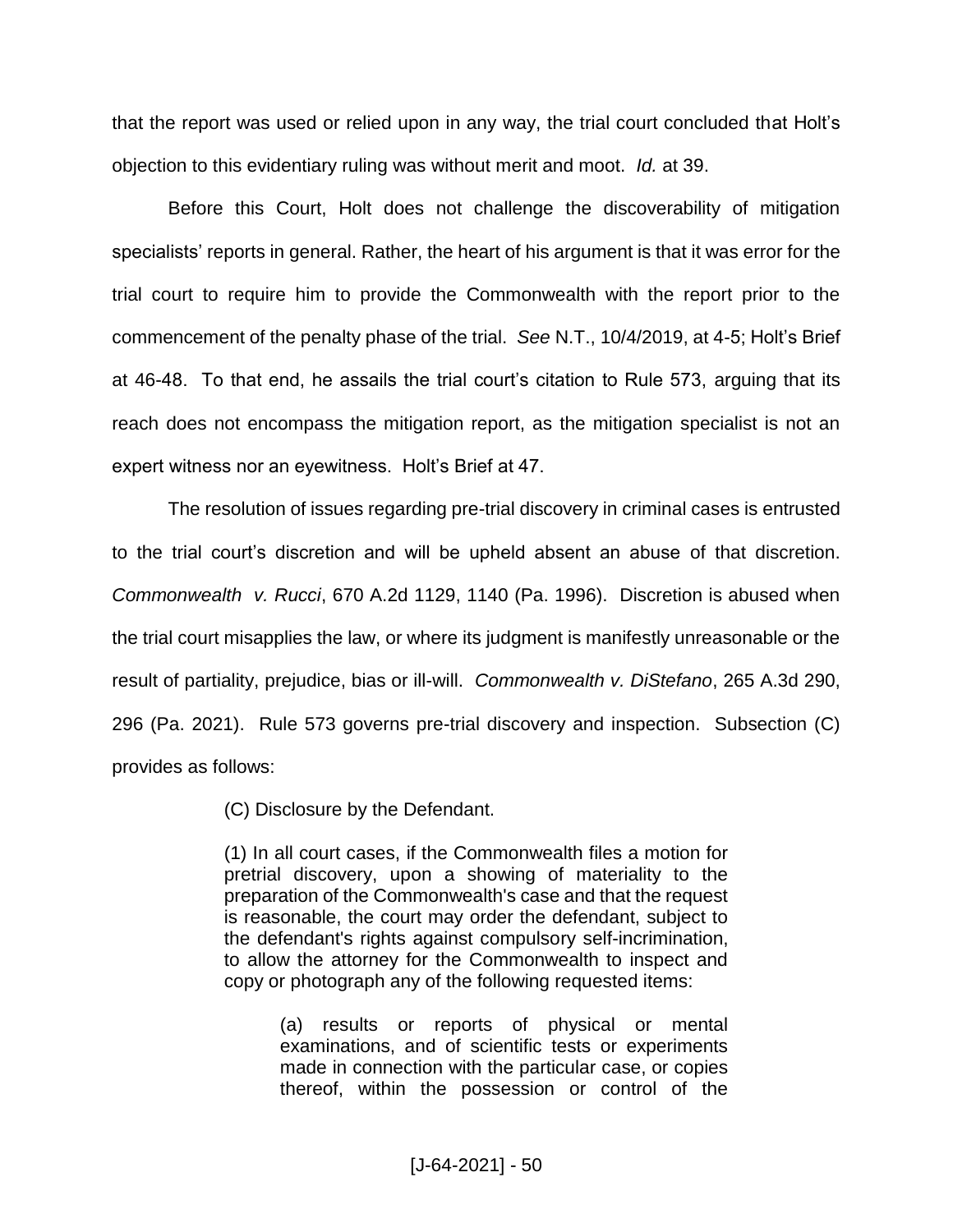that the report was used or relied upon in any way, the trial court concluded that Holt's objection to this evidentiary ruling was without merit and moot. *Id.* at 39.

Before this Court, Holt does not challenge the discoverability of mitigation specialists' reports in general. Rather, the heart of his argument is that it was error for the trial court to require him to provide the Commonwealth with the report prior to the commencement of the penalty phase of the trial. *See* N.T., 10/4/2019, at 4-5; Holt's Brief at 46-48. To that end, he assails the trial court's citation to Rule 573, arguing that its reach does not encompass the mitigation report, as the mitigation specialist is not an expert witness nor an eyewitness. Holt's Brief at 47.

The resolution of issues regarding pre-trial discovery in criminal cases is entrusted to the trial court's discretion and will be upheld absent an abuse of that discretion. *Commonwealth v. Rucci*, 670 A.2d 1129, 1140 (Pa. 1996). Discretion is abused when the trial court misapplies the law, or where its judgment is manifestly unreasonable or the result of partiality, prejudice, bias or ill-will. *Commonwealth v. DiStefano*, 265 A.3d 290, 296 (Pa. 2021). Rule 573 governs pre-trial discovery and inspection. Subsection (C) provides as follows:

(C) Disclosure by the Defendant.

(1) In all court cases, if the Commonwealth files a motion for pretrial discovery, upon a showing of materiality to the preparation of the Commonwealth's case and that the request is reasonable, the court may order the defendant, subject to the defendant's rights against compulsory self-incrimination, to allow the attorney for the Commonwealth to inspect and copy or photograph any of the following requested items:

> (a) results or reports of physical or mental examinations, and of scientific tests or experiments made in connection with the particular case, or copies thereof, within the possession or control of the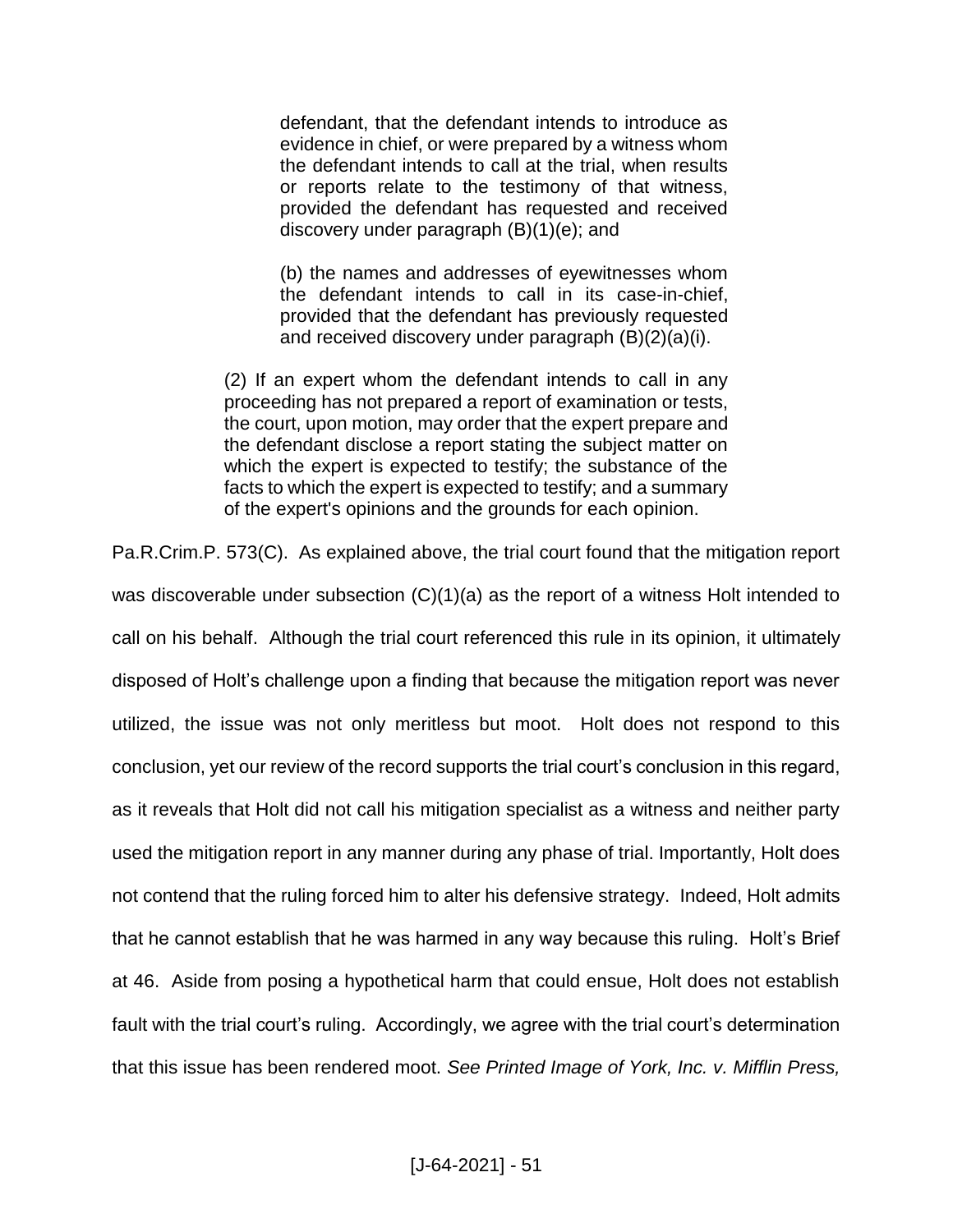defendant, that the defendant intends to introduce as evidence in chief, or were prepared by a witness whom the defendant intends to call at the trial, when results or reports relate to the testimony of that witness, provided the defendant has requested and received discovery under paragraph (B)(1)(e); and

(b) the names and addresses of eyewitnesses whom the defendant intends to call in its case-in-chief, provided that the defendant has previously requested and received discovery under paragraph (B)(2)(a)(i).

(2) If an expert whom the defendant intends to call in any proceeding has not prepared a report of examination or tests, the court, upon motion, may order that the expert prepare and the defendant disclose a report stating the subject matter on which the expert is expected to testify; the substance of the facts to which the expert is expected to testify; and a summary of the expert's opinions and the grounds for each opinion.

Pa.R.Crim.P. 573(C). As explained above, the trial court found that the mitigation report was discoverable under subsection (C)(1)(a) as the report of a witness Holt intended to call on his behalf. Although the trial court referenced this rule in its opinion, it ultimately disposed of Holt's challenge upon a finding that because the mitigation report was never utilized, the issue was not only meritless but moot. Holt does not respond to this conclusion, yet our review of the record supports the trial court's conclusion in this regard, as it reveals that Holt did not call his mitigation specialist as a witness and neither party used the mitigation report in any manner during any phase of trial. Importantly, Holt does not contend that the ruling forced him to alter his defensive strategy. Indeed, Holt admits that he cannot establish that he was harmed in any way because this ruling. Holt's Brief at 46. Aside from posing a hypothetical harm that could ensue, Holt does not establish fault with the trial court's ruling. Accordingly, we agree with the trial court's determination that this issue has been rendered moot. *See Printed Image of York, Inc. v. Mifflin Press,*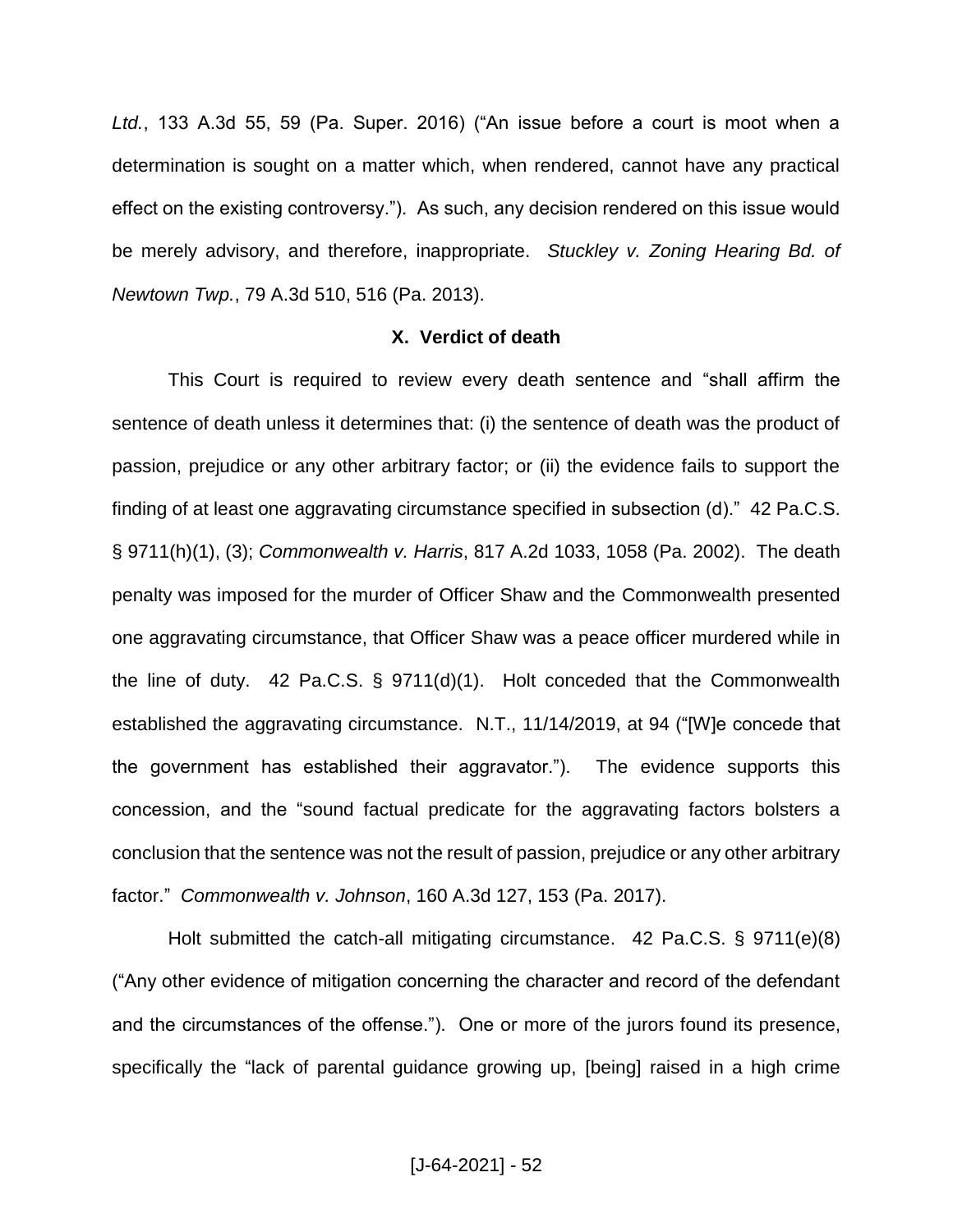*Ltd.*, 133 A.3d 55, 59 (Pa. Super. 2016) ("An issue before a court is moot when a determination is sought on a matter which, when rendered, cannot have any practical effect on the existing controversy."). As such, any decision rendered on this issue would be merely advisory, and therefore, inappropriate. *Stuckley v. Zoning Hearing Bd. of Newtown Twp.*, 79 A.3d 510, 516 (Pa. 2013).

## **X. Verdict of death**

This Court is required to review every death sentence and "shall affirm the sentence of death unless it determines that: (i) the sentence of death was the product of passion, prejudice or any other arbitrary factor; or (ii) the evidence fails to support the finding of at least one aggravating circumstance specified in subsection (d)." 42 Pa.C.S. § 9711(h)(1), (3); *Commonwealth v. Harris*, 817 A.2d 1033, 1058 (Pa. 2002). The death penalty was imposed for the murder of Officer Shaw and the Commonwealth presented one aggravating circumstance, that Officer Shaw was a peace officer murdered while in the line of duty. 42 Pa.C.S. § 9711(d)(1).Holt conceded that the Commonwealth established the aggravating circumstance. N.T., 11/14/2019, at 94 ("[W]e concede that the government has established their aggravator."). The evidence supports this concession, and the "sound factual predicate for the aggravating factors bolsters a conclusion that the sentence was not the result of passion, prejudice or any other arbitrary factor." *Commonwealth v. Johnson*, 160 A.3d 127, 153 (Pa. 2017).

Holt submitted the catch-all mitigating circumstance. 42 Pa.C.S. § 9711(e)(8) ("Any other evidence of mitigation concerning the character and record of the defendant and the circumstances of the offense."). One or more of the jurors found its presence, specifically the "lack of parental guidance growing up, [being] raised in a high crime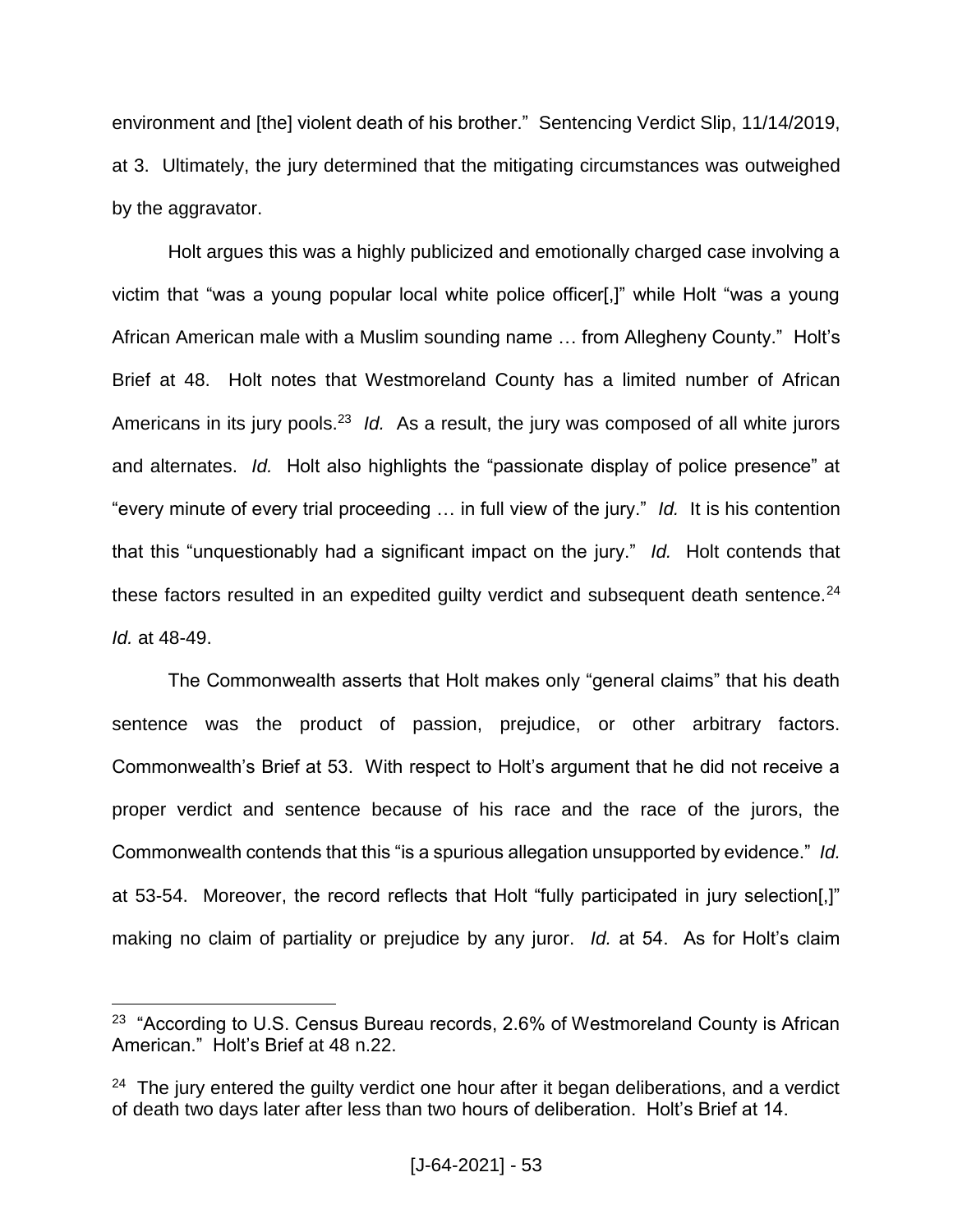environment and [the] violent death of his brother." Sentencing Verdict Slip, 11/14/2019, at 3. Ultimately, the jury determined that the mitigating circumstances was outweighed by the aggravator.

Holt argues this was a highly publicized and emotionally charged case involving a victim that "was a young popular local white police officer[,]" while Holt "was a young African American male with a Muslim sounding name … from Allegheny County." Holt's Brief at 48.Holt notes that Westmoreland County has a limited number of African Americans in its jury pools.<sup>23</sup> Id. As a result, the jury was composed of all white jurors and alternates. *Id.* Holt also highlights the "passionate display of police presence" at "every minute of every trial proceeding … in full view of the jury." *Id.* It is his contention that this "unquestionably had a significant impact on the jury." *Id.* Holt contends that these factors resulted in an expedited guilty verdict and subsequent death sentence. $24$ *Id.* at 48-49.

The Commonwealth asserts that Holt makes only "general claims" that his death sentence was the product of passion, prejudice, or other arbitrary factors. Commonwealth's Brief at 53. With respect to Holt's argument that he did not receive a proper verdict and sentence because of his race and the race of the jurors, the Commonwealth contends that this "is a spurious allegation unsupported by evidence." *Id.*  at 53-54. Moreover, the record reflects that Holt "fully participated in jury selection[,]" making no claim of partiality or prejudice by any juror. *Id.* at 54. As for Holt's claim

 $23$  "According to U.S. Census Bureau records, 2.6% of Westmoreland County is African American." Holt's Brief at 48 n.22.

 $24$  The jury entered the guilty verdict one hour after it began deliberations, and a verdict of death two days later after less than two hours of deliberation. Holt's Brief at 14.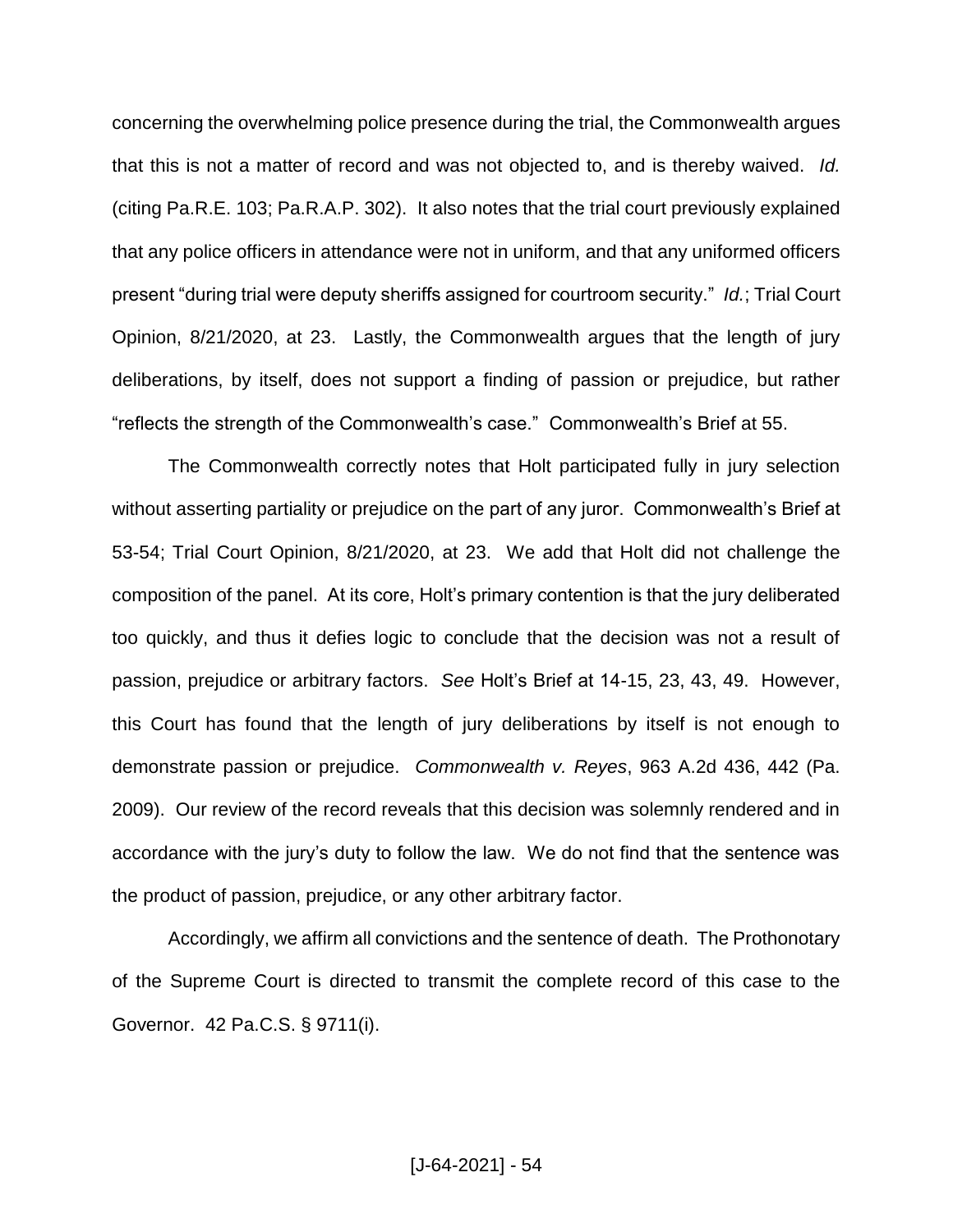concerning the overwhelming police presence during the trial, the Commonwealth argues that this is not a matter of record and was not objected to, and is thereby waived. *Id.* (citing Pa.R.E. 103; Pa.R.A.P. 302). It also notes that the trial court previously explained that any police officers in attendance were not in uniform, and that any uniformed officers present "during trial were deputy sheriffs assigned for courtroom security." *Id.*; Trial Court Opinion, 8/21/2020, at 23.Lastly, the Commonwealth argues that the length of jury deliberations, by itself, does not support a finding of passion or prejudice, but rather "reflects the strength of the Commonwealth's case." Commonwealth's Brief at 55.

The Commonwealth correctly notes that Holt participated fully in jury selection without asserting partiality or prejudice on the part of any juror. Commonwealth's Brief at 53-54; Trial Court Opinion, 8/21/2020, at 23. We add that Holt did not challenge the composition of the panel. At its core, Holt's primary contention is that the jury deliberated too quickly, and thus it defies logic to conclude that the decision was not a result of passion, prejudice or arbitrary factors. *See* Holt's Brief at 14-15, 23, 43, 49. However, this Court has found that the length of jury deliberations by itself is not enough to demonstrate passion or prejudice. *Commonwealth v. Reyes*, 963 A.2d 436, 442 (Pa. 2009). Our review of the record reveals that this decision was solemnly rendered and in accordance with the jury's duty to follow the law. We do not find that the sentence was the product of passion, prejudice, or any other arbitrary factor.

Accordingly, we affirm all convictions and the sentence of death. The Prothonotary of the Supreme Court is directed to transmit the complete record of this case to the Governor. 42 Pa.C.S. § 9711(i).